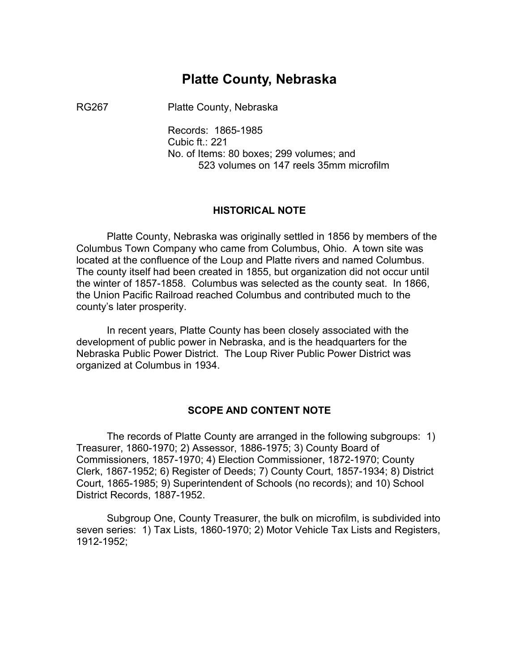### **Platte County, Nebraska**

RG267 Platte County, Nebraska

Records: 1865-1985 Cubic ft.: 221 No. of Items: 80 boxes; 299 volumes; and 523 volumes on 147 reels 35mm microfilm

#### **HISTORICAL NOTE**

Platte County, Nebraska was originally settled in 1856 by members of the Columbus Town Company who came from Columbus, Ohio. A town site was located at the confluence of the Loup and Platte rivers and named Columbus. The county itself had been created in 1855, but organization did not occur until the winter of 1857-1858. Columbus was selected as the county seat. In 1866, the Union Pacific Railroad reached Columbus and contributed much to the county's later prosperity.

In recent years, Platte County has been closely associated with the development of public power in Nebraska, and is the headquarters for the Nebraska Public Power District. The Loup River Public Power District was organized at Columbus in 1934.

#### **SCOPE AND CONTENT NOTE**

The records of Platte County are arranged in the following subgroups: 1) Treasurer, 1860-1970; 2) Assessor, 1886-1975; 3) County Board of Commissioners, 1857-1970; 4) Election Commissioner, 1872-1970; County Clerk, 1867-1952; 6) Register of Deeds; 7) County Court, 1857-1934; 8) District Court, 1865-1985; 9) Superintendent of Schools (no records); and 10) School District Records, 1887-1952.

Subgroup One, County Treasurer, the bulk on microfilm, is subdivided into seven series: 1) Tax Lists, 1860-1970; 2) Motor Vehicle Tax Lists and Registers, 1912-1952;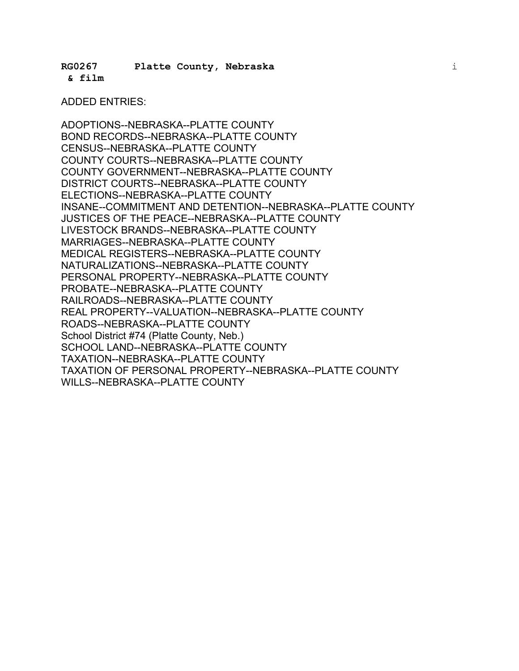**RG0267 Platte County, Nebraska** i

**& film** �

## ADDED ENTRIES:

ADOPTIONS--NEBRASKA--PLATTE COUNTY BOND RECORDS--NEBRASKA--PLATTE COUNTY CENSUS--NEBRASKA--PLATTE COUNTY COUNTY COURTS--NEBRASKA--PLATTE COUNTY COUNTY GOVERNMENT--NEBRASKA--PLATTE COUNTY DISTRICT COURTS--NEBRASKA--PLATTE COUNTY ELECTIONS--NEBRASKA--PLATTE COUNTY INSANE--COMMITMENT AND DETENTION--NEBRASKA--PLATTE COUNTY JUSTICES OF THE PEACE--NEBRASKA--PLATTE COUNTY LIVESTOCK BRANDS--NEBRASKA--PLATTE COUNTY MARRIAGES--NEBRASKA--PLATTE COUNTY MEDICAL REGISTERS--NEBRASKA--PLATTE COUNTY NATURALIZATIONS--NEBRASKA--PLATTE COUNTY PERSONAL PROPERTY--NEBRASKA--PLATTE COUNTY PROBATE--NEBRASKA--PLATTE COUNTY RAILROADS--NEBRASKA--PLATTE COUNTY REAL PROPERTY--VALUATION--NEBRASKA--PLATTE COUNTY ROADS--NEBRASKA--PLATTE COUNTY School District #74 (Platte County, Neb.) SCHOOL LAND--NEBRASKA--PLATTE COUNTY TAXATION--NEBRASKA--PLATTE COUNTY TAXATION OF PERSONAL PROPERTY--NEBRASKA--PLATTE COUNTY WILLS--NEBRASKA--PLATTE COUNTY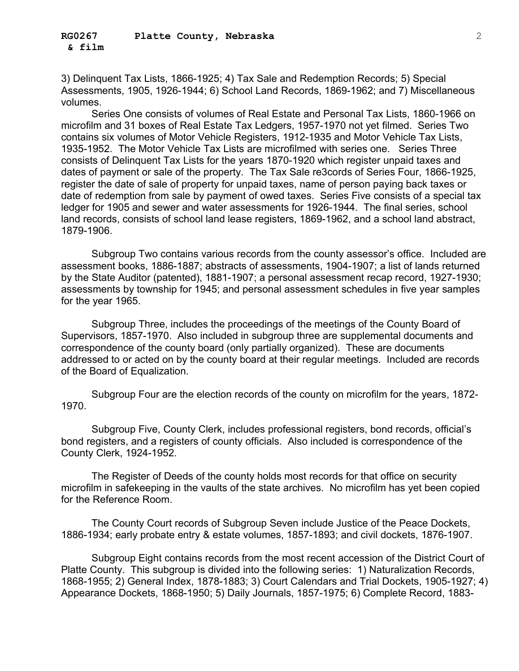3) Delinquent Tax Lists, 1866-1925; 4) Tax Sale and Redemption Records; 5) Special Assessments, 1905, 1926-1944; 6) School Land Records, 1869-1962; and 7) Miscellaneous volumes.

Series One consists of volumes of Real Estate and Personal Tax Lists, 1860-1966 on microfilm and 31 boxes of Real Estate Tax Ledgers, 1957-1970 not yet filmed. Series Two contains six volumes of Motor Vehicle Registers, 1912-1935 and Motor Vehicle Tax Lists, 1935-1952. The Motor Vehicle Tax Lists are microfilmed with series one. Series Three consists of Delinquent Tax Lists for the years 1870-1920 which register unpaid taxes and dates of payment or sale of the property. The Tax Sale re3cords of Series Four, 1866-1925, register the date of sale of property for unpaid taxes, name of person paying back taxes or date of redemption from sale by payment of owed taxes. Series Five consists of a special tax ledger for 1905 and sewer and water assessments for 1926-1944. The final series, school land records, consists of school land lease registers, 1869-1962, and a school land abstract, 1879-1906.

Subgroup Two contains various records from the county assessor's office. Included are assessment books, 1886-1887; abstracts of assessments, 1904-1907; a list of lands returned by the State Auditor (patented), 1881-1907; a personal assessment recap record, 1927-1930; assessments by township for 1945; and personal assessment schedules in five year samples for the year 1965.

Subgroup Three, includes the proceedings of the meetings of the County Board of Supervisors, 1857-1970. Also included in subgroup three are supplemental documents and correspondence of the county board (only partially organized). These are documents addressed to or acted on by the county board at their regular meetings. Included are records of the Board of Equalization.

Subgroup Four are the election records of the county on microfilm for the years, 1872- 1970.

Subgroup Five, County Clerk, includes professional registers, bond records, official's bond registers, and a registers of county officials. Also included is correspondence of the County Clerk, 1924-1952.

The Register of Deeds of the county holds most records for that office on security microfilm in safekeeping in the vaults of the state archives. No microfilm has yet been copied for the Reference Room.

The County Court records of Subgroup Seven include Justice of the Peace Dockets, 1886-1934; early probate entry & estate volumes, 1857-1893; and civil dockets, 1876-1907.

Subgroup Eight contains records from the most recent accession of the District Court of Platte County. This subgroup is divided into the following series: 1) Naturalization Records, 1868-1955; 2) General Index, 1878-1883; 3) Court Calendars and Trial Dockets, 1905-1927; 4) Appearance Dockets, 1868-1950; 5) Daily Journals, 1857-1975; 6) Complete Record, 1883-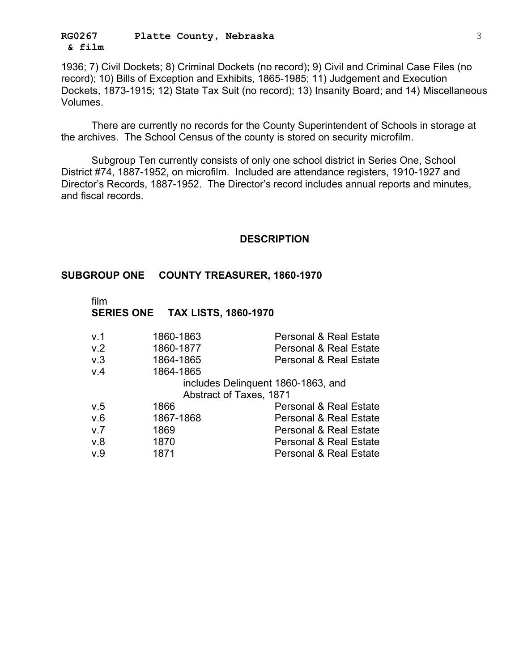#### **RG0267 Platte County, Nebraska** 3 **& film** �

1936; 7) Civil Dockets; 8) Criminal Dockets (no record); 9) Civil and Criminal Case Files (no record); 10) Bills of Exception and Exhibits, 1865-1985; 11) Judgement and Execution Dockets, 1873-1915; 12) State Tax Suit (no record); 13) Insanity Board; and 14) Miscellaneous Volumes.

There are currently no records for the County Superintendent of Schools in storage at the archives. The School Census of the county is stored on security microfilm.

Subgroup Ten currently consists of only one school district in Series One, School District #74, 1887-1952, on microfilm. Included are attendance registers, 1910-1927 and Director's Records, 1887-1952. The Director's record includes annual reports and minutes, and fiscal records.

#### **DESCRIPTION**

#### **SUBGROUP ONE COUNTY TREASURER, 1860-1970**

| v.1 | 1860-1863                          | <b>Personal &amp; Real Estate</b> |
|-----|------------------------------------|-----------------------------------|
| V.2 | 1860-1877                          | <b>Personal &amp; Real Estate</b> |
| v.3 | 1864-1865                          | <b>Personal &amp; Real Estate</b> |
| V.4 | 1864-1865                          |                                   |
|     | includes Delinquent 1860-1863, and |                                   |
|     | Abstract of Taxes, 1871            |                                   |
| v.5 | 1866                               | <b>Personal &amp; Real Estate</b> |
| V.6 | 1867-1868                          | <b>Personal &amp; Real Estate</b> |
| V.7 | 1869                               | <b>Personal &amp; Real Estate</b> |
| V.8 | 1870                               | <b>Personal &amp; Real Estate</b> |
| V.9 | 1871                               | <b>Personal &amp; Real Estate</b> |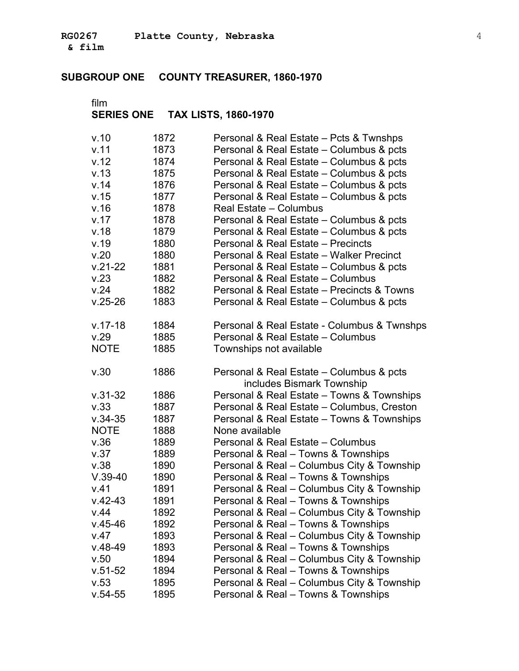**& film** �

### **SUBGROUP ONE COUNTY TREASURER, 1860-1970**

| v.10                | 1872 | Personal & Real Estate - Pcts & Twnshps                                           |
|---------------------|------|-----------------------------------------------------------------------------------|
| v.11                | 1873 | Personal & Real Estate - Columbus & pcts                                          |
| v.12                | 1874 | Personal & Real Estate - Columbus & pcts                                          |
| v.13                | 1875 | Personal & Real Estate - Columbus & pcts                                          |
| v.14                | 1876 | Personal & Real Estate – Columbus & pcts                                          |
| v.15                | 1877 | Personal & Real Estate – Columbus & pcts                                          |
| v.16                | 1878 | Real Estate - Columbus                                                            |
| v.17                | 1878 | Personal & Real Estate - Columbus & pcts                                          |
| v.18                | 1879 | Personal & Real Estate - Columbus & pcts                                          |
| v.19                | 1880 | Personal & Real Estate - Precincts                                                |
| v.20                | 1880 | Personal & Real Estate - Walker Precinct                                          |
| $v.21 - 22$         | 1881 | Personal & Real Estate - Columbus & pcts                                          |
| v.23                | 1882 | Personal & Real Estate - Columbus                                                 |
| v.24                | 1882 | Personal & Real Estate - Precincts & Towns                                        |
| $v.25 - 26$         | 1883 | Personal & Real Estate – Columbus & pcts                                          |
| $v.17-18$           | 1884 | Personal & Real Estate - Columbus & Twnshps                                       |
| v.29                | 1885 | Personal & Real Estate - Columbus                                                 |
| <b>NOTE</b>         | 1885 | Townships not available                                                           |
| v.30                | 1886 | Personal & Real Estate - Columbus & pcts<br>includes Bismark Township             |
| $v.31 - 32$         | 1886 | Personal & Real Estate - Towns & Townships                                        |
| v.33                | 1887 | Personal & Real Estate - Columbus, Creston                                        |
| $v.34 - 35$         | 1887 | Personal & Real Estate - Towns & Townships                                        |
| <b>NOTE</b>         | 1888 | None available                                                                    |
| v.36                | 1889 | Personal & Real Estate - Columbus                                                 |
| v.37                | 1889 | Personal & Real - Towns & Townships                                               |
| v.38                | 1890 | Personal & Real - Columbus City & Township                                        |
| $V.39-40$           | 1890 | Personal & Real - Towns & Townships                                               |
| V.41                | 1891 | Personal & Real - Columbus City & Township                                        |
| $v.42 - 43$         | 1891 | Personal & Real - Towns & Townships                                               |
| v.44                | 1892 | Personal & Real - Columbus City & Township                                        |
| $v.45 - 46$         | 1892 | Personal & Real - Towns & Townships                                               |
| V.47                | 1893 | Personal & Real - Columbus City & Township                                        |
| $V.48-49$           |      |                                                                                   |
|                     | 1893 | Personal & Real - Towns & Townships                                               |
| v.50                | 1894 | Personal & Real - Columbus City & Township                                        |
| $v.51 - 52$         | 1894 | Personal & Real - Towns & Townships                                               |
| v.53<br>$v.54 - 55$ | 1895 | Personal & Real - Columbus City & Township<br>Personal & Real - Towns & Townships |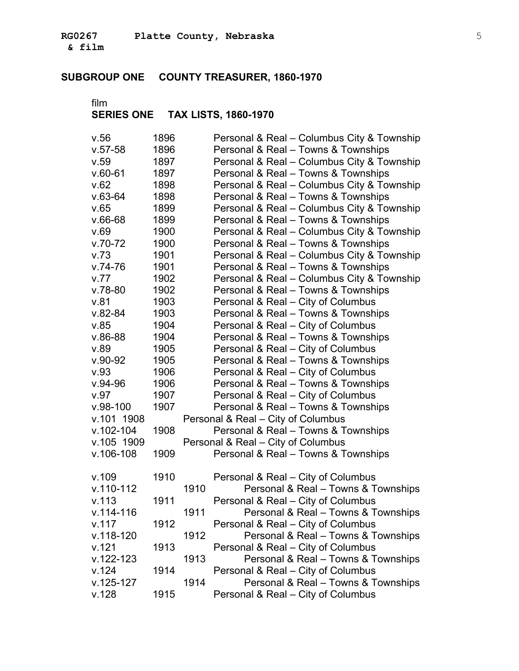**& film** �

### **SUBGROUP ONE COUNTY TREASURER, 1860-1970**

| v.56          | 1896 |      | Personal & Real - Columbus City & Township |
|---------------|------|------|--------------------------------------------|
| $v.57-58$     | 1896 |      | Personal & Real - Towns & Townships        |
| v.59          | 1897 |      | Personal & Real - Columbus City & Township |
| $v.60-61$     | 1897 |      | Personal & Real - Towns & Townships        |
| v.62          | 1898 |      | Personal & Real - Columbus City & Township |
| $v.63-64$     | 1898 |      | Personal & Real - Towns & Townships        |
| v.65          | 1899 |      | Personal & Real - Columbus City & Township |
| $v.66-68$     | 1899 |      | Personal & Real - Towns & Townships        |
| v.69          | 1900 |      | Personal & Real - Columbus City & Township |
| $v.70-72$     | 1900 |      | Personal & Real - Towns & Townships        |
| v.73          | 1901 |      | Personal & Real - Columbus City & Township |
| $v.74-76$     | 1901 |      | Personal & Real - Towns & Townships        |
| V.77          | 1902 |      | Personal & Real - Columbus City & Township |
| $v.78 - 80$   | 1902 |      | Personal & Real - Towns & Townships        |
| v.81          | 1903 |      | Personal & Real - City of Columbus         |
| $V.82 - 84$   | 1903 |      | Personal & Real - Towns & Townships        |
| v.85          | 1904 |      | Personal & Real - City of Columbus         |
| $V.86-88$     | 1904 |      | Personal & Real - Towns & Townships        |
| v.89          | 1905 |      | Personal & Real - City of Columbus         |
| $v.90-92$     | 1905 |      | Personal & Real - Towns & Townships        |
| v.93          | 1906 |      | Personal & Real - City of Columbus         |
| $v.94 - 96$   | 1906 |      | Personal & Real - Towns & Townships        |
| v.97          | 1907 |      | Personal & Real - City of Columbus         |
| $v.98 - 100$  | 1907 |      | Personal & Real - Towns & Townships        |
| v.101 1908    |      |      | Personal & Real - City of Columbus         |
| $v.102 - 104$ | 1908 |      | Personal & Real - Towns & Townships        |
| v.105 1909    |      |      | Personal & Real – City of Columbus         |
| $v.106 - 108$ | 1909 |      | Personal & Real - Towns & Townships        |
| v.109         | 1910 |      | Personal & Real - City of Columbus         |
| $v.110 - 112$ |      | 1910 | Personal & Real - Towns & Townships        |
| v.113         | 1911 |      | Personal & Real - City of Columbus         |
| $v.114 - 116$ |      | 1911 | Personal & Real - Towns & Townships        |
| v.117         | 1912 |      | Personal & Real - City of Columbus         |
| $v.118 - 120$ |      | 1912 | Personal & Real - Towns & Townships        |
| v.121         | 1913 |      | Personal & Real - City of Columbus         |
| $v.122 - 123$ |      | 1913 | Personal & Real - Towns & Townships        |
| v.124         | 1914 |      | Personal & Real - City of Columbus         |
| $v.125 - 127$ |      | 1914 | Personal & Real - Towns & Townships        |
| v.128         | 1915 |      | Personal & Real - City of Columbus         |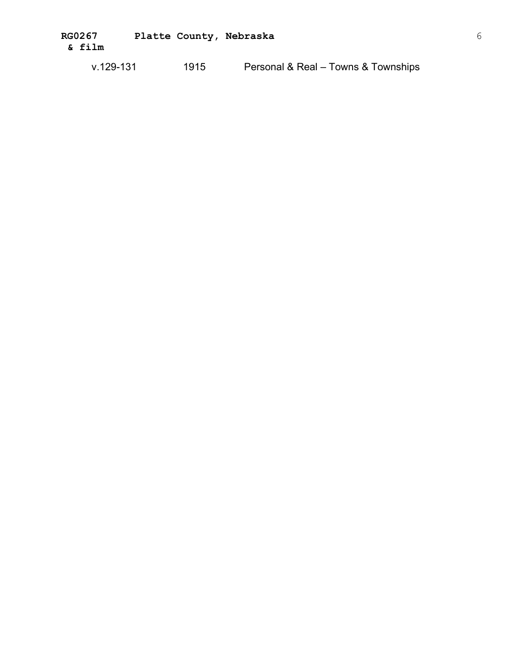**RG0267 Platte County, Nebraska** 6 **& film** �

v.129-131 1915 Personal & Real – Towns & Townships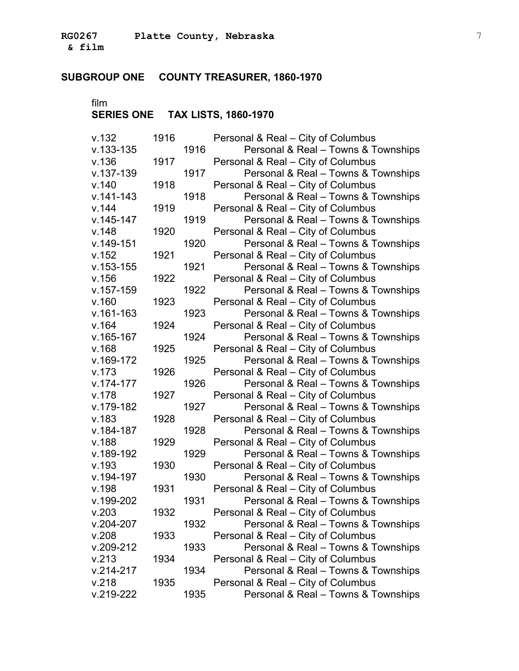**& film** �

### **SUBGROUP ONE COUNTY TREASURER, 1860-1970**

film

| v.132         | 1916 |      | Personal & Real - City of Columbus  |
|---------------|------|------|-------------------------------------|
| $v.133 - 135$ |      | 1916 | Personal & Real - Towns & Townships |
| v.136         | 1917 |      | Personal & Real - City of Columbus  |
| $v.137 - 139$ |      | 1917 | Personal & Real - Towns & Townships |
| v.140         | 1918 |      | Personal & Real - City of Columbus  |
| $v.141 - 143$ |      | 1918 | Personal & Real - Towns & Townships |
| v.144         | 1919 |      | Personal & Real - City of Columbus  |
| $v.145 - 147$ |      | 1919 | Personal & Real - Towns & Townships |
| v.148         | 1920 |      | Personal & Real - City of Columbus  |
| $v.149 - 151$ |      | 1920 | Personal & Real - Towns & Townships |
| v.152         | 1921 |      | Personal & Real - City of Columbus  |
| $v.153 - 155$ |      | 1921 | Personal & Real - Towns & Townships |
| v.156         | 1922 |      | Personal & Real - City of Columbus  |
| $v.157 - 159$ |      | 1922 | Personal & Real - Towns & Townships |
| v.160         | 1923 |      | Personal & Real - City of Columbus  |
| $v.161 - 163$ |      | 1923 | Personal & Real - Towns & Townships |
| v.164         | 1924 |      | Personal & Real - City of Columbus  |
| $v.165 - 167$ |      | 1924 | Personal & Real - Towns & Townships |
| v.168         | 1925 |      | Personal & Real - City of Columbus  |
| $v.169-172$   |      | 1925 | Personal & Real - Towns & Townships |
| v.173         | 1926 |      | Personal & Real - City of Columbus  |
| $v.174 - 177$ |      | 1926 | Personal & Real - Towns & Townships |
| v.178         | 1927 |      | Personal & Real - City of Columbus  |
| v.179-182     |      | 1927 | Personal & Real - Towns & Townships |
| v.183         | 1928 |      | Personal & Real - City of Columbus  |
| $v.184 - 187$ |      | 1928 | Personal & Real - Towns & Townships |
| v.188         | 1929 |      | Personal & Real - City of Columbus  |
| v.189-192     |      | 1929 | Personal & Real - Towns & Townships |
| v.193         | 1930 |      | Personal & Real - City of Columbus  |
| $v.194 - 197$ |      | 1930 | Personal & Real - Towns & Townships |
| v.198         | 1931 |      | Personal & Real - City of Columbus  |
| v.199-202     |      | 1931 | Personal & Real - Towns & Townships |
| V.203         | 1932 |      | Personal & Real - City of Columbus  |
| $v.204 - 207$ |      | 1932 | Personal & Real - Towns & Townships |
| V.208         | 1933 |      | Personal & Real - City of Columbus  |
| $v.209 - 212$ |      | 1933 | Personal & Real - Towns & Townships |
| V.213         | 1934 |      | Personal & Real - City of Columbus  |
| $v.214 - 217$ |      | 1934 | Personal & Real - Towns & Townships |
| V.218         | 1935 |      | Personal & Real - City of Columbus  |
| $v.219-222$   |      | 1935 | Personal & Real - Towns & Townships |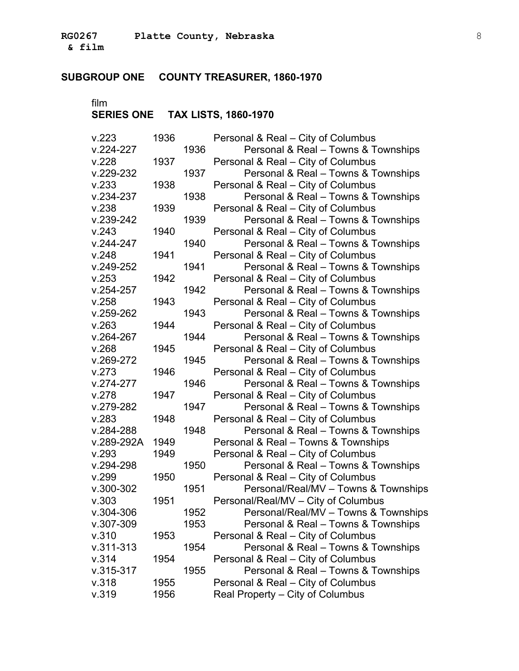**& film** �

### **SUBGROUP ONE COUNTY TREASURER, 1860-1970**

| V.223         | 1936 |      | Personal & Real - City of Columbus   |
|---------------|------|------|--------------------------------------|
| $V.224 - 227$ |      | 1936 | Personal & Real - Towns & Townships  |
| V.228         | 1937 |      | Personal & Real – City of Columbus   |
| $v.229 - 232$ |      | 1937 | Personal & Real - Towns & Townships  |
| V.233         | 1938 |      | Personal & Real - City of Columbus   |
| $V.234-237$   |      | 1938 | Personal & Real - Towns & Townships  |
| v.238         | 1939 |      | Personal & Real - City of Columbus   |
| $v.239-242$   |      | 1939 | Personal & Real - Towns & Townships  |
| V.243         | 1940 |      | Personal & Real - City of Columbus   |
| $V.244 - 247$ |      | 1940 | Personal & Real - Towns & Townships  |
| V.248         | 1941 |      | Personal & Real - City of Columbus   |
| $v.249 - 252$ |      | 1941 | Personal & Real - Towns & Townships  |
| v.253         | 1942 |      | Personal & Real - City of Columbus   |
| $v.254 - 257$ |      | 1942 | Personal & Real - Towns & Townships  |
| v.258         | 1943 |      | Personal & Real - City of Columbus   |
| $v.259 - 262$ |      | 1943 | Personal & Real - Towns & Townships  |
| V.263         | 1944 |      | Personal & Real - City of Columbus   |
| $v.264 - 267$ |      | 1944 | Personal & Real - Towns & Townships  |
| V.268         | 1945 |      | Personal & Real - City of Columbus   |
| $V.269-272$   |      | 1945 | Personal & Real - Towns & Townships  |
| V.273         | 1946 |      | Personal & Real - City of Columbus   |
| $V.274-277$   |      | 1946 | Personal & Real - Towns & Townships  |
| V.278         | 1947 |      | Personal & Real - City of Columbus   |
| $V.279-282$   |      | 1947 | Personal & Real - Towns & Townships  |
| V.283         | 1948 |      | Personal & Real - City of Columbus   |
| $V.284 - 288$ |      | 1948 | Personal & Real - Towns & Townships  |
| v.289-292A    | 1949 |      | Personal & Real - Towns & Townships  |
| v.293         | 1949 |      | Personal & Real - City of Columbus   |
| $v.294 - 298$ |      | 1950 | Personal & Real - Towns & Townships  |
| V.299         | 1950 |      | Personal & Real - City of Columbus   |
| $v.300 - 302$ |      | 1951 | Personal/Real/MV - Towns & Townships |
| v.303         | 1951 |      | Personal/Real/MV - City of Columbus  |
| $V.304 - 306$ |      | 1952 | Personal/Real/MV - Towns & Townships |
| $V.307 - 309$ |      | 1953 | Personal & Real - Towns & Townships  |
| v.310         | 1953 |      | Personal & Real - City of Columbus   |
| $V.311 - 313$ |      | 1954 | Personal & Real - Towns & Townships  |
| v.314         | 1954 |      | Personal & Real - City of Columbus   |
| $v.315 - 317$ |      | 1955 | Personal & Real - Towns & Townships  |
| v.318         | 1955 |      | Personal & Real - City of Columbus   |
| v.319         | 1956 |      | Real Property - City of Columbus     |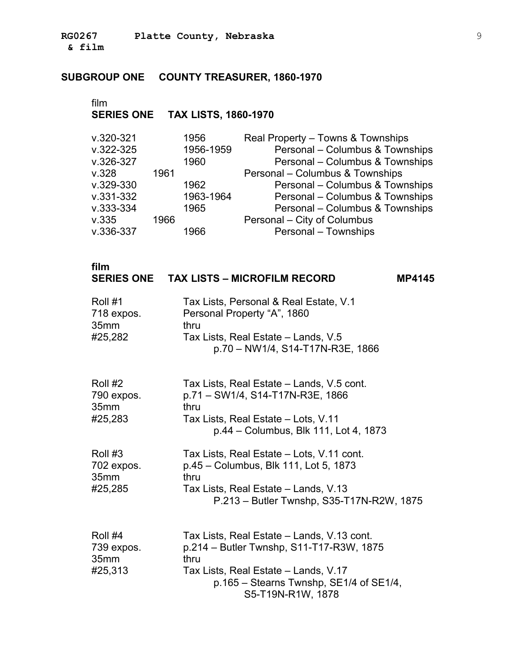**RG0267 Platte County, Nebraska** 9 **& film** �

### **SUBGROUP ONE COUNTY TREASURER, 1860-1970**

| $v.320 - 321$ |      | 1956      | Real Property - Towns & Townships |
|---------------|------|-----------|-----------------------------------|
| $v.322 - 325$ |      | 1956-1959 | Personal - Columbus & Townships   |
| $v.326 - 327$ |      | 1960      | Personal - Columbus & Townships   |
| V.328         | 1961 |           | Personal - Columbus & Townships   |
| $v.329 - 330$ |      | 1962      | Personal - Columbus & Townships   |
| $v.331 - 332$ |      | 1963-1964 | Personal - Columbus & Townships   |
| $V.333-334$   |      | 1965      | Personal - Columbus & Townships   |
| v.335         | 1966 |           | Personal - City of Columbus       |
| $v.336 - 337$ |      | 1966      | Personal - Townships              |

| film<br><b>SERIES ONE</b>                | <b>TAX LISTS - MICROFILM RECORD</b><br><b>MP4145</b>                                                                                                                                                     |
|------------------------------------------|----------------------------------------------------------------------------------------------------------------------------------------------------------------------------------------------------------|
| Roll #1<br>718 expos.<br>35mm<br>#25,282 | Tax Lists, Personal & Real Estate, V.1<br>Personal Property "A", 1860<br>thru<br>Tax Lists, Real Estate - Lands, V.5<br>p.70 - NW1/4, S14-T17N-R3E, 1866                                                 |
| Roll #2<br>790 expos.<br>35mm<br>#25,283 | Tax Lists, Real Estate – Lands, V.5 cont.<br>p.71 - SW1/4, S14-T17N-R3E, 1866<br>thru<br>Tax Lists, Real Estate - Lots, V.11<br>p.44 – Columbus, Blk 111, Lot 4, 1873                                    |
| Roll #3<br>702 expos.<br>35mm<br>#25,285 | Tax Lists, Real Estate - Lots, V.11 cont.<br>p.45 – Columbus, Blk 111, Lot 5, 1873<br>thru<br>Tax Lists, Real Estate – Lands, V.13<br>P.213 - Butler Twnshp, S35-T17N-R2W, 1875                          |
| Roll #4<br>739 expos.<br>35mm<br>#25,313 | Tax Lists, Real Estate – Lands, V.13 cont.<br>p.214 – Butler Twnshp, S11-T17-R3W, 1875<br>thru<br>Tax Lists, Real Estate - Lands, V.17<br>$p.165 - Stearns Twnshp, SE1/4$ of SE1/4,<br>S5-T19N-R1W, 1878 |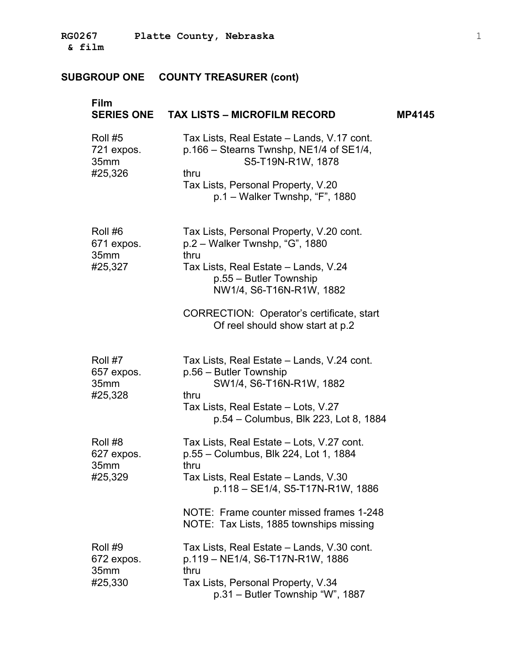| Film                                     | SERIES ONE TAX LISTS - MICROFILM RECORD                                                                                                                                                                                                                             | <b>MP4145</b> |
|------------------------------------------|---------------------------------------------------------------------------------------------------------------------------------------------------------------------------------------------------------------------------------------------------------------------|---------------|
| Roll #5<br>721 expos.<br>35mm<br>#25,326 | Tax Lists, Real Estate – Lands, V.17 cont.<br>p.166 – Stearns Twnshp, NE1/4 of SE1/4,<br>S5-T19N-R1W, 1878<br>thru<br>Tax Lists, Personal Property, V.20<br>$p.1 - Walker$ Twnshp, "F", 1880                                                                        |               |
| Roll #6<br>671 expos.<br>35mm<br>#25,327 | Tax Lists, Personal Property, V.20 cont.<br>$p.2 - Walker$ Twnshp, "G", 1880<br>thru<br>Tax Lists, Real Estate - Lands, V.24<br>p.55 – Butler Township<br>NW1/4, S6-T16N-R1W, 1882<br>CORRECTION: Operator's certificate, start<br>Of reel should show start at p.2 |               |
| Roll #7<br>657 expos.<br>35mm<br>#25,328 | Tax Lists, Real Estate - Lands, V.24 cont.<br>p.56 – Butler Township<br>SW1/4, S6-T16N-R1W, 1882<br>thru<br>Tax Lists, Real Estate – Lots, V.27<br>p.54 - Columbus, Blk 223, Lot 8, 1884                                                                            |               |
| Roll #8<br>627 expos.<br>35mm<br>#25,329 | Tax Lists, Real Estate - Lots, V.27 cont.<br>p.55 - Columbus, Blk 224, Lot 1, 1884<br>thru<br>Tax Lists, Real Estate – Lands, V.30<br>p.118 - SE1/4, S5-T17N-R1W, 1886<br>NOTE: Frame counter missed frames 1-248<br>NOTE: Tax Lists, 1885 townships missing        |               |
| Roll #9<br>672 expos.<br>35mm<br>#25,330 | Tax Lists, Real Estate – Lands, V.30 cont.<br>p.119 - NE1/4, S6-T17N-R1W, 1886<br>thru<br>Tax Lists, Personal Property, V.34<br>p.31 – Butler Township "W", 1887                                                                                                    |               |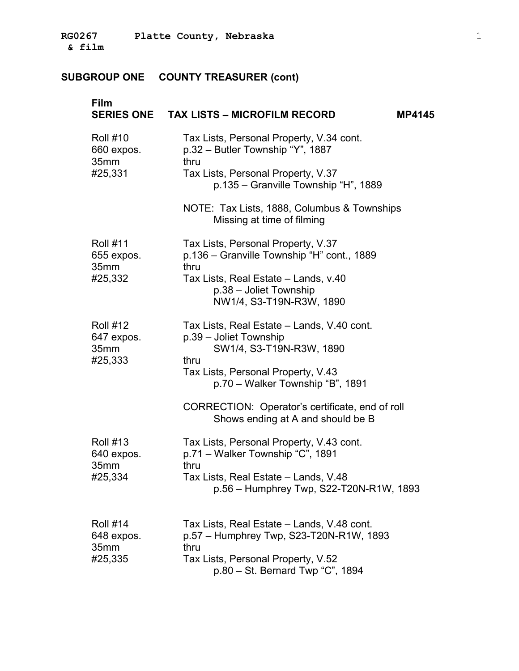| <b>Film</b>                                      | SERIES ONE TAX LISTS - MICROFILM RECORD<br><b>MP4145</b>                                                 |
|--------------------------------------------------|----------------------------------------------------------------------------------------------------------|
| <b>Roll #10</b><br>660 expos.<br>35mm            | Tax Lists, Personal Property, V.34 cont.<br>p.32 – Butler Township "Y", 1887<br>thru                     |
| #25,331                                          | Tax Lists, Personal Property, V.37<br>p.135 - Granville Township "H", 1889                               |
|                                                  | NOTE: Tax Lists, 1888, Columbus & Townships<br>Missing at time of filming                                |
| <b>Roll #11</b><br>655 expos.                    | Tax Lists, Personal Property, V.37<br>p.136 – Granville Township "H" cont., 1889                         |
| 35mm<br>#25,332                                  | thru<br>Tax Lists, Real Estate - Lands, v.40<br>p.38 - Joliet Township<br>NW1/4, S3-T19N-R3W, 1890       |
| <b>Roll #12</b><br>647 expos.<br>35mm<br>#25,333 | Tax Lists, Real Estate - Lands, V.40 cont.<br>p.39 - Joliet Township<br>SW1/4, S3-T19N-R3W, 1890<br>thru |
|                                                  | Tax Lists, Personal Property, V.43<br>p.70 - Walker Township "B", 1891                                   |
|                                                  | CORRECTION: Operator's certificate, end of roll<br>Shows ending at A and should be B                     |
| <b>Roll #13</b><br>640 expos.<br>35mm            | Tax Lists, Personal Property, V.43 cont.<br>p.71 - Walker Township "C", 1891<br>thru                     |
| #25,334                                          | Tax Lists, Real Estate - Lands, V.48<br>$p.56 -$ Humphrey Twp, S22-T20N-R1W, 1893                        |
| <b>Roll #14</b><br>648 expos.<br>35mm            | Tax Lists, Real Estate – Lands, V.48 cont.<br>p.57 - Humphrey Twp, S23-T20N-R1W, 1893<br>thru            |
| #25,335                                          | Tax Lists, Personal Property, V.52<br>p.80 - St. Bernard Twp "C", 1894                                   |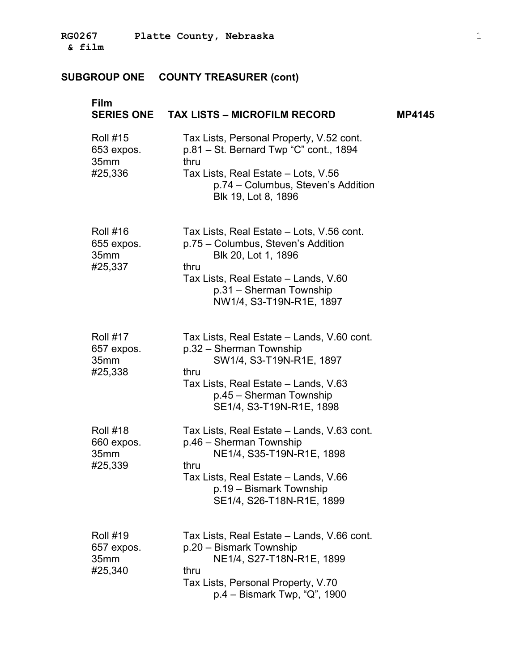| <b>Film</b>                                                  | SERIES ONE TAX LISTS - MICROFILM RECORD                                                                                                                                                                       | <b>MP4145</b> |
|--------------------------------------------------------------|---------------------------------------------------------------------------------------------------------------------------------------------------------------------------------------------------------------|---------------|
| <b>Roll #15</b><br>653 expos.<br>35mm<br>#25,336             | Tax Lists, Personal Property, V.52 cont.<br>p.81 – St. Bernard Twp "C" cont., 1894<br>thru<br>Tax Lists, Real Estate – Lots, V.56<br>p.74 - Columbus, Steven's Addition<br>Blk 19, Lot 8, 1896                |               |
| <b>Roll #16</b><br>655 expos.<br>35mm<br>#25,337             | Tax Lists, Real Estate - Lots, V.56 cont.<br>p.75 – Columbus, Steven's Addition<br>Blk 20, Lot 1, 1896<br>thru<br>Tax Lists, Real Estate - Lands, V.60<br>p.31 - Sherman Township<br>NW1/4, S3-T19N-R1E, 1897 |               |
| <b>Roll #17</b><br>657 expos.<br>35mm<br>#25,338             | Tax Lists, Real Estate - Lands, V.60 cont.<br>p.32 - Sherman Township<br>SW1/4, S3-T19N-R1E, 1897<br>thru<br>Tax Lists, Real Estate – Lands, V.63<br>p.45 – Sherman Township<br>SE1/4, S3-T19N-R1E, 1898      |               |
| <b>Roll #18</b><br>660 expos.<br>35mm<br>#25,339             | Tax Lists, Real Estate – Lands, V.63 cont.<br>p.46 - Sherman Township<br>NE1/4, S35-T19N-R1E, 1898<br>thru<br>Tax Lists, Real Estate - Lands, V.66<br>p.19 - Bismark Township<br>SE1/4, S26-T18N-R1E, 1899    |               |
| <b>Roll #19</b><br>657 expos.<br>35 <sub>mm</sub><br>#25,340 | Tax Lists, Real Estate – Lands, V.66 cont.<br>p.20 - Bismark Township<br>NE1/4, S27-T18N-R1E, 1899<br>thru<br>Tax Lists, Personal Property, V.70<br>$p.4 - Bismark Two, "Q", 1900$                            |               |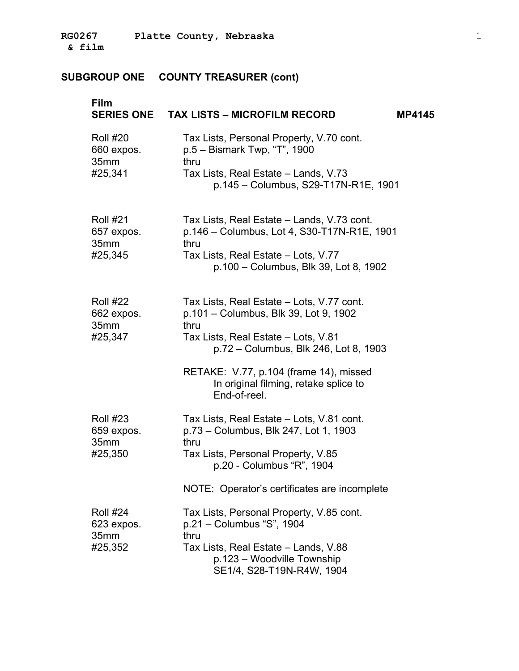| Film                                             | SERIES ONE TAX LISTS - MICROFILM RECORD<br><b>MP4145</b>                                                                                                                                                                                                                      |
|--------------------------------------------------|-------------------------------------------------------------------------------------------------------------------------------------------------------------------------------------------------------------------------------------------------------------------------------|
| <b>Roll #20</b><br>660 expos.<br>35mm<br>#25,341 | Tax Lists, Personal Property, V.70 cont.<br>p.5 - Bismark Twp, "T", 1900<br>thru<br>Tax Lists, Real Estate - Lands, V.73<br>p.145 - Columbus, S29-T17N-R1E, 1901                                                                                                              |
| <b>Roll #21</b><br>657 expos.<br>35mm<br>#25,345 | Tax Lists, Real Estate – Lands, V.73 cont.<br>p.146 - Columbus, Lot 4, S30-T17N-R1E, 1901<br>thru<br>Tax Lists, Real Estate - Lots, V.77<br>p.100 - Columbus, Blk 39, Lot 8, 1902                                                                                             |
| <b>Roll #22</b><br>662 expos.<br>35mm<br>#25,347 | Tax Lists, Real Estate - Lots, V.77 cont.<br>p.101 – Columbus, Blk 39, Lot 9, 1902<br>thru<br>Tax Lists, Real Estate - Lots, V.81<br>p.72 - Columbus, Blk 246, Lot 8, 1903<br>RETAKE: V.77, p.104 (frame 14), missed<br>In original filming, retake splice to<br>End-of-reel. |
| <b>Roll #23</b><br>659 expos.<br>35mm<br>#25,350 | Tax Lists, Real Estate - Lots, V.81 cont.<br>p.73 - Columbus, Blk 247, Lot 1, 1903<br>thru<br>Tax Lists, Personal Property, V.85<br>p.20 - Columbus "R", 1904<br>NOTE: Operator's certificates are incomplete                                                                 |
| <b>Roll #24</b><br>623 expos.<br>35mm<br>#25,352 | Tax Lists, Personal Property, V.85 cont.<br>p.21 - Columbus "S", 1904<br>thru<br>Tax Lists, Real Estate - Lands, V.88<br>p.123 - Woodville Township<br>SE1/4, S28-T19N-R4W, 1904                                                                                              |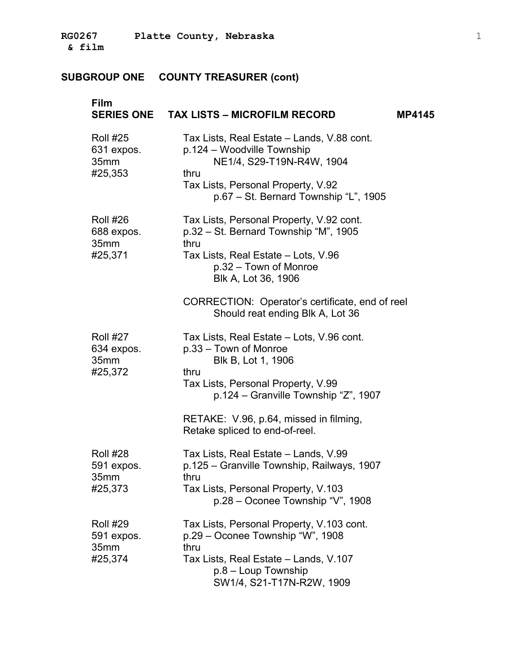| Film                                             | SERIES ONE TAX LISTS - MICROFILM RECORD                                                                                                                                                      | <b>MP4145</b> |
|--------------------------------------------------|----------------------------------------------------------------------------------------------------------------------------------------------------------------------------------------------|---------------|
| <b>Roll #25</b><br>631 expos.<br>35mm<br>#25,353 | Tax Lists, Real Estate - Lands, V.88 cont.<br>p.124 – Woodville Township<br>NE1/4, S29-T19N-R4W, 1904<br>thru<br>Tax Lists, Personal Property, V.92<br>p.67 - St. Bernard Township "L", 1905 |               |
| <b>Roll #26</b><br>688 expos.<br>35mm<br>#25,371 | Tax Lists, Personal Property, V.92 cont.<br>p.32 – St. Bernard Township "M", 1905<br>thru<br>Tax Lists, Real Estate - Lots, V.96<br>p.32 - Town of Monroe<br>Blk A, Lot 36, 1906             |               |
|                                                  | CORRECTION: Operator's certificate, end of reel<br>Should reat ending Blk A, Lot 36                                                                                                          |               |
| <b>Roll #27</b><br>634 expos.<br>35mm<br>#25,372 | Tax Lists, Real Estate – Lots, V.96 cont.<br>p.33 - Town of Monroe<br>Blk B, Lot 1, 1906<br>thru<br>Tax Lists, Personal Property, V.99<br>p.124 – Granville Township "Z", 1907               |               |
|                                                  | RETAKE: V.96, p.64, missed in filming,<br>Retake spliced to end-of-reel.                                                                                                                     |               |
| <b>Roll #28</b><br>591 expos.<br>35mm<br>#25,373 | Tax Lists, Real Estate - Lands, V.99<br>p.125 – Granville Township, Railways, 1907<br>thru<br>Tax Lists, Personal Property, V.103<br>p.28 – Oconee Township "V", 1908                        |               |
| <b>Roll #29</b><br>591 expos.<br>35mm<br>#25,374 | Tax Lists, Personal Property, V.103 cont.<br>p.29 - Oconee Township "W", 1908<br>thru<br>Tax Lists, Real Estate – Lands, V.107<br>$p.8 -$ Loup Township<br>SW1/4, S21-T17N-R2W, 1909         |               |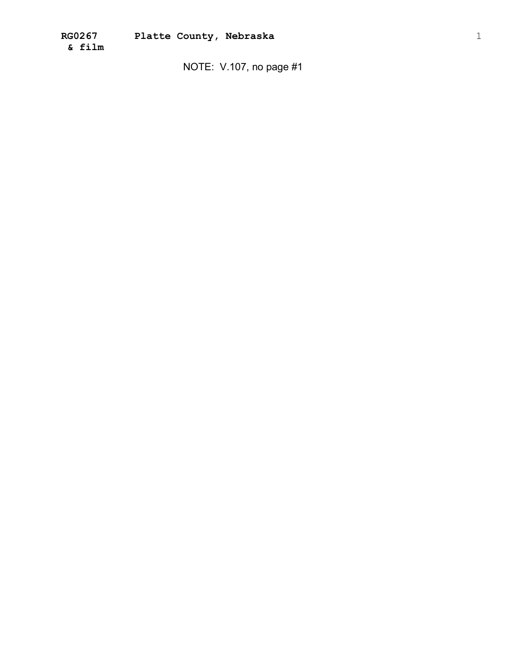NOTE: V.107, no page #1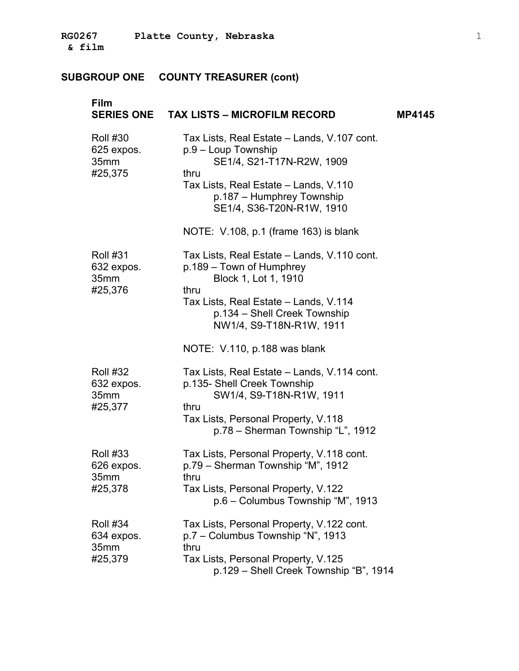| Film                                             | SERIES ONE TAX LISTS - MICROFILM RECORD                                                                                                                                                                      | <b>MP4145</b> |
|--------------------------------------------------|--------------------------------------------------------------------------------------------------------------------------------------------------------------------------------------------------------------|---------------|
| <b>Roll #30</b><br>625 expos.<br>35mm<br>#25,375 | Tax Lists, Real Estate - Lands, V.107 cont.<br>p.9 - Loup Township<br>SE1/4, S21-T17N-R2W, 1909<br>thru<br>Tax Lists, Real Estate - Lands, V.110<br>p.187 – Humphrey Township<br>SE1/4, S36-T20N-R1W, 1910   |               |
|                                                  | NOTE: V.108, p.1 (frame 163) is blank                                                                                                                                                                        |               |
| <b>Roll #31</b><br>632 expos.<br>35mm<br>#25,376 | Tax Lists, Real Estate - Lands, V.110 cont.<br>p.189 - Town of Humphrey<br>Block 1, Lot 1, 1910<br>thru<br>Tax Lists, Real Estate - Lands, V.114<br>p.134 - Shell Creek Township<br>NW1/4, S9-T18N-R1W, 1911 |               |
|                                                  | NOTE: V.110, p.188 was blank                                                                                                                                                                                 |               |
| <b>Roll #32</b><br>632 expos.<br>35mm<br>#25,377 | Tax Lists, Real Estate – Lands, V.114 cont.<br>p.135- Shell Creek Township<br>SW1/4, S9-T18N-R1W, 1911<br>thru<br>Tax Lists, Personal Property, V.118<br>p.78 - Sherman Township "L", 1912                   |               |
| <b>Roll #33</b><br>626 expos.<br>35mm<br>#25,378 | Tax Lists, Personal Property, V.118 cont.<br>p.79 - Sherman Township "M", 1912<br>thru<br>Tax Lists, Personal Property, V.122<br>p.6 - Columbus Township "M", 1913                                           |               |
| <b>Roll #34</b><br>634 expos.<br>35mm<br>#25,379 | Tax Lists, Personal Property, V.122 cont.<br>p.7 - Columbus Township "N", 1913<br>thru<br>Tax Lists, Personal Property, V.125<br>p.129 - Shell Creek Township "B", 1914                                      |               |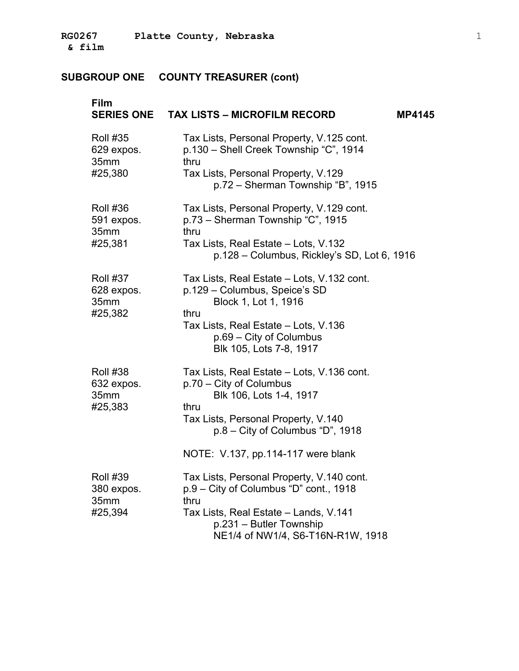| Film<br><b>SERIES ONE</b>                        | <b>TAX LISTS - MICROFILM RECORD</b>                                                                                                                                                                       | <b>MP4145</b> |
|--------------------------------------------------|-----------------------------------------------------------------------------------------------------------------------------------------------------------------------------------------------------------|---------------|
| <b>Roll #35</b><br>629 expos.<br>35mm<br>#25,380 | Tax Lists, Personal Property, V.125 cont.<br>p.130 - Shell Creek Township "C", 1914<br>thru<br>Tax Lists, Personal Property, V.129<br>p.72 - Sherman Township "B", 1915                                   |               |
| <b>Roll #36</b><br>591 expos.<br>35mm<br>#25,381 | Tax Lists, Personal Property, V.129 cont.<br>p.73 - Sherman Township "C", 1915<br>thru<br>Tax Lists, Real Estate - Lots, V.132<br>p.128 - Columbus, Rickley's SD, Lot 6, 1916                             |               |
| <b>Roll #37</b><br>628 expos.<br>35mm<br>#25,382 | Tax Lists, Real Estate - Lots, V.132 cont.<br>p.129 - Columbus, Speice's SD<br>Block 1, Lot 1, 1916<br>thru<br>Tax Lists, Real Estate - Lots, V.136<br>p.69 – City of Columbus<br>Blk 105, Lots 7-8, 1917 |               |
| <b>Roll #38</b><br>632 expos.<br>35mm<br>#25,383 | Tax Lists, Real Estate - Lots, V.136 cont.<br>p.70 – City of Columbus<br>Blk 106, Lots 1-4, 1917<br>thru<br>Tax Lists, Personal Property, V.140<br>$p.8 - City$ of Columbus "D", 1918                     |               |
|                                                  | NOTE: V.137, pp.114-117 were blank                                                                                                                                                                        |               |
| <b>Roll #39</b><br>380 expos.<br>35mm<br>#25,394 | Tax Lists, Personal Property, V.140 cont.<br>p.9 - City of Columbus "D" cont., 1918<br>thru<br>Tax Lists, Real Estate - Lands, V.141<br>p.231 - Butler Township<br>NE1/4 of NW1/4, S6-T16N-R1W, 1918      |               |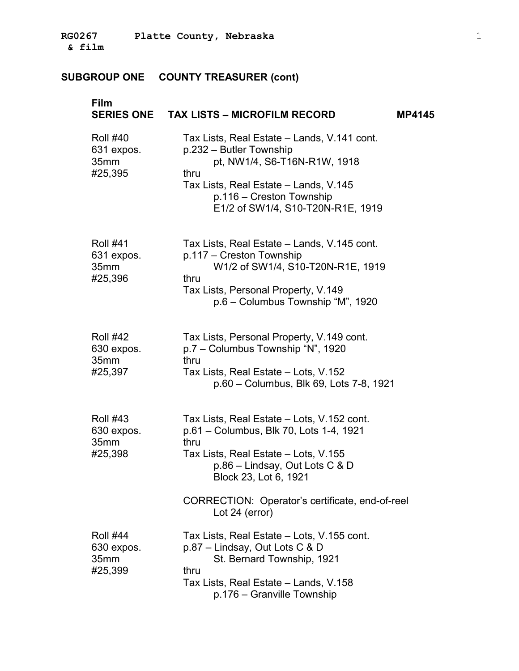| Film                                             | SERIES ONE TAX LISTS - MICROFILM RECORD                                                                                                                                                                                                                               | <b>MP4145</b> |
|--------------------------------------------------|-----------------------------------------------------------------------------------------------------------------------------------------------------------------------------------------------------------------------------------------------------------------------|---------------|
| <b>Roll #40</b><br>631 expos.<br>35mm<br>#25,395 | Tax Lists, Real Estate – Lands, V.141 cont.<br>p.232 – Butler Township<br>pt, NW1/4, S6-T16N-R1W, 1918<br>thru<br>Tax Lists, Real Estate – Lands, V.145<br>p.116 - Creston Township<br>E1/2 of SW1/4, S10-T20N-R1E, 1919                                              |               |
| <b>Roll #41</b><br>631 expos.<br>35mm<br>#25,396 | Tax Lists, Real Estate - Lands, V.145 cont.<br>p.117 - Creston Township<br>W1/2 of SW1/4, S10-T20N-R1E, 1919<br>thru<br>Tax Lists, Personal Property, V.149<br>p.6 - Columbus Township "M", 1920                                                                      |               |
| <b>Roll #42</b><br>630 expos.<br>35mm<br>#25,397 | Tax Lists, Personal Property, V.149 cont.<br>p.7 - Columbus Township "N", 1920<br>thru<br>Tax Lists, Real Estate - Lots, V.152<br>p.60 - Columbus, Blk 69, Lots 7-8, 1921                                                                                             |               |
| <b>Roll #43</b><br>630 expos.<br>35mm<br>#25,398 | Tax Lists, Real Estate - Lots, V.152 cont.<br>p.61 - Columbus, Blk 70, Lots 1-4, 1921<br>thru<br>Tax Lists, Real Estate - Lots, V.155<br>p.86 - Lindsay, Out Lots C & D<br>Block 23, Lot 6, 1921<br>CORRECTION: Operator's certificate, end-of-reel<br>Lot 24 (error) |               |
| <b>Roll #44</b><br>630 expos.<br>35mm<br>#25,399 | Tax Lists, Real Estate – Lots, V.155 cont.<br>p.87 – Lindsay, Out Lots C & D<br>St. Bernard Township, 1921<br>thru<br>Tax Lists, Real Estate - Lands, V.158<br>p.176 – Granville Township                                                                             |               |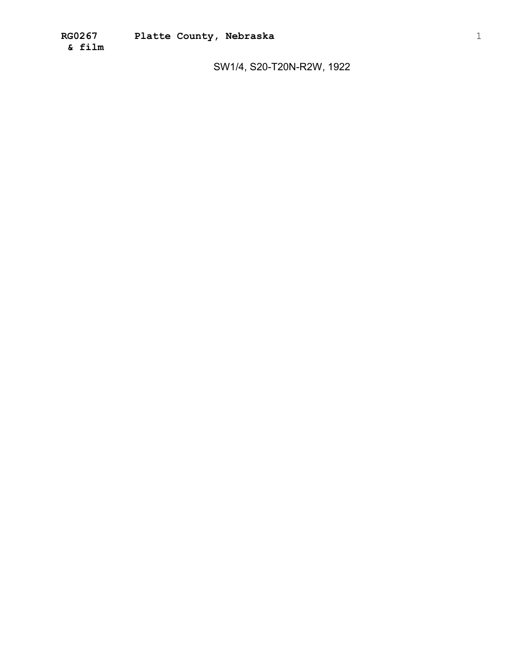SW1/4, S20-T20N-R2W, 1922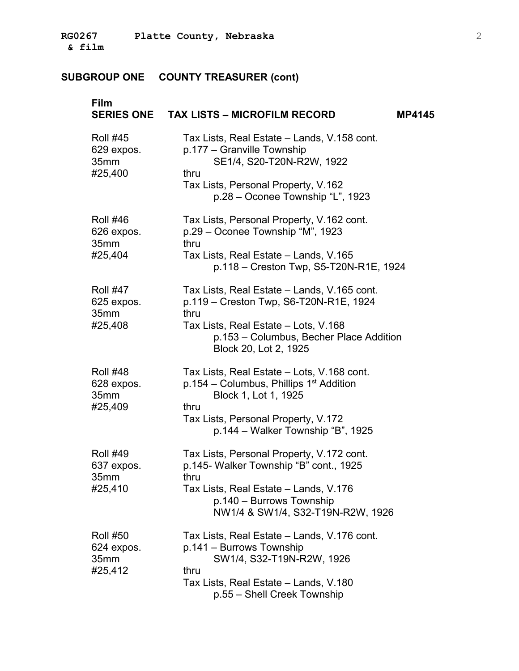| Film                                             | SERIES ONE TAX LISTS - MICROFILM RECORD                                                                                                                                                                         | <b>MP4145</b> |
|--------------------------------------------------|-----------------------------------------------------------------------------------------------------------------------------------------------------------------------------------------------------------------|---------------|
| <b>Roll #45</b><br>629 expos.<br>35mm<br>#25,400 | Tax Lists, Real Estate – Lands, V.158 cont.<br>p.177 - Granville Township<br>SE1/4, S20-T20N-R2W, 1922<br>thru<br>Tax Lists, Personal Property, V.162<br>p.28 – Oconee Township "L", 1923                       |               |
| <b>Roll #46</b><br>626 expos.<br>35mm<br>#25,404 | Tax Lists, Personal Property, V.162 cont.<br>p.29 – Oconee Township "M", 1923<br>thru<br>Tax Lists, Real Estate – Lands, V.165<br>p.118 - Creston Twp, S5-T20N-R1E, 1924                                        |               |
| <b>Roll #47</b><br>625 expos.<br>35mm<br>#25,408 | Tax Lists, Real Estate - Lands, V.165 cont.<br>p.119 - Creston Twp, S6-T20N-R1E, 1924<br>thru<br>Tax Lists, Real Estate - Lots, V.168<br>p.153 - Columbus, Becher Place Addition<br>Block 20, Lot 2, 1925       |               |
| <b>Roll #48</b><br>628 expos.<br>35mm<br>#25,409 | Tax Lists, Real Estate - Lots, V.168 cont.<br>$p.154 - Columns$ , Phillips 1 <sup>st</sup> Addition<br>Block 1, Lot 1, 1925<br>thru<br>Tax Lists, Personal Property, V.172<br>p.144 – Walker Township "B", 1925 |               |
| <b>Roll #49</b><br>637 expos.<br>35mm<br>#25,410 | Tax Lists, Personal Property, V.172 cont.<br>p.145- Walker Township "B" cont., 1925<br>thru<br>Tax Lists, Real Estate - Lands, V.176<br>p.140 - Burrows Township<br>NW1/4 & SW1/4, S32-T19N-R2W, 1926           |               |
| <b>Roll #50</b><br>624 expos.<br>35mm<br>#25,412 | Tax Lists, Real Estate – Lands, V.176 cont.<br>p.141 - Burrows Township<br>SW1/4, S32-T19N-R2W, 1926<br>thru<br>Tax Lists, Real Estate - Lands, V.180<br>p.55 - Shell Creek Township                            |               |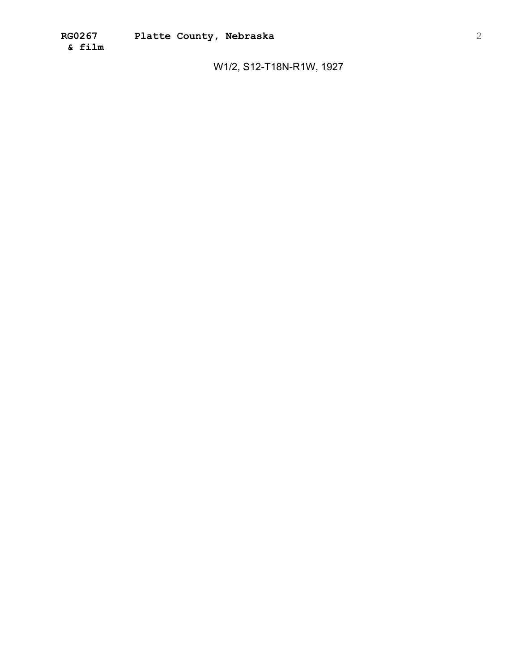W1/2, S12-T18N-R1W, 1927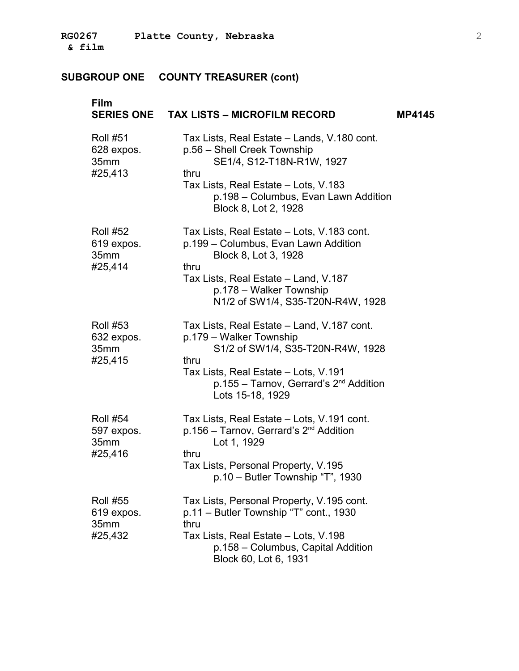| <b>Film</b>                                      | SERIES ONE TAX LISTS - MICROFILM RECORD                                                                                                                                                                                       | <b>MP4145</b> |
|--------------------------------------------------|-------------------------------------------------------------------------------------------------------------------------------------------------------------------------------------------------------------------------------|---------------|
| <b>Roll #51</b><br>628 expos.<br>35mm<br>#25,413 | Tax Lists, Real Estate – Lands, V.180 cont.<br>p.56 - Shell Creek Township<br>SE1/4, S12-T18N-R1W, 1927<br>thru<br>Tax Lists, Real Estate - Lots, V.183<br>p.198 - Columbus, Evan Lawn Addition<br>Block 8, Lot 2, 1928       |               |
| <b>Roll #52</b><br>619 expos.<br>35mm<br>#25,414 | Tax Lists, Real Estate - Lots, V.183 cont.<br>p.199 – Columbus, Evan Lawn Addition<br>Block 8, Lot 3, 1928<br>thru<br>Tax Lists, Real Estate - Land, V.187<br>p.178 - Walker Township<br>N1/2 of SW1/4, S35-T20N-R4W, 1928    |               |
| <b>Roll #53</b><br>632 expos.<br>35mm<br>#25,415 | Tax Lists, Real Estate – Land, V.187 cont.<br>p.179 - Walker Township<br>S1/2 of SW1/4, S35-T20N-R4W, 1928<br>thru<br>Tax Lists, Real Estate - Lots, V.191<br>$p.155 - Tarnov$ , Gerrard's $2nd$ Addition<br>Lots 15-18, 1929 |               |
| <b>Roll #54</b><br>597 expos.<br>35mm<br>#25,416 | Tax Lists, Real Estate - Lots, V.191 cont.<br>p.156 - Tarnov, Gerrard's 2 <sup>nd</sup> Addition<br>Lot 1, 1929<br>thru<br>Tax Lists, Personal Property, V.195<br>p.10 - Butler Township "T", 1930                            |               |
| <b>Roll #55</b><br>619 expos.<br>35mm<br>#25,432 | Tax Lists, Personal Property, V.195 cont.<br>p.11 – Butler Township "T" cont., 1930<br>thru<br>Tax Lists, Real Estate - Lots, V.198<br>p.158 - Columbus, Capital Addition<br>Block 60, Lot 6, 1931                            |               |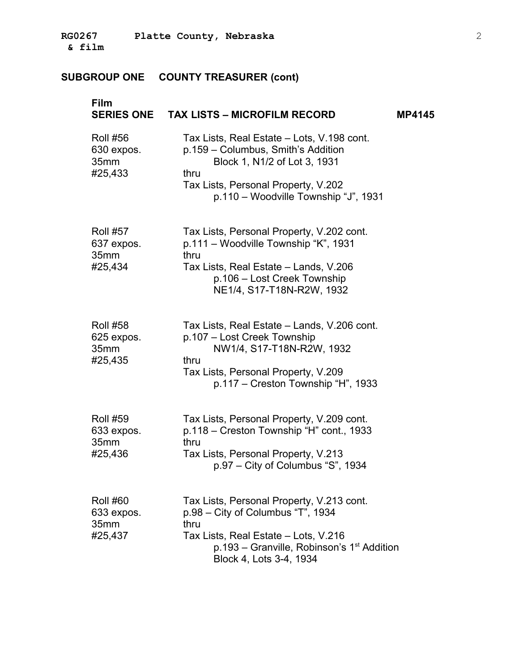| Film                                             | SERIES ONE TAX LISTS - MICROFILM RECORD                                                                                                                                                                               | <b>MP4145</b> |
|--------------------------------------------------|-----------------------------------------------------------------------------------------------------------------------------------------------------------------------------------------------------------------------|---------------|
| <b>Roll #56</b><br>630 expos.<br>35mm<br>#25,433 | Tax Lists, Real Estate – Lots, V.198 cont.<br>p.159 - Columbus, Smith's Addition<br>Block 1, N1/2 of Lot 3, 1931<br>thru<br>Tax Lists, Personal Property, V.202<br>p.110 - Woodville Township "J", 1931               |               |
| <b>Roll #57</b><br>637 expos.<br>35mm<br>#25,434 | Tax Lists, Personal Property, V.202 cont.<br>p.111 - Woodville Township "K", 1931<br>thru<br>Tax Lists, Real Estate - Lands, V.206<br>p.106 - Lost Creek Township<br>NE1/4, S17-T18N-R2W, 1932                        |               |
| <b>Roll #58</b><br>625 expos.<br>35mm<br>#25,435 | Tax Lists, Real Estate – Lands, V.206 cont.<br>p.107 - Lost Creek Township<br>NW1/4, S17-T18N-R2W, 1932<br>thru<br>Tax Lists, Personal Property, V.209<br>p.117 – Creston Township "H", 1933                          |               |
| <b>Roll #59</b><br>633 expos.<br>35mm<br>#25,436 | Tax Lists, Personal Property, V.209 cont.<br>p.118 - Creston Township "H" cont., 1933<br>thru<br>Tax Lists, Personal Property, V.213<br>p.97 – City of Columbus "S", 1934                                             |               |
| <b>Roll #60</b><br>633 expos.<br>35mm<br>#25,437 | Tax Lists, Personal Property, V.213 cont.<br>p.98 - City of Columbus "T", 1934<br>thru<br>Tax Lists, Real Estate - Lots, V.216<br>$p.193$ – Granville, Robinson's 1 <sup>st</sup> Addition<br>Block 4, Lots 3-4, 1934 |               |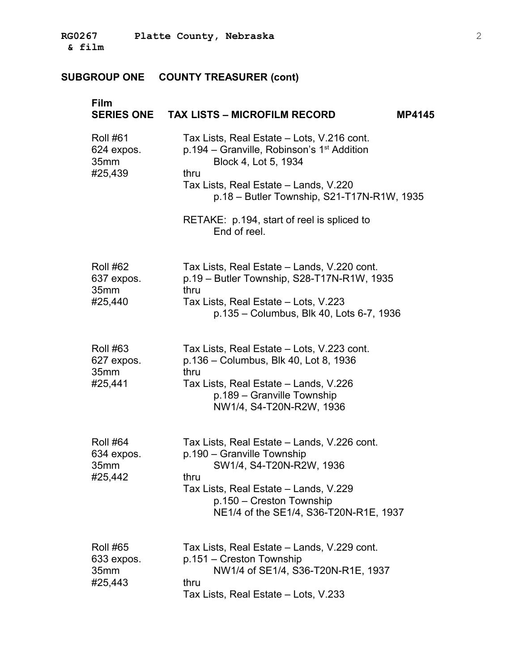| Film                                             | SERIES ONE TAX LISTS - MICROFILM RECORD<br><b>MP4145</b>                                                                                                                                                                                                                                    |
|--------------------------------------------------|---------------------------------------------------------------------------------------------------------------------------------------------------------------------------------------------------------------------------------------------------------------------------------------------|
| <b>Roll #61</b><br>624 expos.<br>35mm<br>#25,439 | Tax Lists, Real Estate - Lots, V.216 cont.<br>$p.194$ – Granville, Robinson's 1 <sup>st</sup> Addition<br>Block 4, Lot 5, 1934<br>thru<br>Tax Lists, Real Estate - Lands, V.220<br>p.18 - Butler Township, S21-T17N-R1W, 1935<br>RETAKE: p.194, start of reel is spliced to<br>End of reel. |
| <b>Roll #62</b><br>637 expos.<br>35mm<br>#25,440 | Tax Lists, Real Estate - Lands, V.220 cont.<br>p.19 - Butler Township, S28-T17N-R1W, 1935<br>thru<br>Tax Lists, Real Estate - Lots, V.223<br>p.135 - Columbus, Blk 40, Lots 6-7, 1936                                                                                                       |
| <b>Roll #63</b><br>627 expos.<br>35mm<br>#25,441 | Tax Lists, Real Estate - Lots, V.223 cont.<br>p.136 – Columbus, Blk 40, Lot 8, 1936<br>thru<br>Tax Lists, Real Estate – Lands, V.226<br>p.189 – Granville Township<br>NW1/4, S4-T20N-R2W, 1936                                                                                              |
| <b>Roll #64</b><br>634 expos.<br>35mm<br>#25,442 | Tax Lists, Real Estate - Lands, V.226 cont.<br>p.190 - Granville Township<br>SW1/4, S4-T20N-R2W, 1936<br>thru<br>Tax Lists, Real Estate – Lands, V.229<br>p.150 – Creston Township<br>NE1/4 of the SE1/4, S36-T20N-R1E, 1937                                                                |
| <b>Roll #65</b><br>633 expos.<br>35mm<br>#25,443 | Tax Lists, Real Estate - Lands, V.229 cont.<br>p.151 – Creston Township<br>NW1/4 of SE1/4, S36-T20N-R1E, 1937<br>thru<br>Tax Lists, Real Estate - Lots, V.233                                                                                                                               |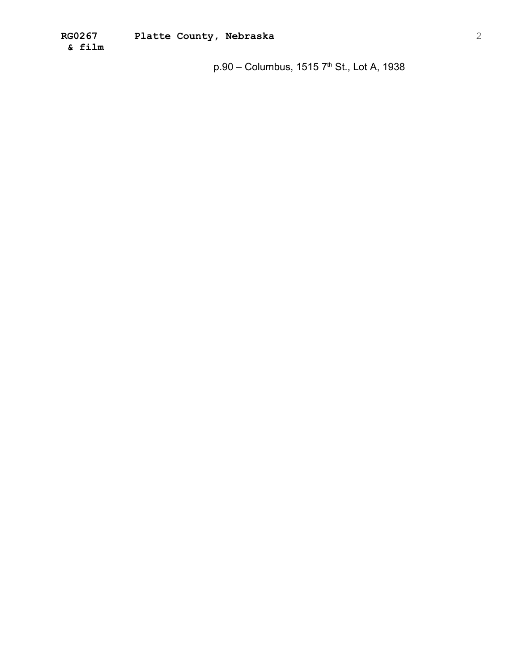$p.90 -$  Columbus, 1515  $7<sup>th</sup>$  St., Lot A, 1938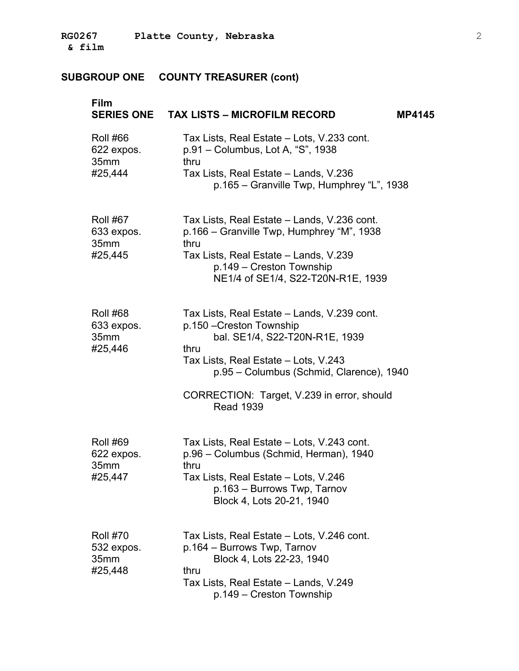| Film                                             | SERIES ONE TAX LISTS - MICROFILM RECORD<br><b>MP4145</b>                                                                                                                                                                                                                |
|--------------------------------------------------|-------------------------------------------------------------------------------------------------------------------------------------------------------------------------------------------------------------------------------------------------------------------------|
| <b>Roll #66</b><br>622 expos.<br>35mm<br>#25,444 | Tax Lists, Real Estate - Lots, V.233 cont.<br>p.91 - Columbus, Lot A, "S", 1938<br>thru<br>Tax Lists, Real Estate - Lands, V.236<br>p.165 – Granville Twp, Humphrey "L", 1938                                                                                           |
| <b>Roll #67</b><br>633 expos.<br>35mm<br>#25,445 | Tax Lists, Real Estate - Lands, V.236 cont.<br>p.166 – Granville Twp, Humphrey "M", 1938<br>thru<br>Tax Lists, Real Estate - Lands, V.239<br>p.149 - Creston Township<br>NE1/4 of SE1/4, S22-T20N-R1E, 1939                                                             |
| <b>Roll #68</b><br>633 expos.<br>35mm<br>#25,446 | Tax Lists, Real Estate - Lands, V.239 cont.<br>p.150 - Creston Township<br>bal. SE1/4, S22-T20N-R1E, 1939<br>thru<br>Tax Lists, Real Estate - Lots, V.243<br>p.95 – Columbus (Schmid, Clarence), 1940<br>CORRECTION: Target, V.239 in error, should<br><b>Read 1939</b> |
| <b>Roll #69</b><br>622 expos.<br>35mm<br>#25,447 | Tax Lists, Real Estate - Lots, V.243 cont.<br>p.96 - Columbus (Schmid, Herman), 1940<br>thru<br>Tax Lists, Real Estate – Lots, V.246<br>p.163 - Burrows Twp, Tarnov<br>Block 4, Lots 20-21, 1940                                                                        |
| <b>Roll #70</b><br>532 expos.<br>35mm<br>#25,448 | Tax Lists, Real Estate - Lots, V.246 cont.<br>p.164 - Burrows Twp, Tarnov<br>Block 4, Lots 22-23, 1940<br>thru<br>Tax Lists, Real Estate - Lands, V.249<br>p.149 – Creston Township                                                                                     |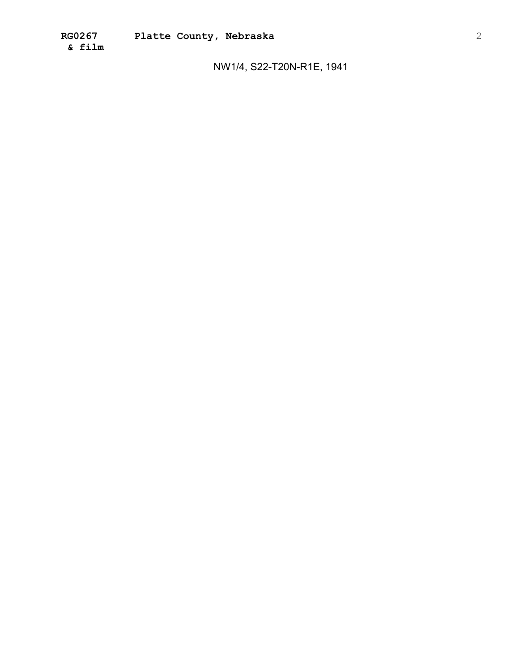NW1/4, S22-T20N-R1E, 1941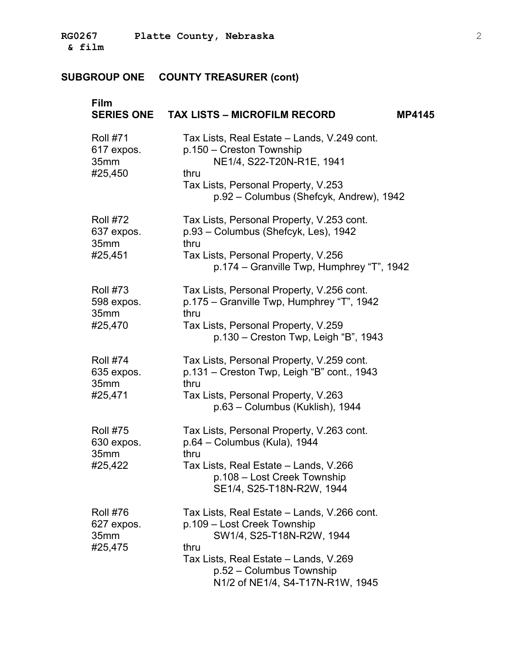| Film                                             | SERIES ONE TAX LISTS - MICROFILM RECORD<br><b>MP4145</b>                                                                                                                                                                 |
|--------------------------------------------------|--------------------------------------------------------------------------------------------------------------------------------------------------------------------------------------------------------------------------|
| <b>Roll #71</b><br>617 expos.<br>35mm<br>#25,450 | Tax Lists, Real Estate – Lands, V.249 cont.<br>p.150 - Creston Township<br>NE1/4, S22-T20N-R1E, 1941<br>thru<br>Tax Lists, Personal Property, V.253<br>p.92 - Columbus (Shefcyk, Andrew), 1942                           |
| <b>Roll #72</b><br>637 expos.<br>35mm<br>#25,451 | Tax Lists, Personal Property, V.253 cont.<br>p.93 - Columbus (Shefcyk, Les), 1942<br>thru<br>Tax Lists, Personal Property, V.256<br>p.174 – Granville Twp, Humphrey "T", 1942                                            |
| <b>Roll #73</b><br>598 expos.<br>35mm<br>#25,470 | Tax Lists, Personal Property, V.256 cont.<br>p.175 - Granville Twp, Humphrey "T", 1942<br>thru<br>Tax Lists, Personal Property, V.259<br>$p.130 - C$ reston Twp, Leigh "B", 1943                                         |
| <b>Roll #74</b><br>635 expos.<br>35mm<br>#25,471 | Tax Lists, Personal Property, V.259 cont.<br>p.131 – Creston Twp, Leigh "B" cont., 1943<br>thru<br>Tax Lists, Personal Property, V.263<br>p.63 - Columbus (Kuklish), 1944                                                |
| <b>Roll #75</b><br>630 expos.<br>35mm<br>#25,422 | Tax Lists, Personal Property, V.263 cont.<br>p.64 - Columbus (Kula), 1944<br>thru<br>Tax Lists, Real Estate - Lands, V.266<br>p.108 – Lost Creek Township<br>SE1/4, S25-T18N-R2W, 1944                                   |
| <b>Roll #76</b><br>627 expos.<br>35mm<br>#25,475 | Tax Lists, Real Estate - Lands, V.266 cont.<br>p.109 - Lost Creek Township<br>SW1/4, S25-T18N-R2W, 1944<br>thru<br>Tax Lists, Real Estate - Lands, V.269<br>p.52 - Columbus Township<br>N1/2 of NE1/4, S4-T17N-R1W, 1945 |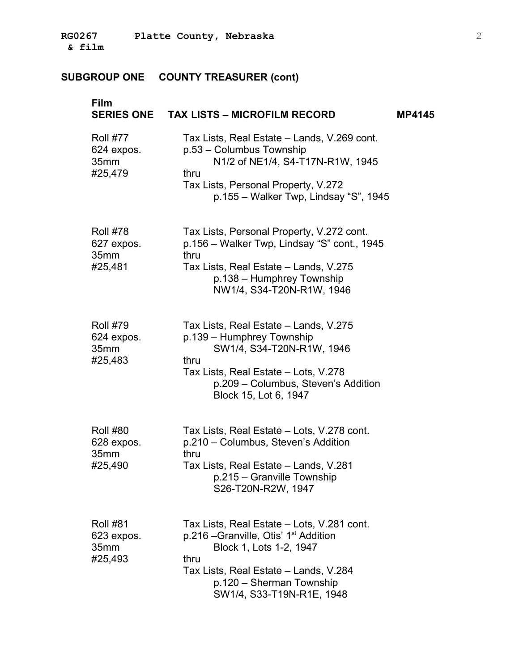| <b>Film</b><br><b>SERIES ONE</b>                 | <b>TAX LISTS - MICROFILM RECORD</b>                                                                                                                                                                                                  | <b>MP4145</b> |
|--------------------------------------------------|--------------------------------------------------------------------------------------------------------------------------------------------------------------------------------------------------------------------------------------|---------------|
| <b>Roll #77</b><br>624 expos.<br>35mm<br>#25,479 | Tax Lists, Real Estate - Lands, V.269 cont.<br>p.53 - Columbus Township<br>N1/2 of NE1/4, S4-T17N-R1W, 1945<br>thru<br>Tax Lists, Personal Property, V.272<br>p.155 – Walker Twp, Lindsay "S", 1945                                  |               |
| <b>Roll #78</b><br>627 expos.<br>35mm<br>#25,481 | Tax Lists, Personal Property, V.272 cont.<br>p.156 – Walker Twp, Lindsay "S" cont., 1945<br>thru<br>Tax Lists, Real Estate - Lands, V.275<br>p.138 - Humphrey Township<br>NW1/4, S34-T20N-R1W, 1946                                  |               |
| <b>Roll #79</b><br>624 expos.<br>35mm<br>#25,483 | Tax Lists, Real Estate - Lands, V.275<br>p.139 - Humphrey Township<br>SW1/4, S34-T20N-R1W, 1946<br>thru<br>Tax Lists, Real Estate - Lots, V.278<br>p.209 - Columbus, Steven's Addition<br>Block 15, Lot 6, 1947                      |               |
| <b>Roll #80</b><br>628 expos.<br>35mm<br>#25,490 | Tax Lists, Real Estate - Lots, V.278 cont.<br>p.210 – Columbus, Steven's Addition<br>thru<br>Tax Lists, Real Estate - Lands, V.281<br>p.215 – Granville Township<br>S26-T20N-R2W, 1947                                               |               |
| <b>Roll #81</b><br>623 expos.<br>35mm<br>#25,493 | Tax Lists, Real Estate – Lots, V.281 cont.<br>p.216 – Granville, Otis' 1 <sup>st</sup> Addition<br>Block 1, Lots 1-2, 1947<br>thru<br>Tax Lists, Real Estate - Lands, V.284<br>p.120 - Sherman Township<br>SW1/4, S33-T19N-R1E, 1948 |               |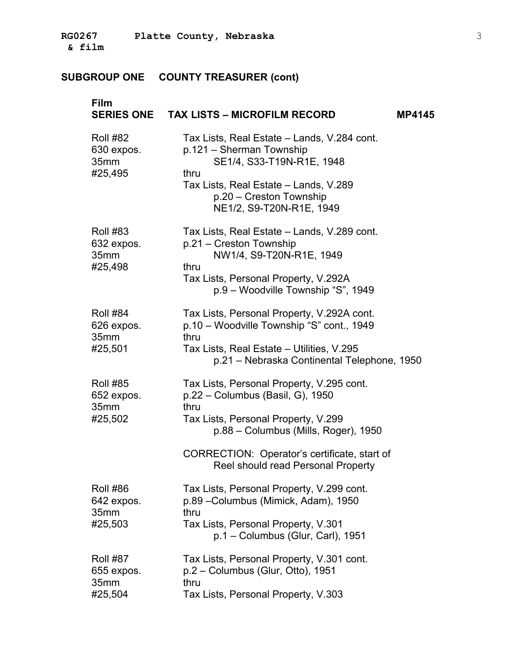| Film                                             | SERIES ONE TAX LISTS - MICROFILM RECORD                                                                                                                                                                                                                    | <b>MP4145</b> |
|--------------------------------------------------|------------------------------------------------------------------------------------------------------------------------------------------------------------------------------------------------------------------------------------------------------------|---------------|
| <b>Roll #82</b><br>630 expos.<br>35mm<br>#25,495 | Tax Lists, Real Estate – Lands, V.284 cont.<br>p.121 - Sherman Township<br>SE1/4, S33-T19N-R1E, 1948<br>thru<br>Tax Lists, Real Estate - Lands, V.289<br>p.20 - Creston Township<br>NE1/2, S9-T20N-R1E, 1949                                               |               |
| <b>Roll #83</b><br>632 expos.<br>35mm<br>#25,498 | Tax Lists, Real Estate - Lands, V.289 cont.<br>p.21 – Creston Township<br>NW1/4, S9-T20N-R1E, 1949<br>thru<br>Tax Lists, Personal Property, V.292A<br>p.9 - Woodville Township "S", 1949                                                                   |               |
| <b>Roll #84</b><br>626 expos.<br>35mm<br>#25,501 | Tax Lists, Personal Property, V.292A cont.<br>p.10 - Woodville Township "S" cont., 1949<br>thru<br>Tax Lists, Real Estate - Utilities, V.295<br>p.21 - Nebraska Continental Telephone, 1950                                                                |               |
| <b>Roll #85</b><br>652 expos.<br>35mm<br>#25,502 | Tax Lists, Personal Property, V.295 cont.<br>p.22 - Columbus (Basil, G), 1950<br>thru<br>Tax Lists, Personal Property, V.299<br>p.88 - Columbus (Mills, Roger), 1950<br>CORRECTION: Operator's certificate, start of<br>Reel should read Personal Property |               |
| <b>Roll #86</b><br>642 expos.<br>35mm<br>#25,503 | Tax Lists, Personal Property, V.299 cont.<br>p.89 - Columbus (Mimick, Adam), 1950<br>thru<br>Tax Lists, Personal Property, V.301<br>p.1 - Columbus (Glur, Carl), 1951                                                                                      |               |
| <b>Roll #87</b><br>655 expos.<br>35mm<br>#25,504 | Tax Lists, Personal Property, V.301 cont.<br>$p.2 -$ Columbus (Glur, Otto), 1951<br>thru<br>Tax Lists, Personal Property, V.303                                                                                                                            |               |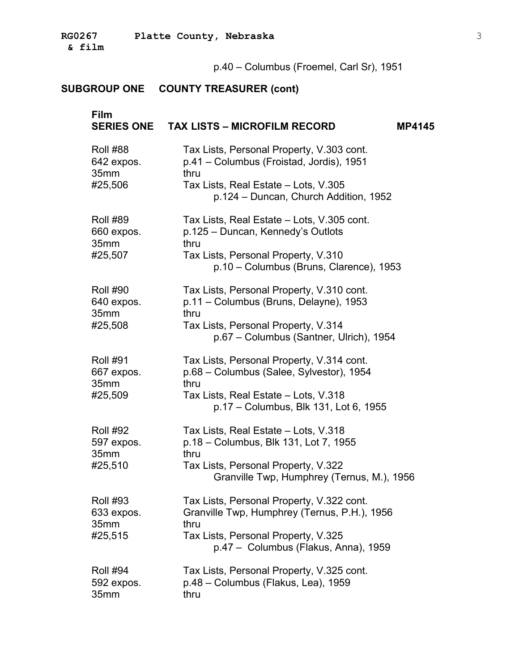**& film** �

p.40 – Columbus (Froemel, Carl Sr), 1951

| <b>Film</b>     | SERIES ONE TAX LISTS - MICROFILM RECORD<br><b>MP4145</b>                                  |
|-----------------|-------------------------------------------------------------------------------------------|
| <b>Roll #88</b> | Tax Lists, Personal Property, V.303 cont.                                                 |
| 642 expos.      | p.41 - Columbus (Froistad, Jordis), 1951                                                  |
| 35mm<br>#25,506 | thru<br>Tax Lists, Real Estate - Lots, V.305<br>p.124 - Duncan, Church Addition, 1952     |
| <b>Roll #89</b> | Tax Lists, Real Estate - Lots, V.305 cont.                                                |
| 660 expos.      | p.125 - Duncan, Kennedy's Outlots                                                         |
| 35mm<br>#25,507 | thru<br>Tax Lists, Personal Property, V.310<br>p.10 - Columbus (Bruns, Clarence), 1953    |
| <b>Roll #90</b> | Tax Lists, Personal Property, V.310 cont.                                                 |
| 640 expos.      | p.11 - Columbus (Bruns, Delayne), 1953                                                    |
| 35mm<br>#25,508 | thru<br>Tax Lists, Personal Property, V.314<br>p.67 - Columbus (Santner, Ulrich), 1954    |
| <b>Roll #91</b> | Tax Lists, Personal Property, V.314 cont.                                                 |
| 667 expos.      | p.68 - Columbus (Salee, Sylvestor), 1954                                                  |
| 35mm<br>#25,509 | thru<br>Tax Lists, Real Estate - Lots, V.318<br>p.17 - Columbus, Blk 131, Lot 6, 1955     |
| <b>Roll #92</b> | Tax Lists, Real Estate - Lots, V.318                                                      |
| 597 expos.      | p.18 - Columbus, Blk 131, Lot 7, 1955                                                     |
| 35mm<br>#25,510 | thru<br>Tax Lists, Personal Property, V.322<br>Granville Twp, Humphrey (Ternus, M.), 1956 |
| <b>Roll #93</b> | Tax Lists, Personal Property, V.322 cont.                                                 |
| 633 expos.      | Granville Twp, Humphrey (Ternus, P.H.), 1956                                              |
| 35mm<br>#25,515 | thru<br>Tax Lists, Personal Property, V.325<br>p.47 - Columbus (Flakus, Anna), 1959       |
| <b>Roll #94</b> | Tax Lists, Personal Property, V.325 cont.                                                 |
| 592 expos.      | p.48 - Columbus (Flakus, Lea), 1959                                                       |
| 35mm            | thru                                                                                      |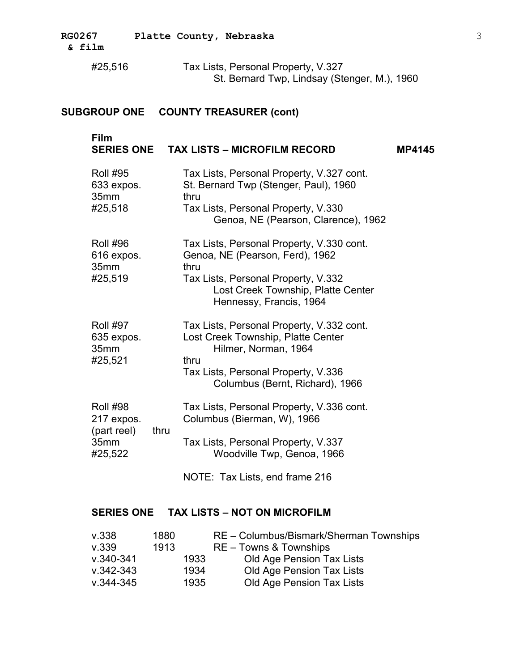| <b>RG0267</b> | Platte County, Nebraska | $\sim$ |
|---------------|-------------------------|--------|
| & film        |                         |        |

| #25,516 | Tax Lists, Personal Property, V.327          |
|---------|----------------------------------------------|
|         | St. Bernard Twp, Lindsay (Stenger, M.), 1960 |

| Film<br><b>SERIES ONE</b>                                       |              | <b>TAX LISTS - MICROFILM RECORD</b>                                                                                                                                                          | <b>MP4145</b> |
|-----------------------------------------------------------------|--------------|----------------------------------------------------------------------------------------------------------------------------------------------------------------------------------------------|---------------|
| <b>Roll #95</b><br>633 expos.<br>35mm<br>#25,518                |              | Tax Lists, Personal Property, V.327 cont.<br>St. Bernard Twp (Stenger, Paul), 1960<br>thru<br>Tax Lists, Personal Property, V.330<br>Genoa, NE (Pearson, Clarence), 1962                     |               |
| <b>Roll #96</b><br>616 expos.<br>35mm<br>#25,519                |              | Tax Lists, Personal Property, V.330 cont.<br>Genoa, NE (Pearson, Ferd), 1962<br>thru<br>Tax Lists, Personal Property, V.332<br>Lost Creek Township, Platte Center<br>Hennessy, Francis, 1964 |               |
| <b>Roll #97</b><br>635 expos.<br>35mm<br>#25,521                |              | Tax Lists, Personal Property, V.332 cont.<br>Lost Creek Township, Platte Center<br>Hilmer, Norman, 1964<br>thru<br>Tax Lists, Personal Property, V.336<br>Columbus (Bernt, Richard), 1966    |               |
| <b>Roll #98</b><br>217 expos.<br>(part reel)<br>35mm<br>#25,522 | thru         | Tax Lists, Personal Property, V.336 cont.<br>Columbus (Bierman, W), 1966<br>Tax Lists, Personal Property, V.337<br>Woodville Twp, Genoa, 1966                                                |               |
| <b>SERIES ONE</b>                                               |              | NOTE: Tax Lists, end frame 216<br><b>TAX LISTS - NOT ON MICROFILM</b>                                                                                                                        |               |
|                                                                 |              |                                                                                                                                                                                              |               |
| V.338<br>v.339                                                  | 1880<br>1913 | RE - Columbus/Bismark/Sherman Townships<br>RE - Towns & Townships                                                                                                                            |               |

| v.339     | 1913 | RE - Towns & Townships    |  |
|-----------|------|---------------------------|--|
| v.340-341 | 1933 | Old Age Pension Tax Lists |  |
| v.342-343 | 1934 | Old Age Pension Tax Lists |  |
| v.344-345 | 1935 | Old Age Pension Tax Lists |  |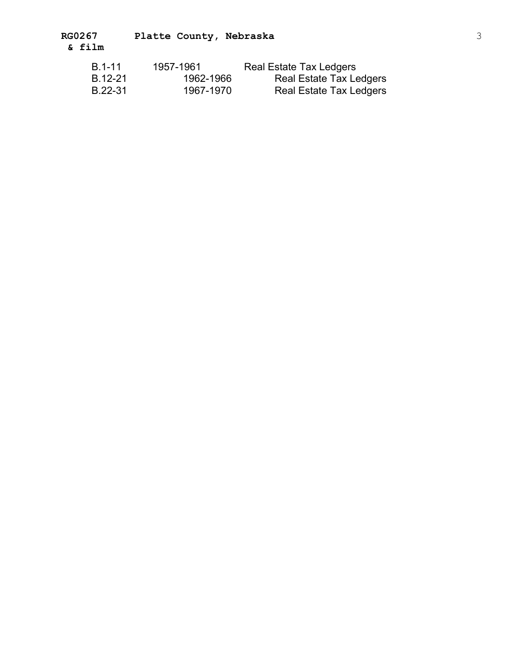| B.1-11  | 1957-1961 | Real Estate Tax Ledgers |
|---------|-----------|-------------------------|
| B.12-21 | 1962-1966 | Real Estate Tax Ledgers |
| B.22-31 | 1967-1970 | Real Estate Tax Ledgers |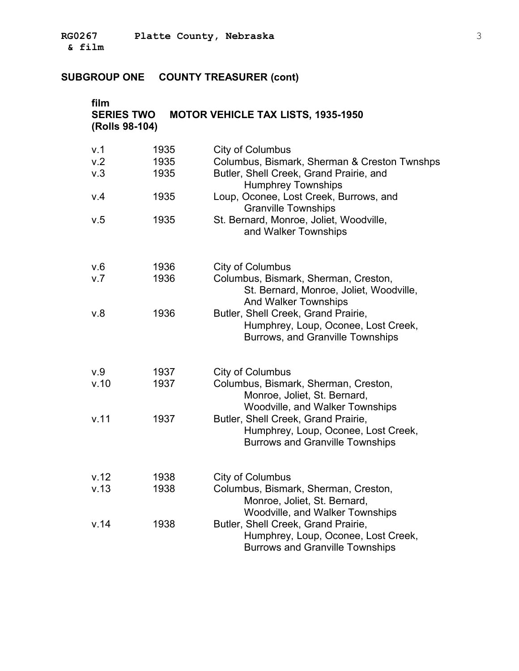**RG0267 Platte County, Nebraska** 3 **& film** �

| film<br><b>SERIES TWO</b><br>(Rolls 98-104) |      | <b>MOTOR VEHICLE TAX LISTS, 1935-1950</b>                                                                            |
|---------------------------------------------|------|----------------------------------------------------------------------------------------------------------------------|
| v.1                                         | 1935 | <b>City of Columbus</b>                                                                                              |
| v.2                                         | 1935 | Columbus, Bismark, Sherman & Creston Twnshps                                                                         |
| v.3                                         | 1935 | Butler, Shell Creek, Grand Prairie, and<br><b>Humphrey Townships</b>                                                 |
| V.4                                         | 1935 | Loup, Oconee, Lost Creek, Burrows, and<br><b>Granville Townships</b>                                                 |
| v.5                                         | 1935 | St. Bernard, Monroe, Joliet, Woodville,<br>and Walker Townships                                                      |
| V.6                                         | 1936 | <b>City of Columbus</b>                                                                                              |
| V.7                                         | 1936 | Columbus, Bismark, Sherman, Creston,<br>St. Bernard, Monroe, Joliet, Woodville,<br><b>And Walker Townships</b>       |
| v.8                                         | 1936 | Butler, Shell Creek, Grand Prairie,<br>Humphrey, Loup, Oconee, Lost Creek,<br>Burrows, and Granville Townships       |
| V.9                                         | 1937 | City of Columbus                                                                                                     |
| v.10                                        | 1937 | Columbus, Bismark, Sherman, Creston,<br>Monroe, Joliet, St. Bernard,                                                 |
| v.11                                        | 1937 | Woodville, and Walker Townships<br>Butler, Shell Creek, Grand Prairie,<br>Humphrey, Loup, Oconee, Lost Creek,        |
|                                             |      | <b>Burrows and Granville Townships</b>                                                                               |
| v.12                                        | 1938 | <b>City of Columbus</b>                                                                                              |
| v.13                                        | 1938 | Columbus, Bismark, Sherman, Creston,<br>Monroe, Joliet, St. Bernard,<br><b>Woodville, and Walker Townships</b>       |
| v.14                                        | 1938 | Butler, Shell Creek, Grand Prairie,<br>Humphrey, Loup, Oconee, Lost Creek,<br><b>Burrows and Granville Townships</b> |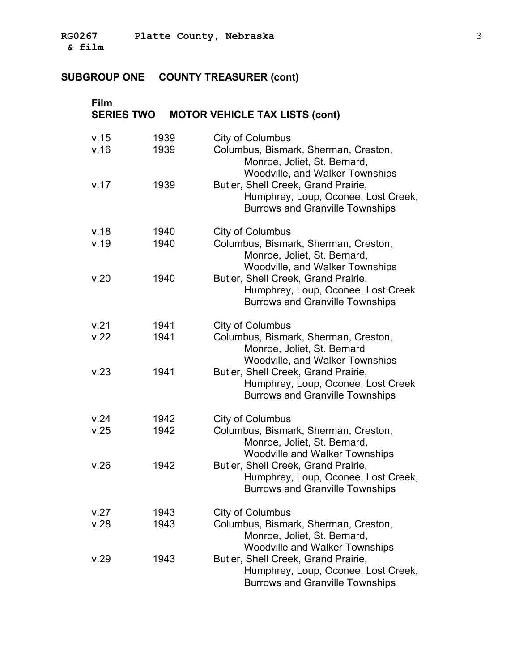# **SUBGROUP ONE COUNTY TREASURER (cont)**

| Film<br><b>SERIES TWO</b> |              | <b>MOTOR VEHICLE TAX LISTS (cont)</b>                                                                                                     |
|---------------------------|--------------|-------------------------------------------------------------------------------------------------------------------------------------------|
| v.15<br>v.16              | 1939<br>1939 | City of Columbus<br>Columbus, Bismark, Sherman, Creston,<br>Monroe, Joliet, St. Bernard,<br><b>Woodville, and Walker Townships</b>        |
| v.17                      | 1939         | Butler, Shell Creek, Grand Prairie,<br>Humphrey, Loup, Oconee, Lost Creek,<br><b>Burrows and Granville Townships</b>                      |
| v.18<br>v.19              | 1940<br>1940 | <b>City of Columbus</b><br>Columbus, Bismark, Sherman, Creston,<br>Monroe, Joliet, St. Bernard,<br><b>Woodville, and Walker Townships</b> |
| v.20                      | 1940         | Butler, Shell Creek, Grand Prairie,<br>Humphrey, Loup, Oconee, Lost Creek<br><b>Burrows and Granville Townships</b>                       |
| v.21<br>V.22              | 1941<br>1941 | <b>City of Columbus</b><br>Columbus, Bismark, Sherman, Creston,<br>Monroe, Joliet, St. Bernard<br><b>Woodville, and Walker Townships</b>  |
| v.23                      | 1941         | Butler, Shell Creek, Grand Prairie,<br>Humphrey, Loup, Oconee, Lost Creek<br><b>Burrows and Granville Townships</b>                       |
| v.24<br>v.25              | 1942<br>1942 | City of Columbus<br>Columbus, Bismark, Sherman, Creston,<br>Monroe, Joliet, St. Bernard,<br><b>Woodville and Walker Townships</b>         |
| v.26                      | 1942         | Butler, Shell Creek, Grand Prairie,<br>Humphrey, Loup, Oconee, Lost Creek,<br><b>Burrows and Granville Townships</b>                      |
| v.27<br>v.28              | 1943<br>1943 | City of Columbus<br>Columbus, Bismark, Sherman, Creston,<br>Monroe, Joliet, St. Bernard,<br><b>Woodville and Walker Townships</b>         |
| v.29                      | 1943         | Butler, Shell Creek, Grand Prairie,<br>Humphrey, Loup, Oconee, Lost Creek,<br><b>Burrows and Granville Townships</b>                      |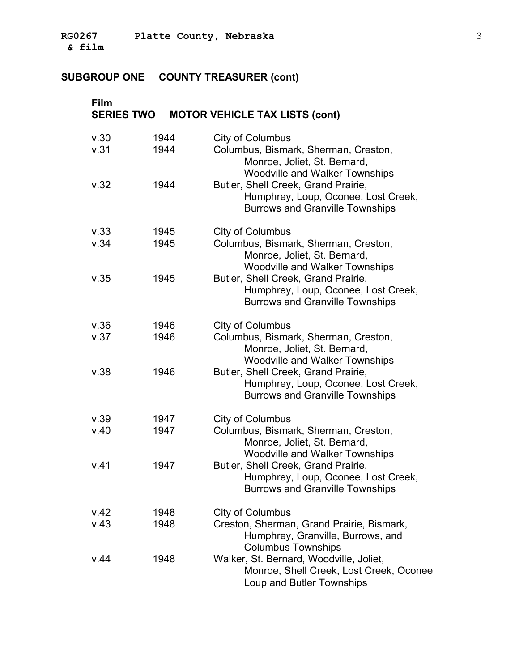# **SUBGROUP ONE COUNTY TREASURER (cont)**

| Film<br><b>SERIES TWO</b> |              | <b>MOTOR VEHICLE TAX LISTS (cont)</b>                                                                                             |
|---------------------------|--------------|-----------------------------------------------------------------------------------------------------------------------------------|
| v.30<br>v.31              | 1944<br>1944 | City of Columbus<br>Columbus, Bismark, Sherman, Creston,<br>Monroe, Joliet, St. Bernard,<br><b>Woodville and Walker Townships</b> |
| v.32                      | 1944         | Butler, Shell Creek, Grand Prairie,<br>Humphrey, Loup, Oconee, Lost Creek,<br><b>Burrows and Granville Townships</b>              |
| v.33                      | 1945         | <b>City of Columbus</b>                                                                                                           |
| v.34                      | 1945         | Columbus, Bismark, Sherman, Creston,<br>Monroe, Joliet, St. Bernard,<br><b>Woodville and Walker Townships</b>                     |
| v.35                      | 1945         | Butler, Shell Creek, Grand Prairie,<br>Humphrey, Loup, Oconee, Lost Creek,<br><b>Burrows and Granville Townships</b>              |
| v.36                      | 1946         | <b>City of Columbus</b>                                                                                                           |
| v.37                      | 1946         | Columbus, Bismark, Sherman, Creston,<br>Monroe, Joliet, St. Bernard,<br><b>Woodville and Walker Townships</b>                     |
| v.38                      | 1946         | Butler, Shell Creek, Grand Prairie,<br>Humphrey, Loup, Oconee, Lost Creek,<br><b>Burrows and Granville Townships</b>              |
| v.39                      | 1947         | City of Columbus                                                                                                                  |
| v.40                      | 1947         | Columbus, Bismark, Sherman, Creston,<br>Monroe, Joliet, St. Bernard,<br><b>Woodville and Walker Townships</b>                     |
| v.41                      | 1947         | Butler, Shell Creek, Grand Prairie,<br>Humphrey, Loup, Oconee, Lost Creek,<br><b>Burrows and Granville Townships</b>              |
| v.42                      | 1948         | <b>City of Columbus</b>                                                                                                           |
| V.43                      | 1948         | Creston, Sherman, Grand Prairie, Bismark,<br>Humphrey, Granville, Burrows, and<br><b>Columbus Townships</b>                       |
| v.44                      | 1948         | Walker, St. Bernard, Woodville, Joliet,<br>Monroe, Shell Creek, Lost Creek, Oconee<br>Loup and Butler Townships                   |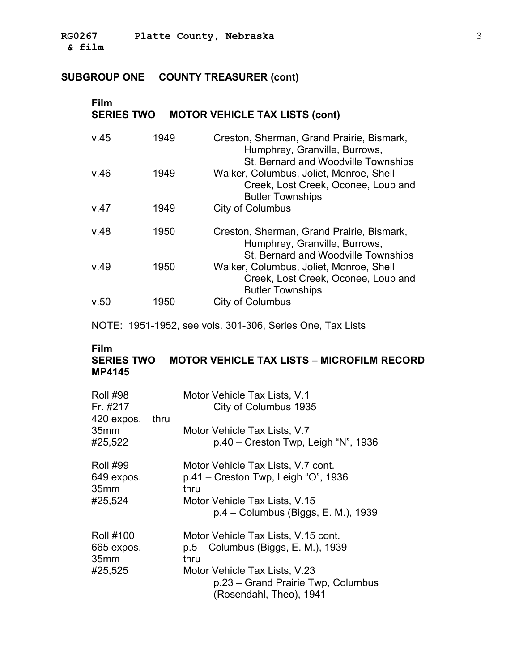# **SUBGROUP ONE COUNTY TREASURER (cont)**

| Film<br><b>SERIES TWO</b> |      | <b>MOTOR VEHICLE TAX LISTS (cont)</b>                                                                             |
|---------------------------|------|-------------------------------------------------------------------------------------------------------------------|
| v.45                      | 1949 | Creston, Sherman, Grand Prairie, Bismark,<br>Humphrey, Granville, Burrows,<br>St. Bernard and Woodville Townships |
| v.46                      | 1949 | Walker, Columbus, Joliet, Monroe, Shell<br>Creek, Lost Creek, Oconee, Loup and<br><b>Butler Townships</b>         |
| V.47                      | 1949 | City of Columbus                                                                                                  |
| v.48                      | 1950 | Creston, Sherman, Grand Prairie, Bismark,<br>Humphrey, Granville, Burrows,<br>St. Bernard and Woodville Townships |
| V.49                      | 1950 | Walker, Columbus, Joliet, Monroe, Shell<br>Creek, Lost Creek, Oconee, Loup and<br><b>Butler Townships</b>         |
| v.50                      | 1950 | City of Columbus                                                                                                  |

NOTE: 1951-1952, see vols. 301-306, Series One, Tax Lists

### **Film**

# **SERIES TWO MOTOR VEHICLE TAX LISTS – MICROFILM RECORD MP4145**

| <b>Roll #98</b><br>Fr. #217                        |      | Motor Vehicle Tax Lists, V.1<br>City of Columbus 1935                                          |
|----------------------------------------------------|------|------------------------------------------------------------------------------------------------|
| 420 expos.<br>35 <sub>mm</sub><br>#25,522          | thru | Motor Vehicle Tax Lists, V.7<br>$p.40 -$ Creston Twp, Leigh "N", 1936                          |
| <b>Roll #99</b><br>649 expos.<br>35 <sub>mm</sub>  |      | Motor Vehicle Tax Lists, V.7 cont.<br>$p.41 -$ Creston Twp, Leigh "O", 1936<br>thru            |
| #25,524                                            |      | Motor Vehicle Tax Lists, V.15<br>p.4 - Columbus (Biggs, E. M.), 1939                           |
| <b>Roll #100</b><br>665 expos.<br>35 <sub>mm</sub> |      | Motor Vehicle Tax Lists, V.15 cont.<br>p.5 – Columbus (Biggs, E. M.), 1939<br>thru             |
| #25,525                                            |      | Motor Vehicle Tax Lists, V.23<br>p.23 – Grand Prairie Twp, Columbus<br>(Rosendahl, Theo), 1941 |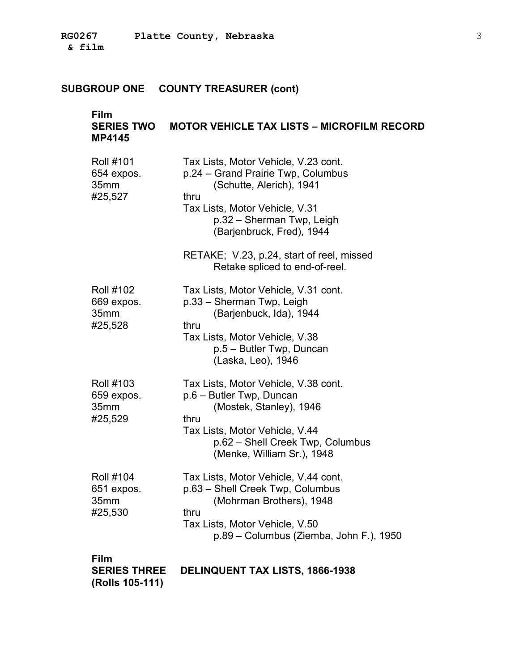# **SUBGROUP ONE COUNTY TREASURER (cont)**

| Film<br><b>SERIES TWO</b><br><b>MP4145</b>        | <b>MOTOR VEHICLE TAX LISTS - MICROFILM RECORD</b>                                                                                                                                                                                                                                         |
|---------------------------------------------------|-------------------------------------------------------------------------------------------------------------------------------------------------------------------------------------------------------------------------------------------------------------------------------------------|
| <b>Roll #101</b><br>654 expos.<br>35mm<br>#25,527 | Tax Lists, Motor Vehicle, V.23 cont.<br>p.24 - Grand Prairie Twp, Columbus<br>(Schutte, Alerich), 1941<br>thru<br>Tax Lists, Motor Vehicle, V.31<br>p.32 - Sherman Twp, Leigh<br>(Barjenbruck, Fred), 1944<br>RETAKE; V.23, p.24, start of reel, missed<br>Retake spliced to end-of-reel. |
| <b>Roll #102</b><br>669 expos.<br>35mm<br>#25,528 | Tax Lists, Motor Vehicle, V.31 cont.<br>p.33 - Sherman Twp, Leigh<br>(Barjenbuck, Ida), 1944<br>thru<br>Tax Lists, Motor Vehicle, V.38<br>p.5 - Butler Twp, Duncan<br>(Laska, Leo), 1946                                                                                                  |
| <b>Roll #103</b><br>659 expos.<br>35mm<br>#25,529 | Tax Lists, Motor Vehicle, V.38 cont.<br>p.6 - Butler Twp, Duncan<br>(Mostek, Stanley), 1946<br>thru<br>Tax Lists, Motor Vehicle, V.44<br>p.62 - Shell Creek Twp, Columbus<br>(Menke, William Sr.), 1948                                                                                   |
| <b>Roll #104</b><br>651 expos.<br>35mm<br>#25,530 | Tax Lists, Motor Vehicle, V.44 cont.<br>p.63 - Shell Creek Twp, Columbus<br>(Mohrman Brothers), 1948<br>thru<br>Tax Lists, Motor Vehicle, V.50<br>p.89 - Columbus (Ziemba, John F.), 1950                                                                                                 |
| <b>Film</b>                                       |                                                                                                                                                                                                                                                                                           |

| <b>SERIES THREE</b> | <b>DELINQUENT TAX LISTS, 1866-1938</b> |
|---------------------|----------------------------------------|
| (Rolls 105-111)     |                                        |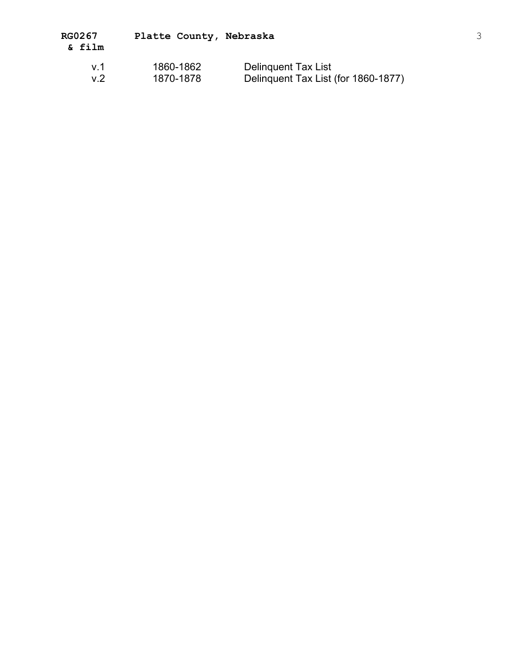| v.1 | 1860-1862 | <b>Delinquent Tax List</b>          |
|-----|-----------|-------------------------------------|
| v.2 | 1870-1878 | Delinquent Tax List (for 1860-1877) |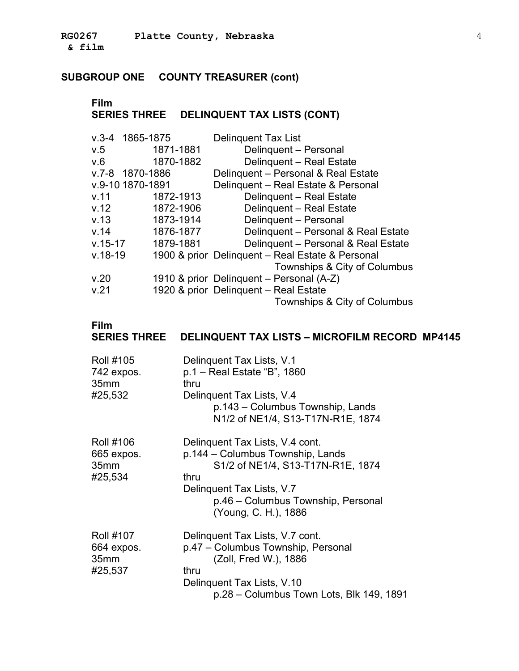# **SUBGROUP ONE COUNTY TREASURER (cont)**

#### **Film** � **SERIES THREE DELINQUENT TAX LISTS (CONT)** �

| $V.3 - 4$   | 1865-1875        | <b>Delinguent Tax List</b>                       |
|-------------|------------------|--------------------------------------------------|
| V.5         | 1871-1881        | Delinquent - Personal                            |
| V.6         | 1870-1882        | Delinquent - Real Estate                         |
|             | v.7-8 1870-1886  | Delinquent - Personal & Real Estate              |
|             | v.9-10 1870-1891 | Delinquent - Real Estate & Personal              |
| v.11        | 1872-1913        | Delinquent - Real Estate                         |
| v.12        | 1872-1906        | Delinquent - Real Estate                         |
| v.13        | 1873-1914        | Delinquent - Personal                            |
| v.14        | 1876-1877        | Delinquent - Personal & Real Estate              |
| $v.15 - 17$ | 1879-1881        | Delinquent - Personal & Real Estate              |
| $v.18-19$   |                  | 1900 & prior Delinguent - Real Estate & Personal |
|             |                  | Townships & City of Columbus                     |
| v.20        |                  | 1910 & prior Delinguent - Personal (A-Z)         |
| v.21        |                  | 1920 & prior Delinquent - Real Estate            |
|             |                  | Townships & City of Columbus                     |

#### **Film**

# **SERIES THREE DELINQUENT TAX LISTS – MICROFILM RECORD MP4145**

| <b>Roll #105</b><br>742 expos.<br>35 <sub>mm</sub><br>#25,532 | Delinguent Tax Lists, V.1<br>p.1 – Real Estate "B", 1860<br>thru<br>Delinquent Tax Lists, V.4<br>p.143 – Columbus Township, Lands<br>N1/2 of NE1/4, S13-T17N-R1E, 1874                                      |
|---------------------------------------------------------------|-------------------------------------------------------------------------------------------------------------------------------------------------------------------------------------------------------------|
| <b>Roll #106</b><br>665 expos.<br>35 <sub>mm</sub><br>#25,534 | Delinguent Tax Lists, V.4 cont.<br>p.144 – Columbus Township, Lands<br>S1/2 of NE1/4, S13-T17N-R1E, 1874<br>thru<br>Delinquent Tax Lists, V.7<br>p.46 – Columbus Township, Personal<br>(Young, C. H.), 1886 |
| <b>Roll #107</b><br>664 expos.<br>35 <sub>mm</sub><br>#25,537 | Delinguent Tax Lists, V.7 cont.<br>p.47 - Columbus Township, Personal<br>(Zoll, Fred W.), 1886<br>thru<br>Delinquent Tax Lists, V.10<br>p.28 – Columbus Town Lots, Blk 149, 1891                            |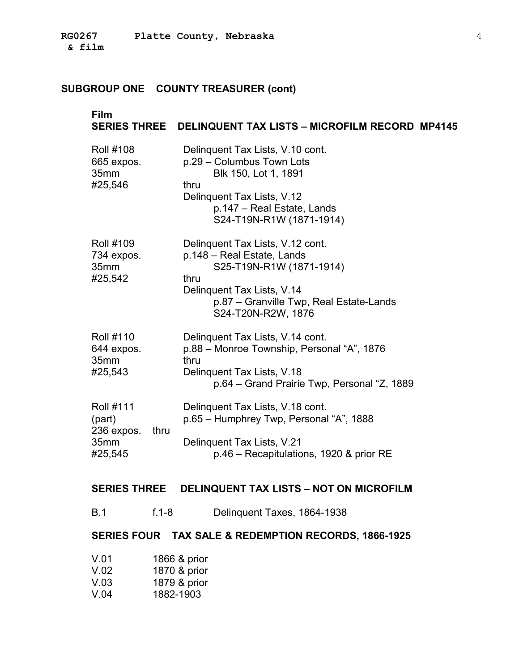#### **SUBGROUP ONE COUNTY TREASURER (cont)**

# **Film SERIES THREE DELINQUENT TAX LISTS – MICROFILM RECORD MP4145**  Roll #108 Delinquent Tax Lists, V.10 cont. 665 expos. p.29 – Columbus Town Lots 35mm Blk 150, Lot 1, 1891 #25,546 thru Delinquent Tax Lists, V.12 p.147 – Real Estate, Lands S24-T19N-R1W (1871-1914) Roll #109 Delinquent Tax Lists, V.12 cont. 734 expos. p.148 – Real Estate, Lands 35mm S25-T19N-R1W (1871-1914) #25,542 thru Delinquent Tax Lists, V.14 p.87 – Granville Twp, Real Estate-Lands S24-T20N-R2W, 1876 Roll #110 Delinquent Tax Lists, V.14 cont. 644 expos. p.88 – Monroe Township, Personal "A", 1876 35mm thru #25,543 Delinquent Tax Lists, V.18 p.64 – Grand Prairie Twp, Personal "Z, 1889 Roll #111 Delinquent Tax Lists, V.18 cont. (part) p.65 – Humphrey Twp, Personal "A", 1888 236 expos. thru � 35mm Delinquent Tax Lists, V.21 #25,545 p.46 – Recapitulations, 1920 & prior RE

### **SERIES THREE DELINQUENT TAX LISTS – NOT ON MICROFILM**

B.1 f.1-8 Delinquent Taxes, 1864-1938

#### **SERIES FOUR TAX SALE & REDEMPTION RECORDS, 1866-1925**

| V.01 | 1866 & prior |
|------|--------------|
| V.02 | 1870 & prior |
| V.03 | 1879 & prior |
| V.04 | 1882-1903    |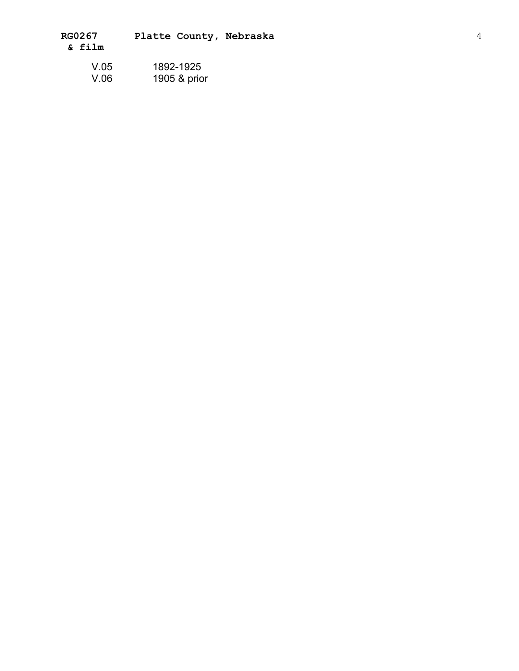| RG0267 |  | Platte County, Nebraska |
|--------|--|-------------------------|
| & film |  |                         |

| V.05 | 1892-1925    |  |
|------|--------------|--|
| V.06 | 1905 & prior |  |
|      |              |  |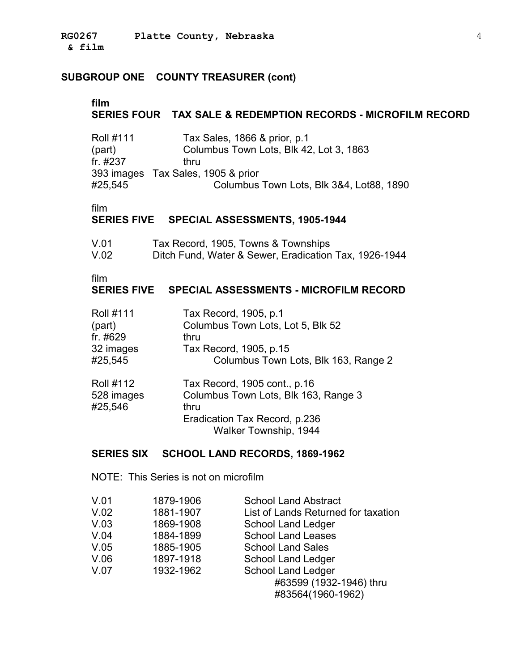### **SUBGROUP ONE COUNTY TREASURER (cont)**

#### **film SERIES FOUR TAX SALE & REDEMPTION RECORDS - MICROFILM RECORD**

| Tax Sales, 1866 & prior, p.1             |
|------------------------------------------|
| Columbus Town Lots, Blk 42, Lot 3, 1863  |
| thru                                     |
| 393 images Tax Sales, 1905 & prior       |
| Columbus Town Lots, Blk 3&4, Lot88, 1890 |
|                                          |

film

### **SERIES FIVE SPECIAL ASSESSMENTS, 1905-1944**

| V.01 | Tax Record, 1905, Towns & Townships                   |
|------|-------------------------------------------------------|
| V.02 | Ditch Fund, Water & Sewer, Eradication Tax, 1926-1944 |

film

### **SERIES FIVE SPECIAL ASSESSMENTS - MICROFILM RECORD**

| <b>Roll #111</b>                          | Tax Record, 1905, p.1                                                                                                                  |
|-------------------------------------------|----------------------------------------------------------------------------------------------------------------------------------------|
| (part)                                    | Columbus Town Lots, Lot 5, Blk 52                                                                                                      |
| fr. #629                                  | thru                                                                                                                                   |
| 32 images                                 | Tax Record, 1905, p.15                                                                                                                 |
| #25,545                                   | Columbus Town Lots, Blk 163, Range 2                                                                                                   |
| <b>Roll #112</b><br>528 images<br>#25,546 | Tax Record, 1905 cont., p.16<br>Columbus Town Lots, Blk 163, Range 3<br>thru<br>Eradication Tax Record, p.236<br>Walker Township, 1944 |

### **SERIES SIX SCHOOL LAND RECORDS, 1869-1962**

NOTE: This Series is not on microfilm

| V.01<br>V.02<br>V.03<br>V.04 | 1879-1906<br>1881-1907<br>1869-1908<br>1884-1899 | <b>School Land Abstract</b><br>List of Lands Returned for taxation<br>School Land Ledger<br><b>School Land Leases</b> |
|------------------------------|--------------------------------------------------|-----------------------------------------------------------------------------------------------------------------------|
| V.05                         | 1885-1905<br>1897-1918                           | <b>School Land Sales</b>                                                                                              |
| V.06<br>V.07                 | 1932-1962                                        | School Land Ledger<br><b>School Land Ledger</b>                                                                       |
|                              |                                                  | #63599 (1932-1946) thru<br>#83564(1960-1962)                                                                          |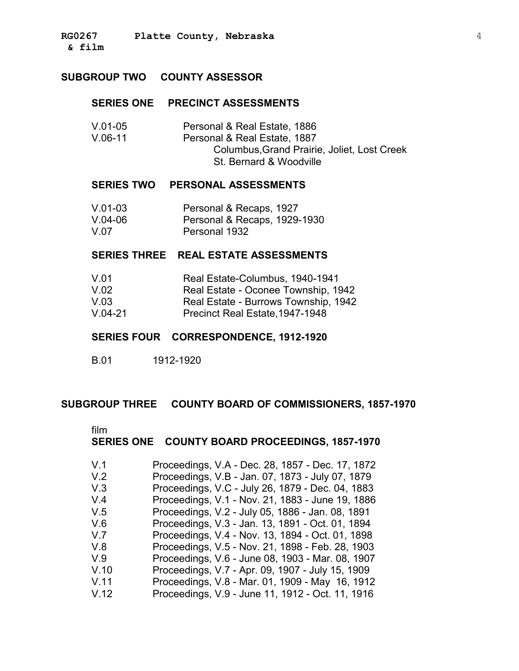#### **SUBGROUP TWO COUNTY ASSESSOR**

#### **SERIES ONE PRECINCT ASSESSMENTS**

| $V.01-05$ | Personal & Real Estate, 1886                |
|-----------|---------------------------------------------|
| $V.06-11$ | Personal & Real Estate, 1887                |
|           | Columbus, Grand Prairie, Joliet, Lost Creek |
|           | St. Bernard & Woodville                     |

#### **SERIES TWO PERSONAL ASSESSMENTS**

| $V.01-03$ | Personal & Recaps, 1927      |
|-----------|------------------------------|
| $V.04-06$ | Personal & Recaps, 1929-1930 |
| V.07      | Personal 1932                |

### **SERIES THREE REAL ESTATE ASSESSMENTS**

- V.01 Real Estate-Columbus, 1940-1941
- V.02 Real Estate Oconee Township, 1942
- V.03 Real Estate Burrows Township, 1942
- V.04-21 Precinct Real Estate,1947-1948

#### **SERIES FOUR CORRESPONDENCE, 1912-1920**

B.01 1912-1920

#### **SUBGROUP THREE COUNTY BOARD OF COMMISSIONERS, 1857-1970**

film

### **SERIES ONE COUNTY BOARD PROCEEDINGS, 1857-1970**

| V.1  | Proceedings, V.A - Dec. 28, 1857 - Dec. 17, 1872 |
|------|--------------------------------------------------|
| V.2  | Proceedings, V.B - Jan. 07, 1873 - July 07, 1879 |
| V.3  | Proceedings, V.C - July 26, 1879 - Dec. 04, 1883 |
| V.4  | Proceedings, V.1 - Nov. 21, 1883 - June 19, 1886 |
| V.5  | Proceedings, V.2 - July 05, 1886 - Jan. 08, 1891 |
| V.6  | Proceedings, V.3 - Jan. 13, 1891 - Oct. 01, 1894 |
| V.7  | Proceedings, V.4 - Nov. 13, 1894 - Oct. 01, 1898 |
| V.8  | Proceedings, V.5 - Nov. 21, 1898 - Feb. 28, 1903 |
| V.9  | Proceedings, V.6 - June 08, 1903 - Mar. 08, 1907 |
| V.10 | Proceedings, V.7 - Apr. 09, 1907 - July 15, 1909 |
| V.11 | Proceedings, V.8 - Mar. 01, 1909 - May 16, 1912  |
| V.12 | Proceedings, V.9 - June 11, 1912 - Oct. 11, 1916 |
|      |                                                  |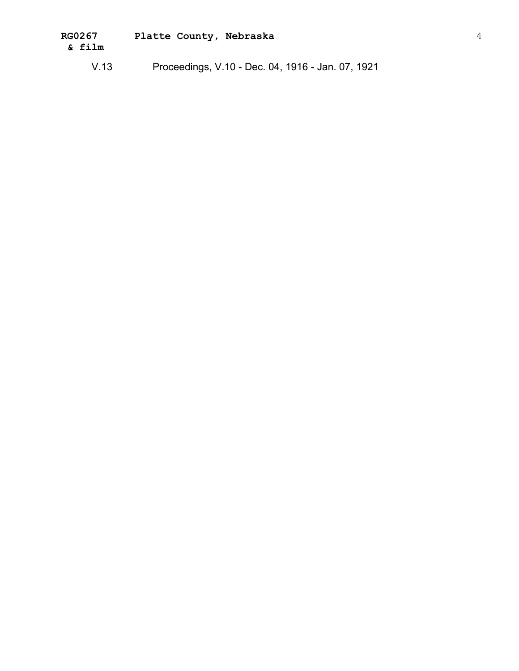| <b>RG0267</b> | Platte County, Nebraska |  |
|---------------|-------------------------|--|
| & film        |                         |  |
|               |                         |  |

V.13 Proceedings, V.10 - Dec. 04, 1916 - Jan. 07, 1921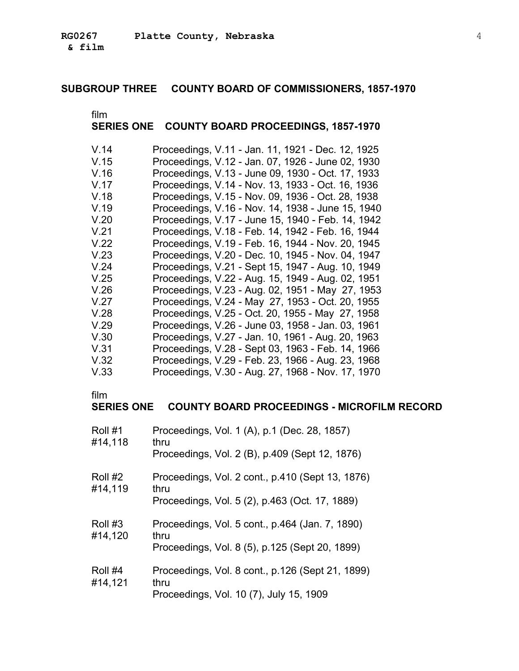# **SUBGROUP THREE COUNTY BOARD OF COMMISSIONERS, 1857-1970**

film

### **SERIES ONE COUNTY BOARD PROCEEDINGS, 1857-1970**

| V.14 | Proceedings, V.11 - Jan. 11, 1921 - Dec. 12, 1925 |
|------|---------------------------------------------------|
| V.15 | Proceedings, V.12 - Jan. 07, 1926 - June 02, 1930 |
| V.16 | Proceedings, V.13 - June 09, 1930 - Oct. 17, 1933 |
| V.17 | Proceedings, V.14 - Nov. 13, 1933 - Oct. 16, 1936 |
| V.18 | Proceedings, V.15 - Nov. 09, 1936 - Oct. 28, 1938 |
| V.19 | Proceedings, V.16 - Nov. 14, 1938 - June 15, 1940 |
| V.20 | Proceedings, V.17 - June 15, 1940 - Feb. 14, 1942 |
| V.21 | Proceedings, V.18 - Feb. 14, 1942 - Feb. 16, 1944 |
| V.22 | Proceedings, V.19 - Feb. 16, 1944 - Nov. 20, 1945 |
| V.23 | Proceedings, V.20 - Dec. 10, 1945 - Nov. 04, 1947 |
| V.24 | Proceedings, V.21 - Sept 15, 1947 - Aug. 10, 1949 |
| V.25 | Proceedings, V.22 - Aug. 15, 1949 - Aug. 02, 1951 |
| V.26 | Proceedings, V.23 - Aug. 02, 1951 - May 27, 1953  |
| V.27 | Proceedings, V.24 - May 27, 1953 - Oct. 20, 1955  |
| V.28 | Proceedings, V.25 - Oct. 20, 1955 - May 27, 1958  |
| V.29 | Proceedings, V.26 - June 03, 1958 - Jan. 03, 1961 |
| V.30 | Proceedings, V.27 - Jan. 10, 1961 - Aug. 20, 1963 |
| V.31 | Proceedings, V.28 - Sept 03, 1963 - Feb. 14, 1966 |
| V.32 | Proceedings, V.29 - Feb. 23, 1966 - Aug. 23, 1968 |
| V.33 | Proceedings, V.30 - Aug. 27, 1968 - Nov. 17, 1970 |

film

### **SERIES ONE COUNTY BOARD PROCEEDINGS - MICROFILM RECORD**

| Roll #1<br>#14,118 | Proceedings, Vol. 1 (A), p.1 (Dec. 28, 1857)<br>thru<br>Proceedings, Vol. 2 (B), p.409 (Sept 12, 1876)     |
|--------------------|------------------------------------------------------------------------------------------------------------|
| Roll #2<br>#14,119 | Proceedings, Vol. 2 cont., p.410 (Sept 13, 1876)<br>thru<br>Proceedings, Vol. 5 (2), p.463 (Oct. 17, 1889) |
| Roll #3<br>#14,120 | Proceedings, Vol. 5 cont., p.464 (Jan. 7, 1890)<br>thru<br>Proceedings, Vol. 8 (5), p.125 (Sept 20, 1899)  |
| Roll #4<br>#14,121 | Proceedings, Vol. 8 cont., p.126 (Sept 21, 1899)<br>thru<br>Proceedings, Vol. 10 (7), July 15, 1909        |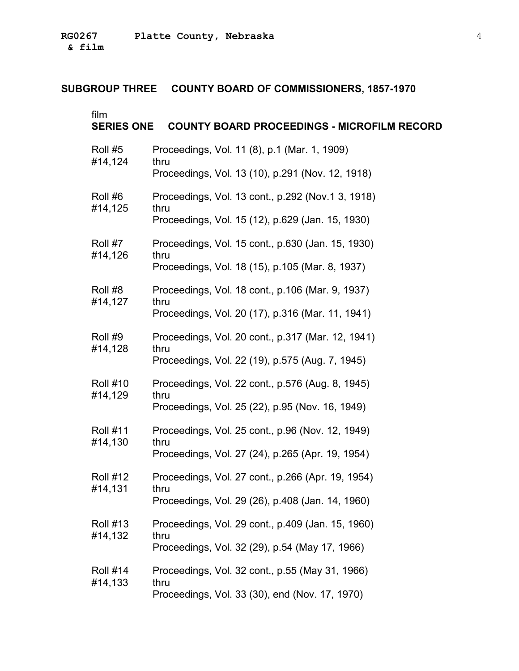### **SUBGROUP THREE COUNTY BOARD OF COMMISSIONERS, 1857-1970**

film

| ,,,,,,<br><b>SERIES ONE</b> | <b>COUNTY BOARD PROCEEDINGS - MICROFILM RECORD</b>        |
|-----------------------------|-----------------------------------------------------------|
| Roll #5<br>#14,124          | Proceedings, Vol. 11 (8), p.1 (Mar. 1, 1909)<br>thru      |
|                             | Proceedings, Vol. 13 (10), p.291 (Nov. 12, 1918)          |
| Roll #6<br>#14,125          | Proceedings, Vol. 13 cont., p.292 (Nov.1 3, 1918)<br>thru |
|                             | Proceedings, Vol. 15 (12), p.629 (Jan. 15, 1930)          |
| Roll #7<br>#14,126          | Proceedings, Vol. 15 cont., p.630 (Jan. 15, 1930)<br>thru |
|                             | Proceedings, Vol. 18 (15), p.105 (Mar. 8, 1937)           |
| Roll #8<br>#14,127          | Proceedings, Vol. 18 cont., p.106 (Mar. 9, 1937)<br>thru  |
|                             | Proceedings, Vol. 20 (17), p.316 (Mar. 11, 1941)          |
| Roll #9<br>#14,128          | Proceedings, Vol. 20 cont., p.317 (Mar. 12, 1941)<br>thru |
|                             | Proceedings, Vol. 22 (19), p.575 (Aug. 7, 1945)           |
| <b>Roll #10</b><br>#14,129  | Proceedings, Vol. 22 cont., p.576 (Aug. 8, 1945)<br>thru  |
|                             | Proceedings, Vol. 25 (22), p.95 (Nov. 16, 1949)           |
| <b>Roll #11</b><br>#14,130  | Proceedings, Vol. 25 cont., p.96 (Nov. 12, 1949)<br>thru  |
|                             | Proceedings, Vol. 27 (24), p.265 (Apr. 19, 1954)          |
| <b>Roll #12</b><br>#14,131  | Proceedings, Vol. 27 cont., p.266 (Apr. 19, 1954)<br>thru |
|                             | Proceedings, Vol. 29 (26), p.408 (Jan. 14, 1960)          |
| <b>Roll #13</b><br>#14,132  | Proceedings, Vol. 29 cont., p.409 (Jan. 15, 1960)<br>thru |
|                             | Proceedings, Vol. 32 (29), p.54 (May 17, 1966)            |
| <b>Roll #14</b><br>#14,133  | Proceedings, Vol. 32 cont., p.55 (May 31, 1966)<br>thru   |
|                             | Proceedings, Vol. 33 (30), end (Nov. 17, 1970)            |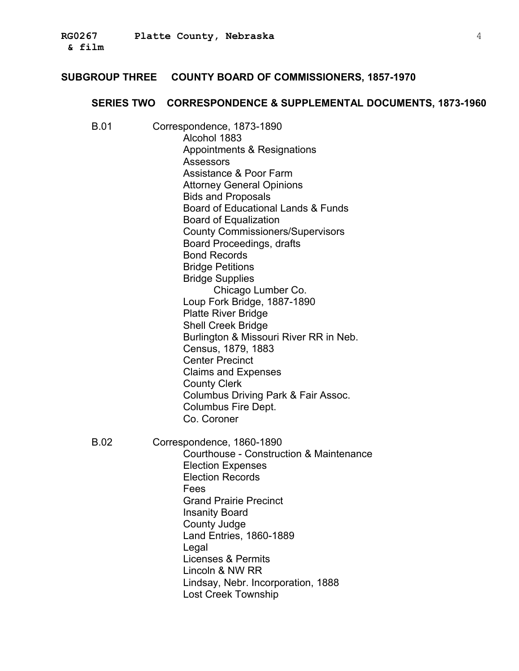#### **SUBGROUP THREE COUNTY BOARD OF COMMISSIONERS, 1857-1970**

#### **SERIES TWO CORRESPONDENCE & SUPPLEMENTAL DOCUMENTS, 1873-1960**

B.01 � Correspondence, 1873-1890 Alcohol 1883 Appointments & Resignations Assessors Assistance & Poor Farm Attorney General Opinions Bids and Proposals Board of Educational Lands & Funds Board of Equalization County Commissioners/Supervisors Board Proceedings, drafts Bond Records Bridge Petitions Bridge Supplies Chicago Lumber Co. Loup Fork Bridge, 1887-1890 Platte River Bridge Shell Creek Bridge Burlington & Missouri River RR in Neb. Census, 1879, 1883 Center Precinct Claims and Expenses County Clerk Columbus Driving Park & Fair Assoc. Columbus Fire Dept. Co. Coroner B.02 � Correspondence, 1860-1890 Courthouse - Construction & Maintenance Election Expenses Election Records Fees Grand Prairie Precinct � Insanity Board County Judge Land Entries, 1860-1889 Legal Licenses & Permits Lincoln & NW RR Lindsay, Nebr. Incorporation, 1888 Lost Creek Township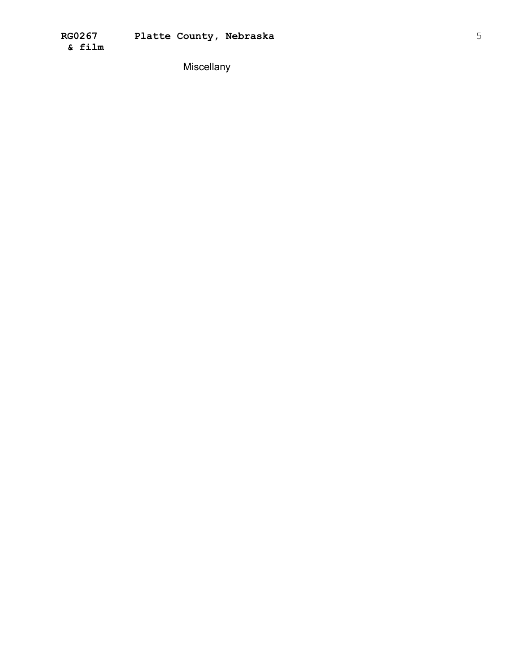Miscellany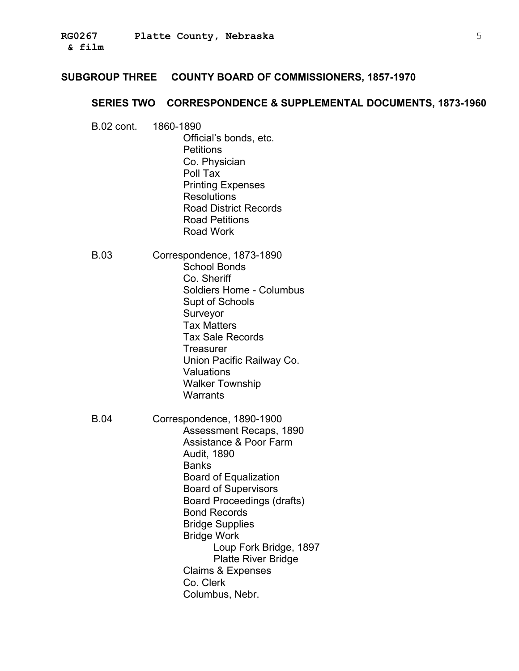#### **SUBGROUP THREE COUNTY BOARD OF COMMISSIONERS, 1857-1970**

#### SERIES TWO CORRESPONDENCE & SUPPLEMENTAL DOCUMENTS, 1873-1960

**B.02 cont.** 1860-1890 Official's bonds, etc. **Petitions** Co. Physician Poll Tax **Printing Expenses Resolutions Road District Records Road Petitions** Road Work B.03 Correspondence, 1873-1890 **School Bonds** Co. Sheriff Soldiers Home - Columbus Supt of Schools Surveyor **Tax Matters Tax Sale Records** Treasurer Union Pacific Railway Co. Valuations **Walker Township** Warrants **B.04** Correspondence, 1890-1900 Assessment Recaps, 1890 Assistance & Poor Farm **Audit, 1890 Banks Board of Equalization Board of Supervisors Board Proceedings (drafts) Bond Records Bridge Supplies Bridge Work** Loup Fork Bridge, 1897 **Platte River Bridge Claims & Expenses** Co. Clerk Columbus, Nebr.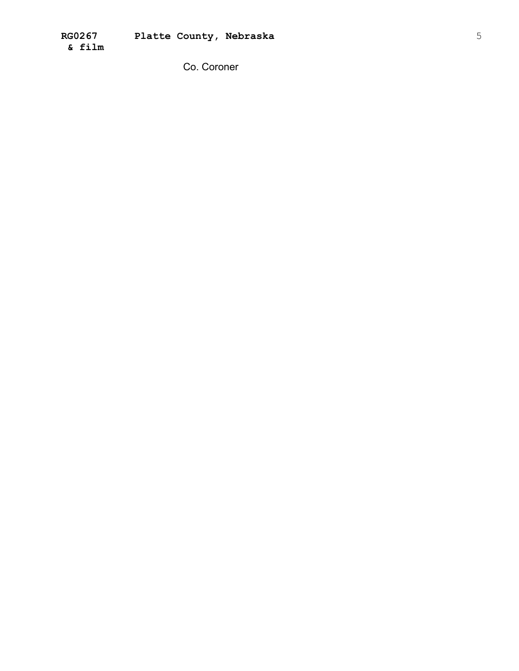Co. Coroner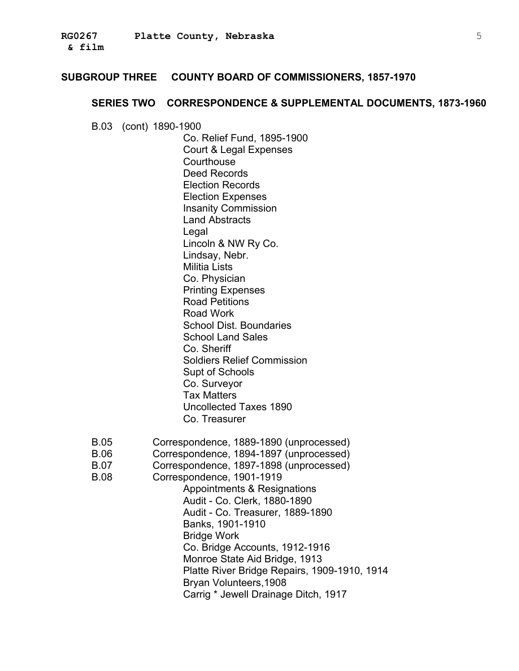#### **SUBGROUP THREE COUNTY BOARD OF COMMISSIONERS, 1857-1970**

#### **SERIES TWO CORRESPONDENCE & SUPPLEMENTAL DOCUMENTS, 1873-1960**

B.03 � (cont) 1890-1900

Co. Relief Fund, 1895-1900 Court & Legal Expenses **Courthouse** Deed Records Election Records Election Expenses Insanity Commission Land Abstracts Legal Lincoln & NW Ry Co. Lindsay, Nebr. Militia Lists Co. Physician Printing Expenses Road Petitions Road Work School Dist. Boundaries School Land Sales Co. Sheriff Soldiers Relief Commission Supt of Schools Co. Surveyor Tax Matters Uncollected Taxes 1890 Co. Treasurer

- B.05 Correspondence, 1889-1890 (unprocessed)
- B.06 Correspondence, 1894-1897 (unprocessed)
- B.07 Correspondence, 1897-1898 (unprocessed)
- B.08 � Correspondence, 1901-1919
	- Appointments & Resignations Audit - Co. Clerk, 1880-1890 Audit - Co. Treasurer, 1889-1890 Banks, 1901-1910 Bridge Work Co. Bridge Accounts, 1912-1916 Monroe State Aid Bridge, 1913 Platte River Bridge Repairs, 1909-1910, 1914 Bryan Volunteers,1908 Carrig \* Jewell Drainage Ditch, 1917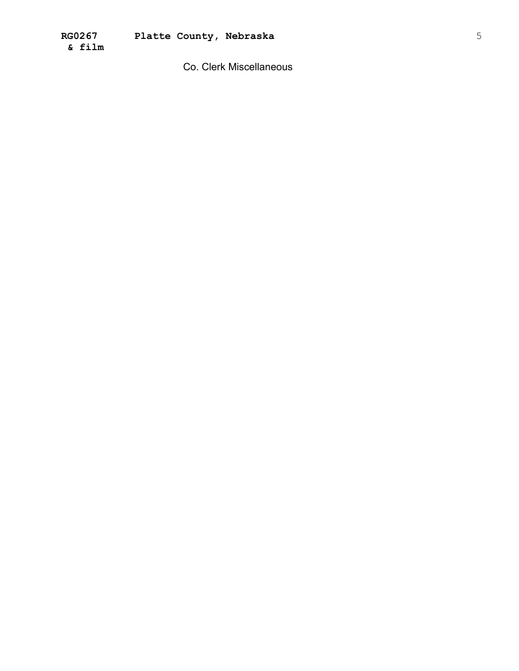Co. Clerk Miscellaneous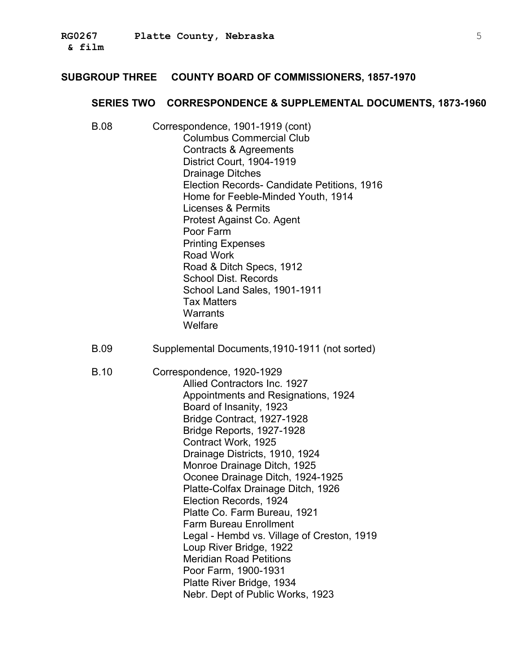#### **SUBGROUP THREE COUNTY BOARD OF COMMISSIONERS, 1857-1970**

#### **SERIES TWO CORRESPONDENCE & SUPPLEMENTAL DOCUMENTS, 1873-1960**

- B.08 � Correspondence, 1901-1919 (cont) Columbus Commercial Club Contracts & Agreements District Court, 1904-1919 Drainage Ditches Election Records- Candidate Petitions, 1916 Home for Feeble-Minded Youth, 1914 Licenses & Permits Protest Against Co. Agent Poor Farm Printing Expenses Road Work Road & Ditch Specs, 1912 School Dist. Records School Land Sales, 1901-1911 Tax Matters **Warrants Welfare**
- B.09 Supplemental Documents,1910-1911 (not sorted)
- B.10 � Correspondence, 1920-1929 Allied Contractors Inc. 1927 Appointments and Resignations, 1924 Board of Insanity, 1923 Bridge Contract, 1927-1928 Bridge Reports, 1927-1928 Contract Work, 1925 Drainage Districts, 1910, 1924 Monroe Drainage Ditch, 1925 Oconee Drainage Ditch, 1924-1925 Platte-Colfax Drainage Ditch, 1926 Election Records, 1924 Platte Co. Farm Bureau, 1921 Farm Bureau Enrollment Legal - Hembd vs. Village of Creston, 1919 Loup River Bridge, 1922 Meridian Road Petitions Poor Farm, 1900-1931 Platte River Bridge, 1934 Nebr. Dept of Public Works, 1923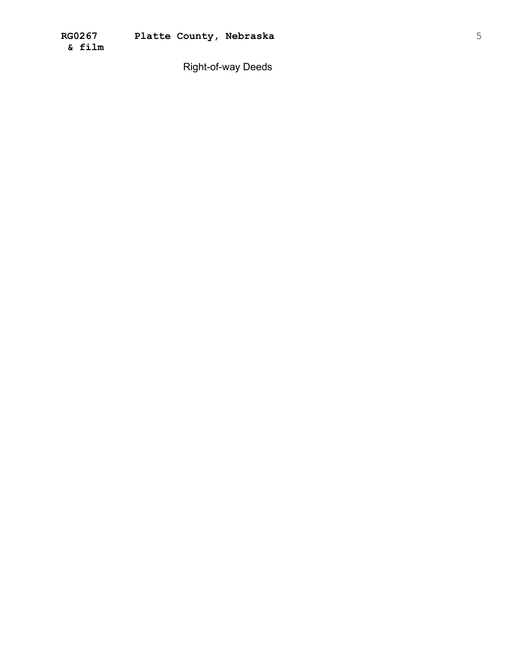Right-of-way Deeds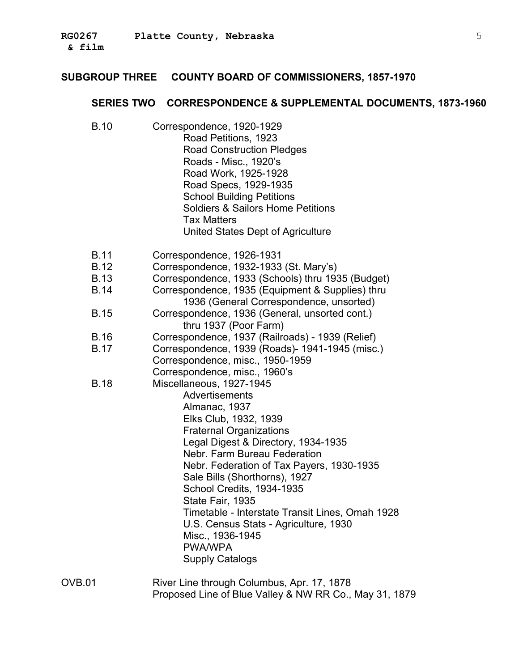# **SUBGROUP THREE COUNTY BOARD OF COMMISSIONERS, 1857-1970**

# **SERIES TWO CORRESPONDENCE & SUPPLEMENTAL DOCUMENTS, 1873-1960**

| <b>B.10</b>                                              | Correspondence, 1920-1929<br>Road Petitions, 1923<br><b>Road Construction Pledges</b><br>Roads - Misc., 1920's<br>Road Work, 1925-1928<br>Road Specs, 1929-1935<br><b>School Building Petitions</b><br><b>Soldiers &amp; Sailors Home Petitions</b><br><b>Tax Matters</b><br>United States Dept of Agriculture                                                                                                                                                                           |
|----------------------------------------------------------|------------------------------------------------------------------------------------------------------------------------------------------------------------------------------------------------------------------------------------------------------------------------------------------------------------------------------------------------------------------------------------------------------------------------------------------------------------------------------------------|
| <b>B.11</b><br><b>B.12</b><br><b>B.13</b><br><b>B.14</b> | Correspondence, 1926-1931<br>Correspondence, 1932-1933 (St. Mary's)<br>Correspondence, 1933 (Schools) thru 1935 (Budget)<br>Correspondence, 1935 (Equipment & Supplies) thru                                                                                                                                                                                                                                                                                                             |
| <b>B.15</b>                                              | 1936 (General Correspondence, unsorted)<br>Correspondence, 1936 (General, unsorted cont.)<br>thru 1937 (Poor Farm)                                                                                                                                                                                                                                                                                                                                                                       |
| <b>B.16</b><br><b>B.17</b>                               | Correspondence, 1937 (Railroads) - 1939 (Relief)<br>Correspondence, 1939 (Roads)- 1941-1945 (misc.)<br>Correspondence, misc., 1950-1959<br>Correspondence, misc., 1960's                                                                                                                                                                                                                                                                                                                 |
| <b>B.18</b>                                              | Miscellaneous, 1927-1945<br>Advertisements<br>Almanac, 1937<br>Elks Club, 1932, 1939<br><b>Fraternal Organizations</b><br>Legal Digest & Directory, 1934-1935<br>Nebr. Farm Bureau Federation<br>Nebr. Federation of Tax Payers, 1930-1935<br>Sale Bills (Shorthorns), 1927<br>School Credits, 1934-1935<br>State Fair, 1935<br>Timetable - Interstate Transit Lines, Omah 1928<br>U.S. Census Stats - Agriculture, 1930<br>Misc., 1936-1945<br><b>PWA/WPA</b><br><b>Supply Catalogs</b> |
| OVB.01                                                   | River Line through Columbus, Apr. 17, 1878                                                                                                                                                                                                                                                                                                                                                                                                                                               |

Proposed Line of Blue Valley & NW RR Co., May 31, 1879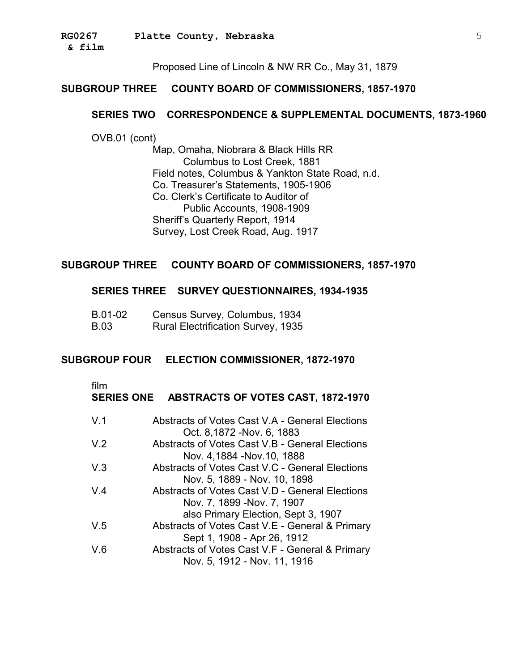**& film** �

Proposed Line of Lincoln & NW RR Co., May 31, 1879

### **SUBGROUP THREE COUNTY BOARD OF COMMISSIONERS, 1857-1970**

#### **SERIES TWO CORRESPONDENCE & SUPPLEMENTAL DOCUMENTS, 1873-1960**

OVB.01 (cont)

Map, Omaha, Niobrara & Black Hills RR Columbus to Lost Creek, 1881 Field notes, Columbus & Yankton State Road, n.d. Co. Treasurer's Statements, 1905-1906 Co. Clerk's Certificate to Auditor of Public Accounts, 1908-1909 � Sheriff's Quarterly Report, 1914 Survey, Lost Creek Road, Aug. 1917

#### **SUBGROUP THREE COUNTY BOARD OF COMMISSIONERS, 1857-1970**

#### **SERIES THREE SURVEY QUESTIONNAIRES, 1934-1935**

| B.01-02 | Census Survey, Columbus, 1934             |
|---------|-------------------------------------------|
| B.03    | <b>Rural Electrification Survey, 1935</b> |

#### **SUBGROUP FOUR ELECTION COMMISSIONER, 1872-1970**

film

|  | SERIES ONE ABSTRACTS OF VOTES CAST, 1872-1970 |
|--|-----------------------------------------------|
|--|-----------------------------------------------|

| V.1            | Abstracts of Votes Cast V.A - General Elections |
|----------------|-------------------------------------------------|
|                | Oct. 8,1872 - Nov. 6, 1883                      |
| V <sub>2</sub> | Abstracts of Votes Cast V.B - General Elections |
|                | Nov. 4,1884 - Nov. 10, 1888                     |
| V.3            | Abstracts of Votes Cast V.C - General Elections |
|                | Nov. 5, 1889 - Nov. 10, 1898                    |
| $V_4$          | Abstracts of Votes Cast V.D - General Elections |
|                | Nov. 7, 1899 - Nov. 7, 1907                     |
|                | also Primary Election, Sept 3, 1907             |
| V.5            | Abstracts of Votes Cast V.E - General & Primary |
|                | Sept 1, 1908 - Apr 26, 1912                     |
| V.6            | Abstracts of Votes Cast V.F - General & Primary |
|                | Nov. 5, 1912 - Nov. 11, 1916                    |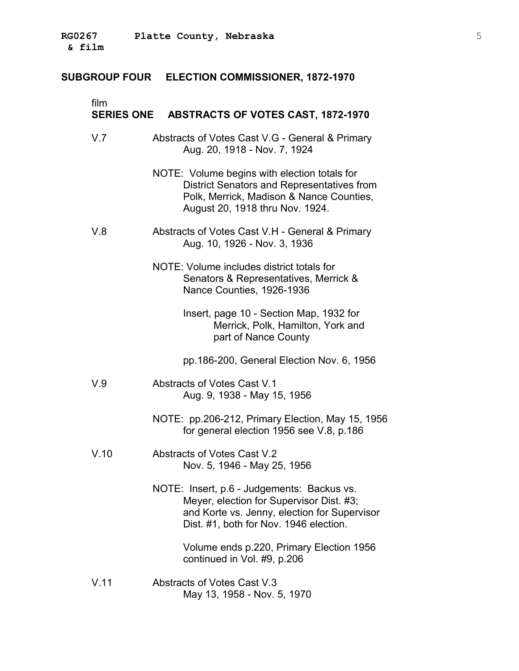#### **SUBGROUP FOUR ELECTION COMMISSIONER, 1872-1970**

#### film **SERIES ONE ABSTRACTS OF VOTES CAST, 1872-1970**

- V.7 Abstracts of Votes Cast V.G General & Primary Aug. 20, 1918 - Nov. 7, 1924
	- NOTE: Volume begins with election totals for District Senators and Representatives from Polk, Merrick, Madison & Nance Counties, August 20, 1918 thru Nov. 1924.
- V.8 � Abstracts of Votes Cast V.H General & Primary Aug. 10, 1926 - Nov. 3, 1936
	- NOTE: Volume includes district totals for Senators & Representatives, Merrick & Nance Counties, 1926-1936
		- Insert, page 10 Section Map, 1932 for Merrick, Polk, Hamilton, York and part of Nance County
		- pp.186-200, General Election Nov. 6, 1956
- V.9 Abstracts of Votes Cast V.1 Aug. 9, 1938 - May 15, 1956
	- NOTE: pp.206-212, Primary Election, May 15, 1956 for general election 1956 see V.8, p.186
- V.10 Abstracts of Votes Cast V.2 Nov. 5, 1946 - May 25, 1956
	- NOTE: Insert, p.6 Judgements: Backus vs. Meyer, election for Supervisor Dist. #3; and Korte vs. Jenny, election for Supervisor Dist. #1, both for Nov. 1946 election.

Volume ends p.220, Primary Election 1956 continued in Vol. #9, p.206

V.11 Abstracts of Votes Cast V.3 May 13, 1958 - Nov. 5, 1970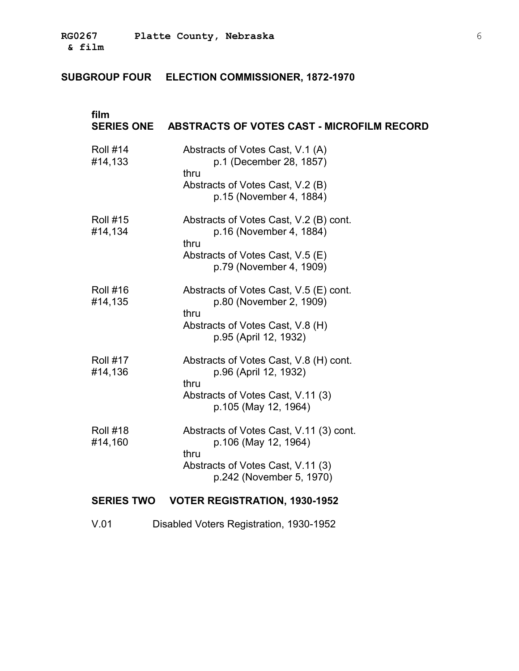# **SUBGROUP FOUR ELECTION COMMISSIONER, 1872-1970**

| film                       | SERIES ONE ABSTRACTS OF VOTES CAST - MICROFILM RECORD                                                                                    |
|----------------------------|------------------------------------------------------------------------------------------------------------------------------------------|
| <b>Roll #14</b><br>#14,133 | Abstracts of Votes Cast, V.1 (A)<br>p.1 (December 28, 1857)<br>thru<br>Abstracts of Votes Cast, V.2 (B)<br>p.15 (November 4, 1884)       |
| <b>Roll #15</b><br>#14,134 | Abstracts of Votes Cast, V.2 (B) cont.<br>p.16 (November 4, 1884)<br>thru<br>Abstracts of Votes Cast, V.5 (E)<br>p.79 (November 4, 1909) |
| <b>Roll #16</b><br>#14,135 | Abstracts of Votes Cast, V.5 (E) cont.<br>p.80 (November 2, 1909)<br>thru<br>Abstracts of Votes Cast, V.8 (H)<br>p.95 (April 12, 1932)   |
| <b>Roll #17</b><br>#14,136 | Abstracts of Votes Cast, V.8 (H) cont.<br>p.96 (April 12, 1932)<br>thru<br>Abstracts of Votes Cast, V.11 (3)<br>p.105 (May 12, 1964)     |
| <b>Roll #18</b><br>#14,160 | Abstracts of Votes Cast, V.11 (3) cont.<br>p.106 (May 12, 1964)<br>thru<br>Abstracts of Votes Cast, V.11 (3)<br>p.242 (November 5, 1970) |
|                            | SERIES TWO VOTER REGISTRATION, 1930-1952                                                                                                 |
| V.01                       | Disabled Voters Registration, 1930-1952                                                                                                  |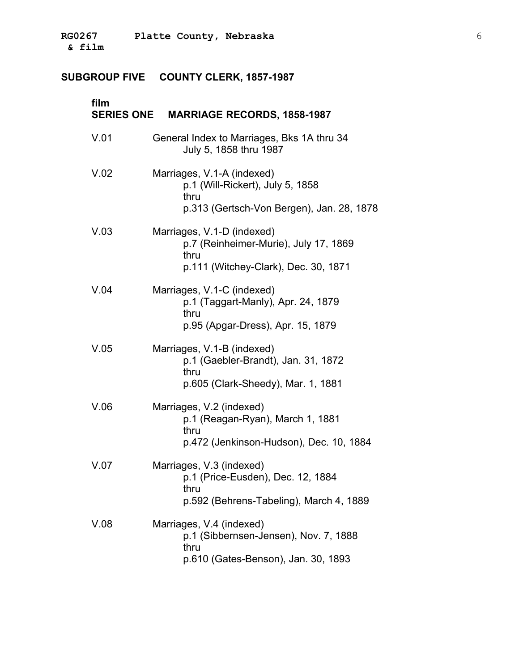| film | SERIES ONE MARRIAGE RECORDS, 1858-1987                                                                              |
|------|---------------------------------------------------------------------------------------------------------------------|
| V.01 | General Index to Marriages, Bks 1A thru 34<br>July 5, 1858 thru 1987                                                |
| V.02 | Marriages, V.1-A (indexed)<br>p.1 (Will-Rickert), July 5, 1858<br>thru<br>p.313 (Gertsch-Von Bergen), Jan. 28, 1878 |
| V.03 | Marriages, V.1-D (indexed)<br>p.7 (Reinheimer-Murie), July 17, 1869<br>thru<br>p.111 (Witchey-Clark), Dec. 30, 1871 |
| V.04 | Marriages, V.1-C (indexed)<br>p.1 (Taggart-Manly), Apr. 24, 1879<br>thru<br>p.95 (Apgar-Dress), Apr. 15, 1879       |
| V.05 | Marriages, V.1-B (indexed)<br>p.1 (Gaebler-Brandt), Jan. 31, 1872<br>thru<br>p.605 (Clark-Sheedy), Mar. 1, 1881     |
| V.06 | Marriages, V.2 (indexed)<br>p.1 (Reagan-Ryan), March 1, 1881<br>thru<br>p.472 (Jenkinson-Hudson), Dec. 10, 1884     |
| V.07 | Marriages, V.3 (indexed)<br>p.1 (Price-Eusden), Dec. 12, 1884<br>thru<br>p.592 (Behrens-Tabeling), March 4, 1889    |
| V.08 | Marriages, V.4 (indexed)<br>p.1 (Sibbernsen-Jensen), Nov. 7, 1888<br>thru<br>p.610 (Gates-Benson), Jan. 30, 1893    |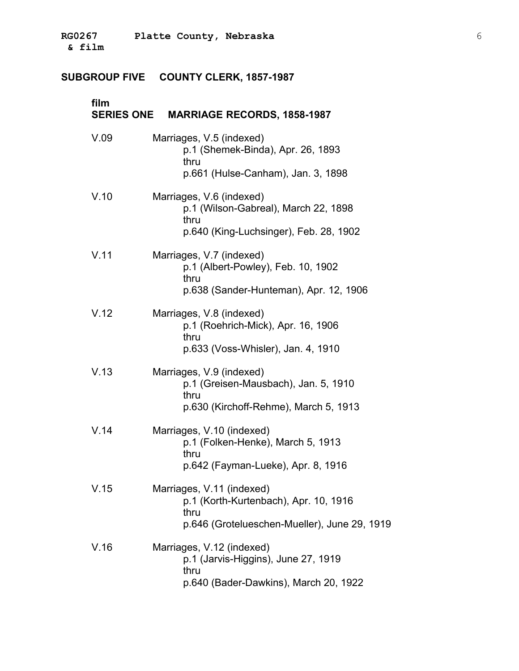| film | SERIES ONE MARRIAGE RECORDS, 1858-1987                                                                                     |
|------|----------------------------------------------------------------------------------------------------------------------------|
| V.09 | Marriages, V.5 (indexed)<br>p.1 (Shemek-Binda), Apr. 26, 1893<br>thru<br>p.661 (Hulse-Canham), Jan. 3, 1898                |
| V.10 | Marriages, V.6 (indexed)<br>p.1 (Wilson-Gabreal), March 22, 1898<br>thru<br>p.640 (King-Luchsinger), Feb. 28, 1902         |
| V.11 | Marriages, V.7 (indexed)<br>p.1 (Albert-Powley), Feb. 10, 1902<br>thru<br>p.638 (Sander-Hunteman), Apr. 12, 1906           |
| V.12 | Marriages, V.8 (indexed)<br>p.1 (Roehrich-Mick), Apr. 16, 1906<br>thru<br>p.633 (Voss-Whisler), Jan. 4, 1910               |
| V.13 | Marriages, V.9 (indexed)<br>p.1 (Greisen-Mausbach), Jan. 5, 1910<br>thru<br>p.630 (Kirchoff-Rehme), March 5, 1913          |
| V.14 | Marriages, V.10 (indexed)<br>p.1 (Folken-Henke), March 5, 1913<br>thru<br>p.642 (Fayman-Lueke), Apr. 8, 1916               |
| V.15 | Marriages, V.11 (indexed)<br>p.1 (Korth-Kurtenbach), Apr. 10, 1916<br>thru<br>p.646 (Grotelueschen-Mueller), June 29, 1919 |
| V.16 | Marriages, V.12 (indexed)<br>p.1 (Jarvis-Higgins), June 27, 1919<br>thru<br>p.640 (Bader-Dawkins), March 20, 1922          |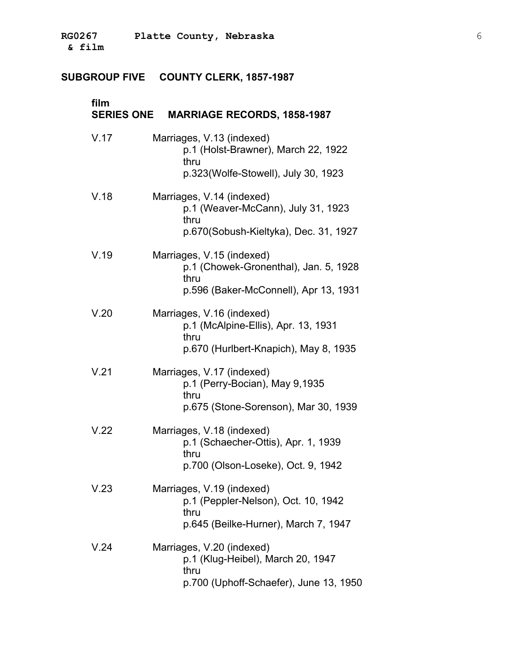| film | SERIES ONE MARRIAGE RECORDS, 1858-1987                                                                              |
|------|---------------------------------------------------------------------------------------------------------------------|
| V.17 | Marriages, V.13 (indexed)<br>p.1 (Holst-Brawner), March 22, 1922<br>thru<br>p.323(Wolfe-Stowell), July 30, 1923     |
| V.18 | Marriages, V.14 (indexed)<br>p.1 (Weaver-McCann), July 31, 1923<br>thru<br>p.670(Sobush-Kieltyka), Dec. 31, 1927    |
| V.19 | Marriages, V.15 (indexed)<br>p.1 (Chowek-Gronenthal), Jan. 5, 1928<br>thru<br>p.596 (Baker-McConnell), Apr 13, 1931 |
| V.20 | Marriages, V.16 (indexed)<br>p.1 (McAlpine-Ellis), Apr. 13, 1931<br>thru<br>p.670 (Hurlbert-Knapich), May 8, 1935   |
| V.21 | Marriages, V.17 (indexed)<br>p.1 (Perry-Bocian), May 9,1935<br>thru<br>p.675 (Stone-Sorenson), Mar 30, 1939         |
| V.22 | Marriages, V.18 (indexed)<br>p.1 (Schaecher-Ottis), Apr. 1, 1939<br>thru<br>p.700 (Olson-Loseke), Oct. 9, 1942      |
| V.23 | Marriages, V.19 (indexed)<br>p.1 (Peppler-Nelson), Oct. 10, 1942<br>thru<br>p.645 (Beilke-Hurner), March 7, 1947    |
| V.24 | Marriages, V.20 (indexed)<br>p.1 (Klug-Heibel), March 20, 1947<br>thru<br>p.700 (Uphoff-Schaefer), June 13, 1950    |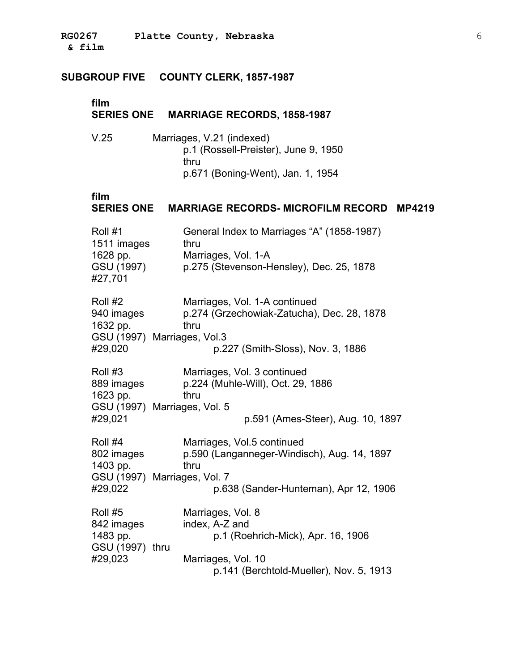| film                                                                         | SERIES ONE MARRIAGE RECORDS, 1858-1987                                                                                                     |
|------------------------------------------------------------------------------|--------------------------------------------------------------------------------------------------------------------------------------------|
| V.25                                                                         | Marriages, V.21 (indexed)<br>p.1 (Rossell-Preister), June 9, 1950<br>thru<br>p.671 (Boning-Went), Jan. 1, 1954                             |
| film                                                                         | SERIES ONE MARRIAGE RECORDS- MICROFILM RECORD<br><b>MP4219</b>                                                                             |
| Roll #1<br>1511 images<br>1628 pp.<br>GSU (1997)<br>#27,701                  | General Index to Marriages "A" (1858-1987)<br>thru<br>Marriages, Vol. 1-A<br>p.275 (Stevenson-Hensley), Dec. 25, 1878                      |
| Roll #2<br>940 images<br>1632 pp.<br>GSU (1997) Marriages, Vol.3<br>#29,020  | Marriages, Vol. 1-A continued<br>p.274 (Grzechowiak-Zatucha), Dec. 28, 1878<br>thru<br>p.227 (Smith-Sloss), Nov. 3, 1886                   |
| Roll #3<br>889 images<br>1623 pp.<br>GSU (1997) Marriages, Vol. 5<br>#29,021 | Marriages, Vol. 3 continued<br>p.224 (Muhle-Will), Oct. 29, 1886<br>thru<br>p.591 (Ames-Steer), Aug. 10, 1897                              |
| Roll #4<br>802 images<br>1403 pp.<br>GSU (1997) Marriages, Vol. 7<br>#29,022 | Marriages, Vol.5 continued<br>p.590 (Langanneger-Windisch), Aug. 14, 1897<br>thru<br>p.638 (Sander-Hunteman), Apr 12, 1906                 |
| Roll #5<br>842 images<br>1483 pp.<br>GSU (1997) thru<br>#29,023              | Marriages, Vol. 8<br>index, A-Z and<br>p.1 (Roehrich-Mick), Apr. 16, 1906<br>Marriages, Vol. 10<br>p.141 (Berchtold-Mueller), Nov. 5, 1913 |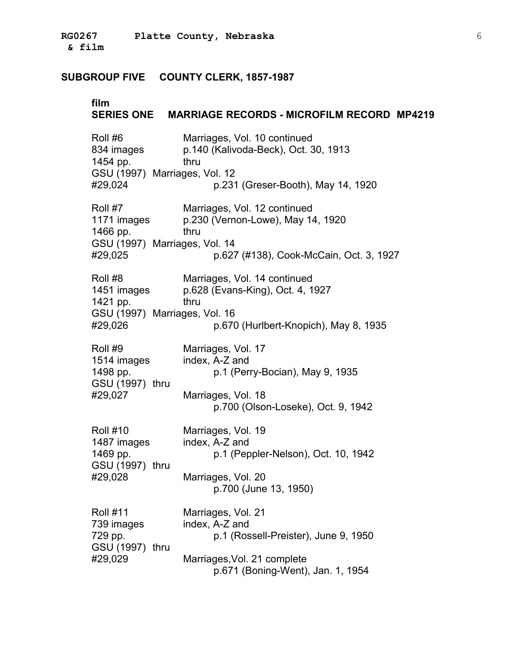| film                                                                              | SERIES ONE MARRIAGE RECORDS - MICROFILM RECORD MP4219                        |  |
|-----------------------------------------------------------------------------------|------------------------------------------------------------------------------|--|
| Roll #6<br>834 images<br>1454 pp.                                                 | Marriages, Vol. 10 continued<br>p.140 (Kalivoda-Beck), Oct. 30, 1913<br>thru |  |
| GSU (1997) Marriages, Vol. 12<br>#29,024                                          | p.231 (Greser-Booth), May 14, 1920                                           |  |
| Roll #7<br>1171 images<br>1466 pp.                                                | Marriages, Vol. 12 continued<br>p.230 (Vernon-Lowe), May 14, 1920<br>thru    |  |
| GSU (1997) Marriages, Vol. 14<br>#29,025                                          | p.627 (#138), Cook-McCain, Oct. 3, 1927                                      |  |
| Roll #8<br>1451 images<br>1421 pp.                                                | Marriages, Vol. 14 continued<br>p.628 (Evans-King), Oct. 4, 1927<br>thru     |  |
| GSU (1997) Marriages, Vol. 16<br>p.670 (Hurlbert-Knopich), May 8, 1935<br>#29,026 |                                                                              |  |
| Roll #9<br>1514 images<br>1498 pp.<br>GSU (1997) thru                             | Marriages, Vol. 17<br>index, A-Z and<br>p.1 (Perry-Bocian), May 9, 1935      |  |
| #29,027                                                                           | Marriages, Vol. 18<br>p.700 (Olson-Loseke), Oct. 9, 1942                     |  |
| <b>Roll #10</b><br>1487 images<br>1469 pp.<br>GSU (1997) thru                     | Marriages, Vol. 19<br>index, A-Z and<br>p.1 (Peppler-Nelson), Oct. 10, 1942  |  |
| #29,028                                                                           | Marriages, Vol. 20<br>p.700 (June 13, 1950)                                  |  |
| <b>Roll #11</b><br>739 images<br>729 pp.<br>GSU (1997) thru                       | Marriages, Vol. 21<br>index, A-Z and<br>p.1 (Rossell-Preister), June 9, 1950 |  |
| #29,029                                                                           | Marriages, Vol. 21 complete<br>p.671 (Boning-Went), Jan. 1, 1954             |  |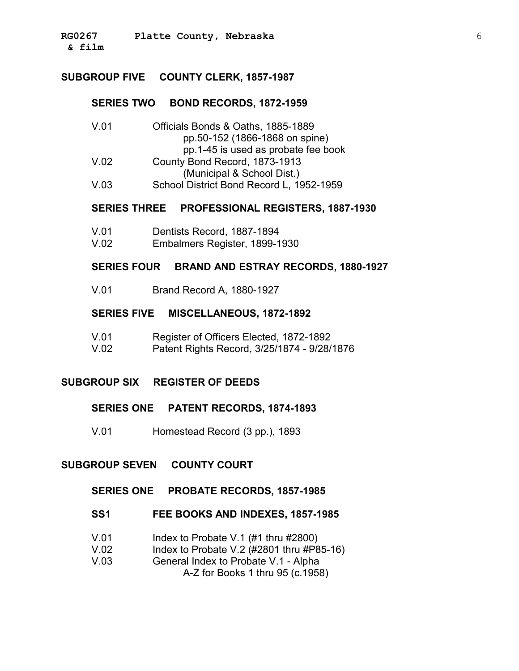#### **SUBGROUP FIVE COUNTY CLERK, 1857-1987**

#### **SERIES TWO BOND RECORDS, 1872-1959**

| V.01 | Officials Bonds & Oaths, 1885-1889       |
|------|------------------------------------------|
|      | pp.50-152 (1866-1868 on spine)           |
|      | pp. 1-45 is used as probate fee book     |
| V.02 | County Bond Record, 1873-1913            |
|      | (Municipal & School Dist.)               |
| V.03 | School District Bond Record L, 1952-1959 |

#### **SERIES THREE PROFESSIONAL REGISTERS, 1887-1930**

| V.01 | Dentists Record, 1887-1894 |
|------|----------------------------|
|------|----------------------------|

V.02 Embalmers Register, 1899-1930

#### **SERIES FOUR BRAND AND ESTRAY RECORDS, 1880-1927**

V.01 Brand Record A, 1880-1927

#### **SERIES FIVE MISCELLANEOUS, 1872-1892**

V.01 Register of Officers Elected, 1872-1892 V.02 Patent Rights Record, 3/25/1874 - 9/28/1876

#### **SUBGROUP SIX REGISTER OF DEEDS**

#### **SERIES ONE PATENT RECORDS, 1874-1893**

V.01 Homestead Record (3 pp.), 1893

#### **SUBGROUP SEVEN COUNTY COURT**

#### **SERIES ONE PROBATE RECORDS, 1857-1985**

#### **SS1 FEE BOOKS AND INDEXES, 1857-1985**

- V.01 Index to Probate V.1 (#1 thru #2800)
- V.02 Index to Probate V.2 (#2801 thru #P85-16)
- V.03 � General Index to Probate V.1 Alpha

A-Z for Books 1 thru 95 (c.1958)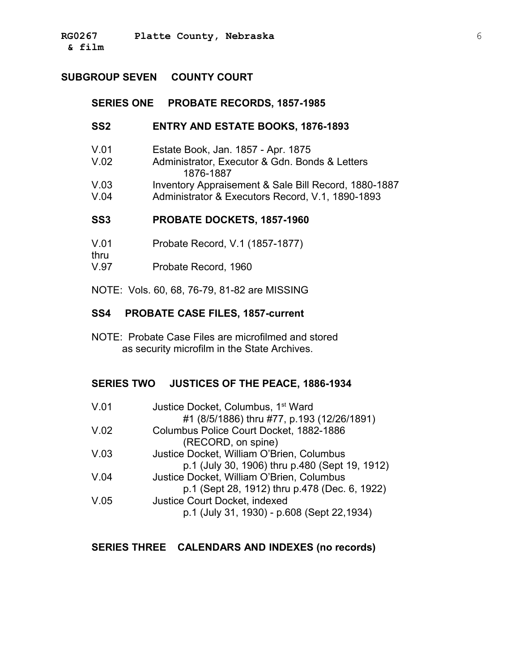### **SUBGROUP SEVEN COUNTY COURT**

#### **SERIES ONE PROBATE RECORDS, 1857-1985**

#### **SS2 ENTRY AND ESTATE BOOKS, 1876-1893**

- V.01 Estate Book, Jan. 1857 Apr. 1875
- V.02 � Administrator, Executor & Gdn. Bonds & Letters 1876-1887
- V.03 Inventory Appraisement & Sale Bill Record, 1880-1887
- V.04 Administrator & Executors Record, V.1, 1890-1893

#### **SS3 PROBATE DOCKETS, 1857-1960**

- V.01 Probate Record, V.1 (1857-1877)
- thru � V.97 Probate Record, 1960

NOTE: Vols. 60, 68, 76-79, 81-82 are MISSING

#### **SS4 PROBATE CASE FILES, 1857-current**

NOTE: Probate Case Files are microfilmed and stored as security microfilm in the State Archives.

#### **SERIES TWO JUSTICES OF THE PEACE, 1886-1934**

| V.01 | Justice Docket, Columbus, 1 <sup>st</sup> Ward |
|------|------------------------------------------------|
|      | #1 (8/5/1886) thru #77, p.193 (12/26/1891)     |
| V.02 | Columbus Police Court Docket, 1882-1886        |
|      | (RECORD, on spine)                             |
| V.03 | Justice Docket, William O'Brien, Columbus      |
|      | p.1 (July 30, 1906) thru p.480 (Sept 19, 1912) |
| V.04 | Justice Docket, William O'Brien, Columbus      |
|      | p.1 (Sept 28, 1912) thru p.478 (Dec. 6, 1922)  |
| V.05 | Justice Court Docket, indexed                  |
|      | p.1 (July 31, 1930) - p.608 (Sept 22,1934)     |

#### **SERIES THREE CALENDARS AND INDEXES (no records)**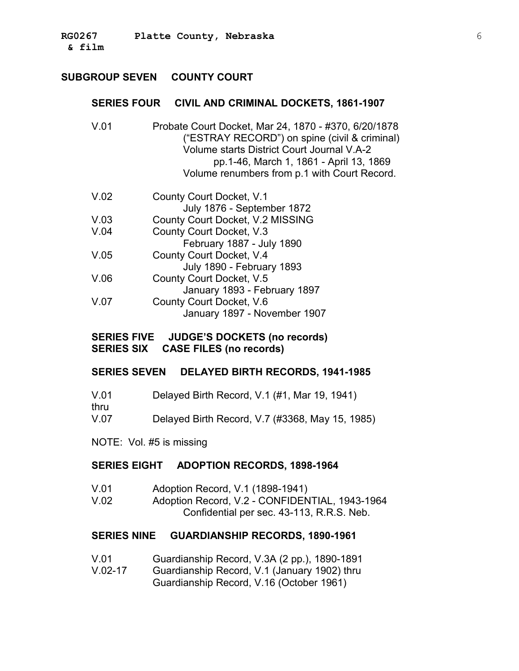### **SUBGROUP SEVEN COUNTY COURT**

#### **SERIES FOUR CIVIL AND CRIMINAL DOCKETS, 1861-1907**

- V.01 � Probate Court Docket, Mar 24, 1870 #370, 6/20/1878 ("ESTRAY RECORD") on spine (civil & criminal) Volume starts District Court Journal V.A-2 pp.1-46, March 1, 1861 - April 13, 1869 Volume renumbers from p.1 with Court Record.
- V.02 County Court Docket, V.1 July 1876 - September 1872 V.03 � County Court Docket, V.2 MISSING V.04 � County Court Docket, V.3 February 1887 - July 1890 V.05 County Court Docket, V.4 July 1890 - February 1893 V.06 County Court Docket, V.5 January 1893 - February 1897 V.07 County Court Docket, V.6 January 1897 - November 1907

#### **SERIES FIVE JUDGE'S DOCKETS (no records) SERIES SIX CASE FILES (no records)**

#### **SERIES SEVEN DELAYED BIRTH RECORDS, 1941-1985**

- V.01 Delayed Birth Record, V.1 (#1, Mar 19, 1941) thru V.07 � Delayed Birth Record, V.7 (#3368, May 15, 1985)
- NOTE: Vol. #5 is missing

#### **SERIES EIGHT ADOPTION RECORDS, 1898-1964**

V.01 � Adoption Record, V.1 (1898-1941) V.02 � Adoption Record, V.2 - CONFIDENTIAL, 1943-1964 Confidential per sec. 43-113, R.R.S. Neb.

#### **SERIES NINE GUARDIANSHIP RECORDS, 1890-1961**

- V.01 � Guardianship Record, V.3A (2 pp.), 1890-1891
- V.02-17 � Guardianship Record, V.1 (January 1902) thru Guardianship Record, V.16 (October 1961)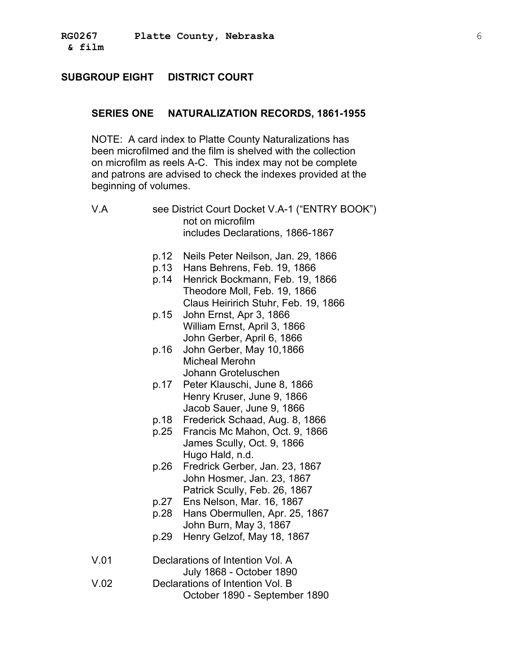### **SUBGROUP EIGHT DISTRICT COURT**

#### **SERIES ONE NATURALIZATION RECORDS, 1861-1955**

NOTE: A card index to Platte County Naturalizations has been microfilmed and the film is shelved with the collection on microfilm as reels A-C. This index may not be complete and patrons are advised to check the indexes provided at the beginning of volumes.

- V.A see District Court Docket V.A-1 ("ENTRY BOOK") not on microfilm includes Declarations, 1866-1867
	- p.12 � Neils Peter Neilson, Jan. 29, 1866
	- p.13 � Hans Behrens, Feb. 19, 1866
	- p.14 � Henrick Bockmann, Feb. 19, 1866 Theodore Moll, Feb. 19, 1866 Claus Heiririch Stuhr, Feb. 19, 1866
	- p.15 � John Ernst, Apr 3, 1866 William Ernst, April 3, 1866 John Gerber, April 6, 1866
	- p.16 � John Gerber, May 10,1866 Micheal Merohn Johann Groteluschen
	- p.17 � Peter Klauschi, June 8, 1866 Henry Kruser, June 9, 1866 Jacob Sauer, June 9, 1866
	- p.18 � Frederick Schaad, Aug. 8, 1866
	- p.25 � Francis Mc Mahon, Oct. 9, 1866 James Scully, Oct. 9, 1866 Hugo Hald, n.d.
	- p.26 � Fredrick Gerber, Jan. 23, 1867 John Hosmer, Jan. 23, 1867 Patrick Scully, Feb. 26, 1867
	- p.27 � Ens Nelson, Mar. 16, 1867
	- p.28 � Hans Obermullen, Apr. 25, 1867 John Burn, May 3, 1867
	- p.29 � Henry Gelzof, May 18, 1867
- V.01 � Declarations of Intention Vol. A July 1868 - October 1890 V.02 � Declarations of Intention Vol. B October 1890 - September 1890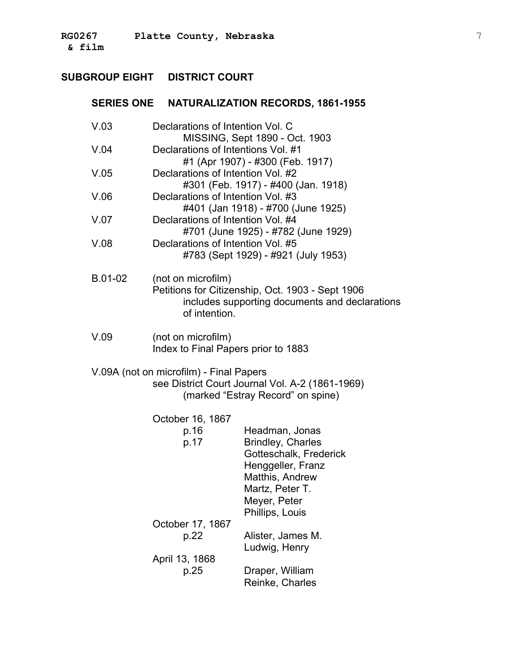# **SUBGROUP EIGHT DISTRICT COURT**

# **SERIES ONE NATURALIZATION RECORDS, 1861-1955**

| V.03                                            | Declarations of Intention Vol. C                                     |                                                  |
|-------------------------------------------------|----------------------------------------------------------------------|--------------------------------------------------|
| V.04                                            | MISSING, Sept 1890 - Oct. 1903<br>Declarations of Intentions Vol. #1 |                                                  |
|                                                 |                                                                      | #1 (Apr 1907) - #300 (Feb. 1917)                 |
| V.05                                            | Declarations of Intention Vol. #2                                    |                                                  |
|                                                 |                                                                      | #301 (Feb. 1917) - #400 (Jan. 1918)              |
| V.06                                            | Declarations of Intention Vol. #3                                    |                                                  |
|                                                 |                                                                      | #401 (Jan 1918) - #700 (June 1925)               |
| V.07                                            | Declarations of Intention Vol. #4                                    |                                                  |
|                                                 |                                                                      | #701 (June 1925) - #782 (June 1929)              |
| V.08                                            | Declarations of Intention Vol. #5                                    |                                                  |
|                                                 |                                                                      | #783 (Sept 1929) - #921 (July 1953)              |
| B.01-02                                         | (not on microfilm)                                                   |                                                  |
|                                                 |                                                                      | Petitions for Citizenship, Oct. 1903 - Sept 1906 |
|                                                 |                                                                      | includes supporting documents and declarations   |
|                                                 | of intention.                                                        |                                                  |
|                                                 |                                                                      |                                                  |
| V.09                                            | (not on microfilm)                                                   |                                                  |
|                                                 | Index to Final Papers prior to 1883                                  |                                                  |
| V.09A (not on microfilm) - Final Papers         |                                                                      |                                                  |
| see District Court Journal Vol. A-2 (1861-1969) |                                                                      |                                                  |
|                                                 | (marked "Estray Record" on spine)                                    |                                                  |
|                                                 |                                                                      |                                                  |
|                                                 | October 16, 1867                                                     |                                                  |
|                                                 | p.16                                                                 | Headman, Jonas                                   |
|                                                 | p.17                                                                 | <b>Brindley, Charles</b>                         |
|                                                 |                                                                      | Gotteschalk, Frederick                           |
|                                                 |                                                                      | Henggeller, Franz<br>Matthis, Andrew             |
|                                                 |                                                                      | Martz, Peter T.                                  |
|                                                 |                                                                      | Meyer, Peter                                     |
|                                                 |                                                                      | Phillips, Louis                                  |
|                                                 | October 17, 1867                                                     |                                                  |
|                                                 | p.22                                                                 | Alister, James M.                                |
|                                                 |                                                                      | Ludwig, Henry                                    |
|                                                 | April 13, 1868                                                       |                                                  |
|                                                 | p.25                                                                 | Draper, William                                  |
|                                                 |                                                                      | Reinke, Charles                                  |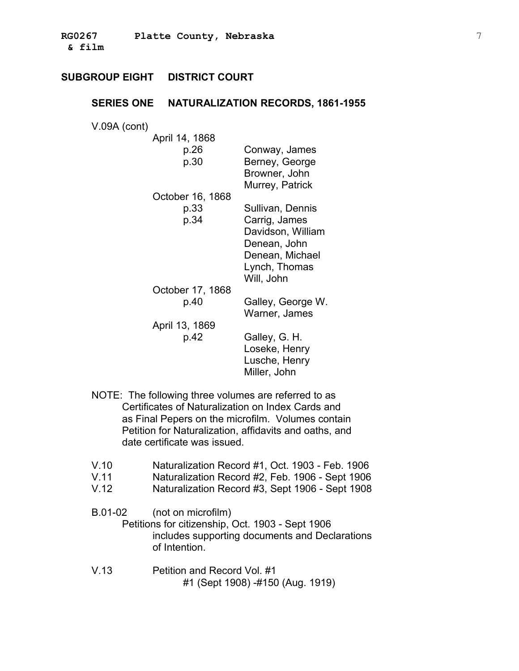#### **SERIES ONE NATURALIZATION RECORDS, 1861-1955**

V.09A (cont) �

| April 14, 1868   |                                                                                                      |
|------------------|------------------------------------------------------------------------------------------------------|
| p.26<br>p.30     | Conway, James<br>Berney, George<br>Browner, John                                                     |
| October 16, 1868 | Murrey, Patrick                                                                                      |
| p.33             | Sullivan, Dennis                                                                                     |
| p.34             | Carrig, James<br>Davidson, William<br>Denean, John<br>Denean, Michael<br>Lynch, Thomas<br>Will, John |
| October 17, 1868 |                                                                                                      |
| p.40             | Galley, George W.<br>Warner, James                                                                   |
| April 13, 1869   |                                                                                                      |
| p.42             | Galley, G. H.<br>Loseke, Henry<br>Lusche, Henry<br>Miller, John                                      |

- NOTE: The following three volumes are referred to as Certificates of Naturalization on Index Cards and as Final Pepers on the microfilm. Volumes contain Petition for Naturalization, affidavits and oaths, and date certificate was issued.
- V.10 � Naturalization Record #1, Oct. 1903 Feb. 1906
- V.11 � Naturalization Record #2, Feb. 1906 Sept 1906
- V.12 � Naturalization Record #3, Sept 1906 Sept 1908
- B.01-02 (not on microfilm) Petitions for citizenship, Oct. 1903 - Sept 1906 includes supporting documents and Declarations of Intention.
- V.13 **Petition and Record Vol. #1** #1 (Sept 1908) -#150 (Aug. 1919)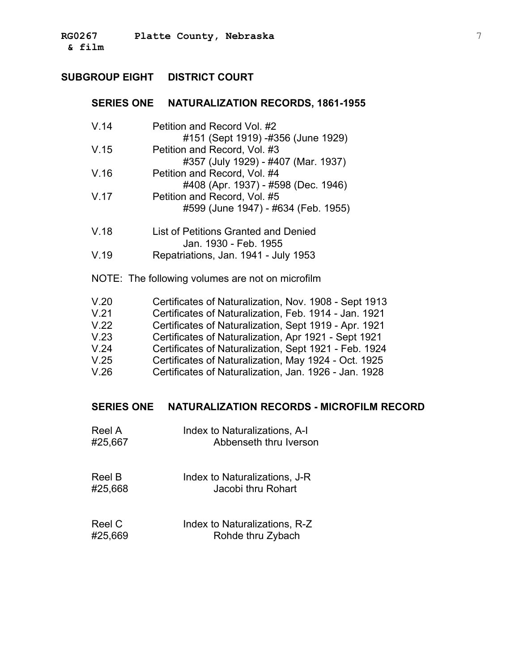### **SERIES ONE NATURALIZATION RECORDS, 1861-1955**

| V.14                                             | Petition and Record Vol. #2<br>#151 (Sept 1919) -#356 (June 1929)                                             |  |  |
|--------------------------------------------------|---------------------------------------------------------------------------------------------------------------|--|--|
| V.15                                             | Petition and Record, Vol. #3                                                                                  |  |  |
| V.16                                             | #357 (July 1929) - #407 (Mar. 1937)<br>Petition and Record, Vol. #4                                           |  |  |
|                                                  | #408 (Apr. 1937) - #598 (Dec. 1946)                                                                           |  |  |
| V.17                                             | Petition and Record, Vol. #5                                                                                  |  |  |
|                                                  | #599 (June 1947) - #634 (Feb. 1955)                                                                           |  |  |
| V.18                                             | List of Petitions Granted and Denied                                                                          |  |  |
|                                                  | Jan. 1930 - Feb. 1955                                                                                         |  |  |
| V.19                                             | Repatriations, Jan. 1941 - July 1953                                                                          |  |  |
| NOTE: The following volumes are not on microfilm |                                                                                                               |  |  |
| V.20                                             | Certificates of Naturalization, Nov. 1908 - Sept 1913                                                         |  |  |
| V.21                                             | Certificates of Naturalization, Feb. 1914 - Jan. 1921                                                         |  |  |
| V.22                                             | Certificates of Naturalization, Sept 1919 - Apr. 1921                                                         |  |  |
| V.23                                             | Certificates of Naturalization, Apr 1921 - Sept 1921                                                          |  |  |
| V.24                                             | Certificates of Naturalization, Sept 1921 - Feb. 1924                                                         |  |  |
| V.25<br>V.26                                     | Certificates of Naturalization, May 1924 - Oct. 1925<br>Certificates of Naturalization, Jan. 1926 - Jan. 1928 |  |  |
|                                                  |                                                                                                               |  |  |

## **SERIES ONE NATURALIZATION RECORDS - MICROFILM RECORD**

| Reel A  | Index to Naturalizations, A-I |
|---------|-------------------------------|
| #25,667 | Abbenseth thru Iverson        |

| Reel B  | Index to Naturalizations, J-R |
|---------|-------------------------------|
| #25,668 | Jacobi thru Rohart            |

| Reel C  | Index to Naturalizations, R-Z |
|---------|-------------------------------|
| #25,669 | Rohde thru Zybach             |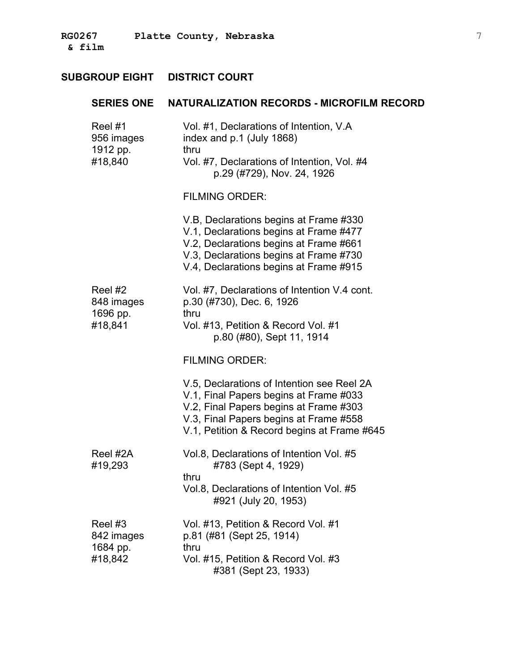|                                   | SERIES ONE NATURALIZATION RECORDS - MICROFILM RECORD                                                                                                                                                                    |
|-----------------------------------|-------------------------------------------------------------------------------------------------------------------------------------------------------------------------------------------------------------------------|
| Reel #1<br>956 images<br>1912 pp. | Vol. #1, Declarations of Intention, V.A.<br>index and p.1 (July 1868)<br>thru                                                                                                                                           |
| #18,840                           | Vol. #7, Declarations of Intention, Vol. #4<br>p.29 (#729), Nov. 24, 1926                                                                                                                                               |
|                                   | <b>FILMING ORDER:</b>                                                                                                                                                                                                   |
|                                   | V.B, Declarations begins at Frame #330<br>V.1, Declarations begins at Frame #477<br>V.2, Declarations begins at Frame #661<br>V.3, Declarations begins at Frame #730<br>V.4, Declarations begins at Frame #915          |
| Reel #2<br>848 images             | Vol. #7, Declarations of Intention V.4 cont.<br>p.30 (#730), Dec. 6, 1926                                                                                                                                               |
| 1696 pp.<br>#18,841               | thru<br>Vol. #13, Petition & Record Vol. #1<br>p.80 (#80), Sept 11, 1914                                                                                                                                                |
|                                   | <b>FILMING ORDER:</b>                                                                                                                                                                                                   |
|                                   | V.5, Declarations of Intention see Reel 2A<br>V.1, Final Papers begins at Frame #033<br>V.2, Final Papers begins at Frame #303<br>V.3, Final Papers begins at Frame #558<br>V.1, Petition & Record begins at Frame #645 |
| Reel #2A<br>#19,293               | Vol.8, Declarations of Intention Vol. #5<br>#783 (Sept 4, 1929)<br>thru                                                                                                                                                 |
|                                   | Vol.8, Declarations of Intention Vol. #5<br>#921 (July 20, 1953)                                                                                                                                                        |
| Reel #3<br>842 images<br>1684 pp. | Vol. #13, Petition & Record Vol. #1<br>p.81 (#81 (Sept 25, 1914)<br>thru                                                                                                                                                |
| #18,842                           | Vol. #15, Petition & Record Vol. #3<br>#381 (Sept 23, 1933)                                                                                                                                                             |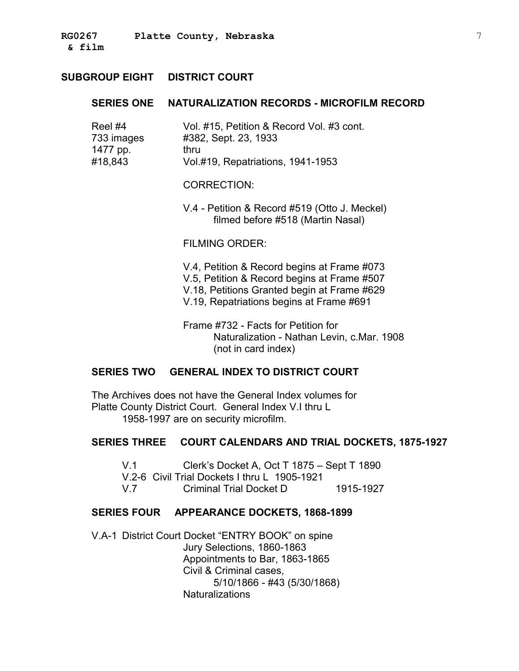### **SERIES ONE NATURALIZATION RECORDS - MICROFILM RECORD**

| Reel #4    | Vol. #15, Petition & Record Vol. #3 cont. |
|------------|-------------------------------------------|
| 733 images | #382, Sept. 23, 1933                      |
| 1477 pp.   | thru                                      |
| #18,843    | Vol.#19, Repatriations, 1941-1953         |
|            |                                           |

CORRECTION:

V.4 - Petition & Record #519 (Otto J. Meckel) filmed before #518 (Martin Nasal)

#### FILMING ORDER:

V.4, Petition & Record begins at Frame #073 V.5, Petition & Record begins at Frame #507 V.18, Petitions Granted begin at Frame #629 V.19, Repatriations begins at Frame #691

Frame #732 - Facts for Petition for Naturalization - Nathan Levin, c.Mar. 1908 (not in card index)

#### **SERIES TWO GENERAL INDEX TO DISTRICT COURT**

The Archives does not have the General Index volumes for Platte County District Court. General Index V.I thru L 1958-1997 are on security microfilm.

#### **SERIES THREE COURT CALENDARS AND TRIAL DOCKETS, 1875-1927**

V.1 Clerk's Docket A, Oct T 1875 – Sept T 1890

V.2-6 Civil Trial Dockets I thru L 1905-1921

V.7 Criminal Trial Docket D 1915-1927

#### **SERIES FOUR APPEARANCE DOCKETS, 1868-1899**

V.A-1 District Court Docket "ENTRY BOOK" on spine Jury Selections, 1860-1863 Appointments to Bar, 1863-1865 Civil & Criminal cases, 5/10/1866 - #43 (5/30/1868) **Naturalizations**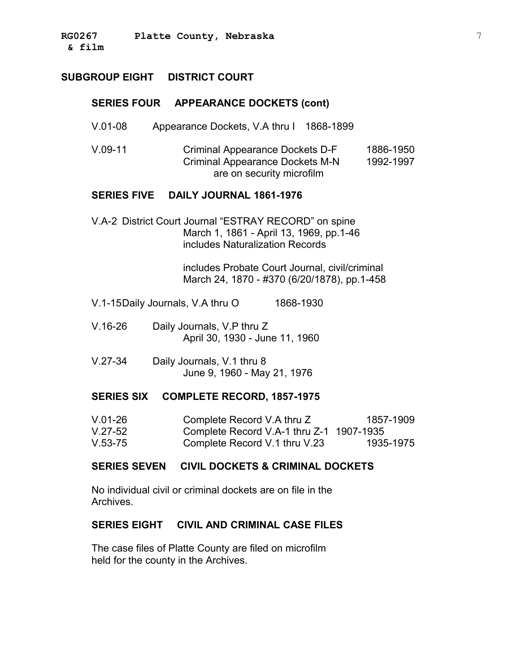#### **SERIES FOUR APPEARANCE DOCKETS (cont)**

- V.01-08 Appearance Dockets, V.A thru I 1868-1899
- V.09-11 Criminal Appearance Dockets D-F Criminal Appearance Dockets M-N are on security microfilm 1886-1950 1992-1997

#### **SERIES FIVE DAILY JOURNAL 1861-1976**

V.A-2 District Court Journal "ESTRAY RECORD" on spine March 1, 1861 - April 13, 1969, pp.1-46 includes Naturalization Records

> includes Probate Court Journal, civil/criminal March 24, 1870 - #370 (6/20/1878), pp.1-458

- V.1-15Daily Journals, V.A thru O 1868-1930
- V.16-26 Daily Journals, V.P thru Z April 30, 1930 - June 11, 1960
- V.27-34 Daily Journals, V.1 thru 8 June 9, 1960 - May 21, 1976

#### **SERIES SIX COMPLETE RECORD, 1857-1975**

| $V.01-26$ | Complete Record V.A thru Z               | 1857-1909 |
|-----------|------------------------------------------|-----------|
| $V.27-52$ | Complete Record V.A-1 thru Z-1 1907-1935 |           |
| $V.53-75$ | Complete Record V.1 thru V.23            | 1935-1975 |

### **SERIES SEVEN CIVIL DOCKETS & CRIMINAL DOCKETS**

No individual civil or criminal dockets are on file in the Archives.

#### **SERIES EIGHT CIVIL AND CRIMINAL CASE FILES**

The case files of Platte County are filed on microfilm held for the county in the Archives.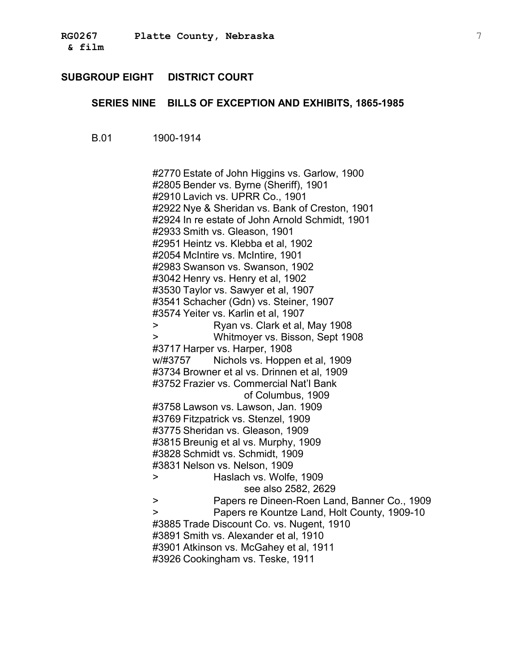### **SERIES NINE BILLS OF EXCEPTION AND EXHIBITS, 1865-1985**

B.01 1900-1914

#2770 Estate of John Higgins vs. Garlow, 1900 #2805 Bender vs. Byrne (Sheriff), 1901 #2910 Lavich vs. UPRR Co., 1901 #2922 Nye & Sheridan vs. Bank of Creston, 1901 #2924 In re estate of John Arnold Schmidt, 1901 #2933 Smith vs. Gleason, 1901 #2951 Heintz vs. Klebba et al, 1902 #2054 McIntire vs. McIntire, 1901 #2983 Swanson vs. Swanson, 1902 #3042 Henry vs. Henry et al, 1902 #3530 Taylor vs. Sawyer et al, 1907 #3541 Schacher (Gdn) vs. Steiner, 1907 #3574 Yeiter vs. Karlin et al, 1907 > Ryan vs. Clark et al, May 1908 > Whitmoyer vs. Bisson, Sept 1908 #3717 Harper vs. Harper, 1908 w/#3757 Nichols vs. Hoppen et al, 1909 #3734 Browner et al vs. Drinnen et al, 1909 #3752 Frazier vs. Commercial Nat'l Bank of Columbus, 1909 #3758 Lawson vs. Lawson, Jan. 1909 #3769 Fitzpatrick vs. Stenzel, 1909 #3775 Sheridan vs. Gleason, 1909 #3815 Breunig et al vs. Murphy, 1909 #3828 Schmidt vs. Schmidt, 1909 #3831 Nelson vs. Nelson, 1909 > Haslach vs. Wolfe, 1909 see also 2582, 2629 > Papers re Dineen-Roen Land, Banner Co., 1909 > Papers re Kountze Land, Holt County, 1909-10 #3885 Trade Discount Co. vs. Nugent, 1910 #3891 Smith vs. Alexander et al, 1910 #3901 Atkinson vs. McGahey et al, 1911 #3926 Cookingham vs. Teske, 1911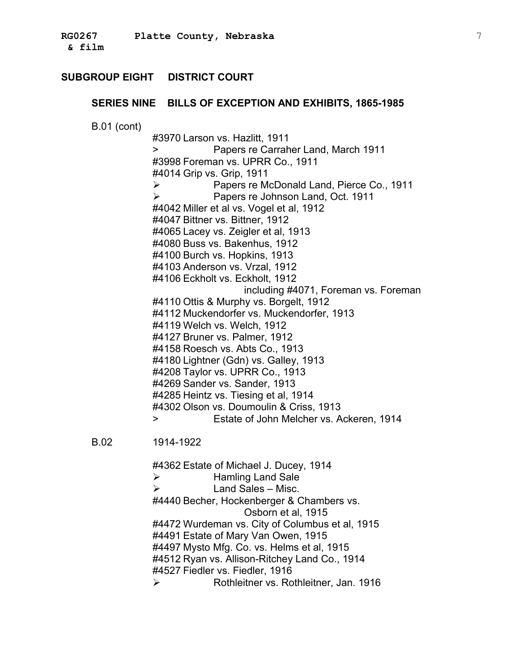#### **SERIES NINE BILLS OF EXCEPTION AND EXHIBITS, 1865-1985**

B.01 (cont)

#3970 Larson vs. Hazlitt, 1911 > Papers re Carraher Land, March 1911 #3998 Foreman vs. UPRR Co., 1911 #4014 Grip vs. Grip, 1911 Papers re McDonald Land, Pierce Co., 1911 Papers re Johnson Land, Oct. 1911 #4042 Miller et al vs. Vogel et al, 1912 #4047 Bittner vs. Bittner, 1912 #4065 Lacey vs. Zeigler et al, 1913 #4080 Buss vs. Bakenhus, 1912 #4100 Burch vs. Hopkins, 1913 #4103 Anderson vs. Vrzal, 1912 #4106 Eckholt vs. Eckholt, 1912 including #4071, Foreman vs. Foreman #4110 Ottis & Murphy vs. Borgelt, 1912 #4112 Muckendorfer vs. Muckendorfer, 1913 #4119 Welch vs. Welch, 1912 #4127 Bruner vs. Palmer, 1912 #4158 Roesch vs. Abts Co., 1913 #4180 Lightner (Gdn) vs. Galley, 1913 #4208 Taylor vs. UPRR Co., 1913 #4269 Sander vs. Sander, 1913 #4285 Heintz vs. Tiesing et al, 1914 #4302 Olson vs. Doumoulin & Criss, 1913 > Estate of John Melcher vs. Ackeren, 1914

B.02 1914-1922

#4362 Estate of Michael J. Ducey, 1914  $\triangleright$  Hamling Land Sale  $\triangleright$  Land Sales – Misc. #4440 Becher, Hockenberger & Chambers vs. Osborn et al, 1915 #4472 Wurdeman vs. City of Columbus et al, 1915 #4491 Estate of Mary Van Owen, 1915 #4497 Mysto Mfg. Co. vs. Helms et al, 1915 #4512 Ryan vs. Allison-Ritchey Land Co., 1914 #4527 Fiedler vs. Fiedler, 1916 Rothleitner vs. Rothleitner, Jan. 1916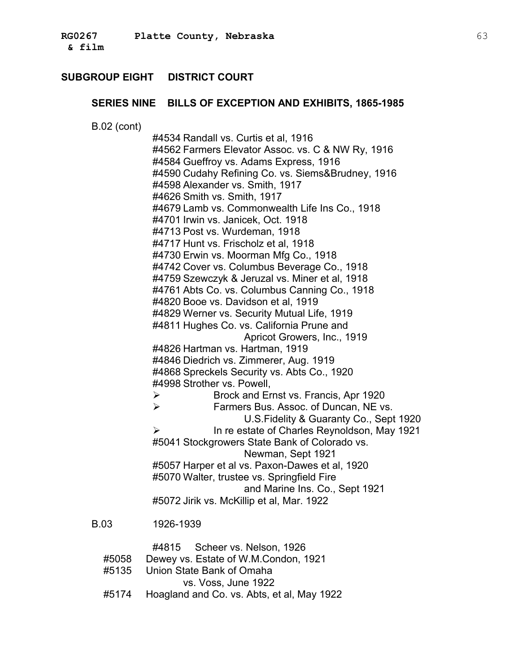#### **SERIES NINE BILLS OF EXCEPTION AND EXHIBITS, 1865-1985**

B.02 (cont)

#4534 Randall vs. Curtis et al, 1916 #4701 Irwin vs. Janicek, Oct. 1918 #4811 Hughes Co. vs. California Prune and #4846 Diedrich vs. Zimmerer, Aug. 1919 #4998 Strother vs. Powell, Brock and Ernst vs. Francis, Apr 1920 Farmers Bus. Assoc. of Duncan, NE vs. U.S.Fidelity & Guaranty Co., Sept 1920 In re estate of Charles Reynoldson, May 1921 #5041 Stockgrowers State Bank of Colorado vs. Newman, Sept 1921 #5070 Walter, trustee vs. Springfield Fire and Marine Ins. Co., Sept 1921 #5072 Jirik vs. McKillip et al, Mar. 1922 #4562 Farmers Elevator Assoc. vs. C & NW Ry, 1916 #4584 Gueffroy vs. Adams Express, 1916 #4590 Cudahy Refining Co. vs. Siems&Brudney, 1916 #4598 Alexander vs. Smith, 1917 #4626 Smith vs. Smith, 1917 #4679 Lamb vs. Commonwealth Life Ins Co., 1918 #4713 Post vs. Wurdeman, 1918 #4717 Hunt vs. Frischolz et al, 1918 #4730 Erwin vs. Moorman Mfg Co., 1918 #4742 Cover vs. Columbus Beverage Co., 1918 #4759 Szewczyk & Jeruzal vs. Miner et al, 1918 #4761 Abts Co. vs. Columbus Canning Co., 1918 #4820 Booe vs. Davidson et al, 1919 #4829 Werner vs. Security Mutual Life, 1919 Apricot Growers, Inc., 1919 #4826 Hartman vs. Hartman, 1919 #4868 Spreckels Security vs. Abts Co., 1920 #5057 Harper et al vs. Paxon-Dawes et al, 1920 B.03 1926-1939

- #4815 Scheer vs. Nelson, 1926
- #5058 Dewey vs. Estate of W.M.Condon, 1921
- #5135 Union State Bank of Omaha
	- vs. Voss, June 1922
- #5174 Hoagland and Co. vs. Abts, et al, May 1922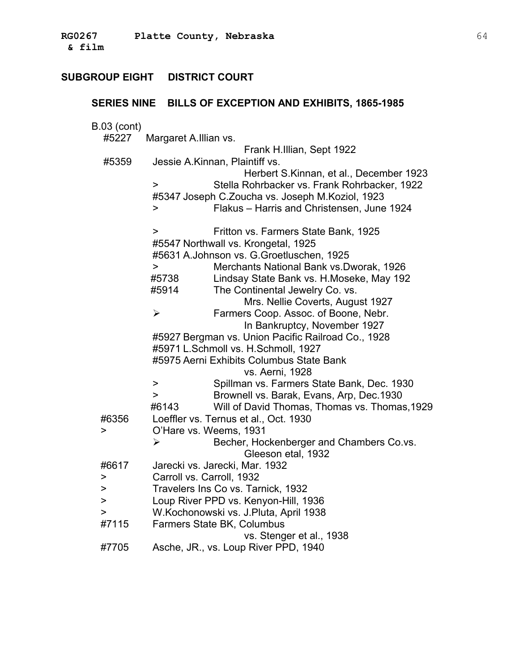| SERIES NINE BILLS OF EXCEPTION AND EXHIBITS, 1865-1985 |                                                                                             |  |
|--------------------------------------------------------|---------------------------------------------------------------------------------------------|--|
| <b>B.03 (cont)</b><br>#5227                            | Margaret A.Illian vs.<br>Frank H.Illian, Sept 1922                                          |  |
| #5359                                                  | Jessie A.Kinnan, Plaintiff vs.                                                              |  |
|                                                        | Herbert S.Kinnan, et al., December 1923                                                     |  |
|                                                        | Stella Rohrbacker vs. Frank Rohrbacker, 1922<br>>                                           |  |
|                                                        | #5347 Joseph C.Zoucha vs. Joseph M.Koziol, 1923                                             |  |
|                                                        | Flakus - Harris and Christensen, June 1924<br>>                                             |  |
|                                                        | Fritton vs. Farmers State Bank, 1925<br>>                                                   |  |
|                                                        | #5547 Northwall vs. Krongetal, 1925                                                         |  |
|                                                        | #5631 A.Johnson vs. G.Groetluschen, 1925                                                    |  |
|                                                        | Merchants National Bank vs.Dworak, 1926<br>>                                                |  |
|                                                        | Lindsay State Bank vs. H. Moseke, May 192<br>#5738                                          |  |
|                                                        | The Continental Jewelry Co. vs.<br>#5914                                                    |  |
|                                                        | Mrs. Nellie Coverts, August 1927                                                            |  |
|                                                        | Farmers Coop. Assoc. of Boone, Nebr.<br>$\blacktriangleright$                               |  |
|                                                        | In Bankruptcy, November 1927                                                                |  |
|                                                        | #5927 Bergman vs. Union Pacific Railroad Co., 1928                                          |  |
|                                                        | #5971 L.Schmoll vs. H.Schmoll, 1927                                                         |  |
|                                                        | #5975 Aerni Exhibits Columbus State Bank                                                    |  |
|                                                        | vs. Aerni, 1928                                                                             |  |
|                                                        | Spillman vs. Farmers State Bank, Dec. 1930<br>><br>$\geq$                                   |  |
|                                                        | Brownell vs. Barak, Evans, Arp, Dec.1930                                                    |  |
|                                                        | Will of David Thomas, Thomas vs. Thomas, 1929<br>#6143                                      |  |
| #6356<br>$\, > \,$                                     | Loeffler vs. Ternus et al., Oct. 1930                                                       |  |
|                                                        | O'Hare vs. Weems, 1931<br>Becher, Hockenberger and Chambers Co.vs.<br>$\blacktriangleright$ |  |
|                                                        |                                                                                             |  |
| #6617                                                  | Gleeson etal, 1932<br>Jarecki vs. Jarecki, Mar. 1932                                        |  |
| >                                                      | Carroll vs. Carroll, 1932                                                                   |  |
| >                                                      | Travelers Ins Co vs. Tarnick, 1932                                                          |  |
| >                                                      | Loup River PPD vs. Kenyon-Hill, 1936                                                        |  |
| >                                                      | W.Kochonowski vs. J.Pluta, April 1938                                                       |  |
| #7115                                                  | Farmers State BK, Columbus                                                                  |  |
|                                                        | vs. Stenger et al., 1938                                                                    |  |
| #7705                                                  | Asche, JR., vs. Loup River PPD, 1940                                                        |  |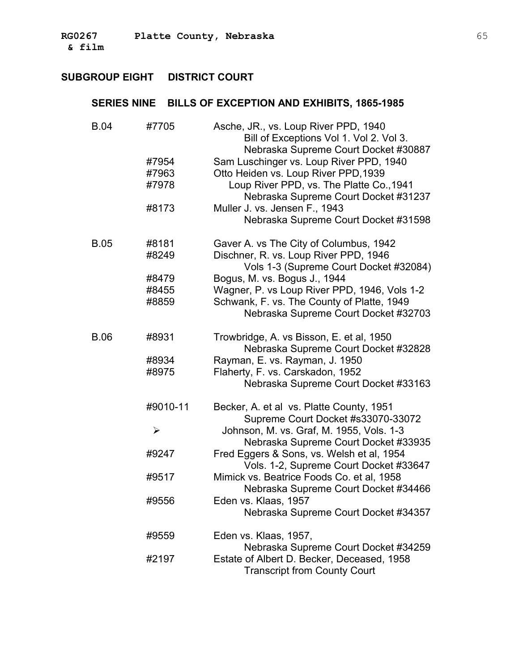| <b>B.04</b> | #7705    | Asche, JR., vs. Loup River PPD, 1940<br>Bill of Exceptions Vol 1. Vol 2. Vol 3.<br>Nebraska Supreme Court Docket #30887 |
|-------------|----------|-------------------------------------------------------------------------------------------------------------------------|
|             | #7954    | Sam Luschinger vs. Loup River PPD, 1940                                                                                 |
|             | #7963    | Otto Heiden vs. Loup River PPD, 1939                                                                                    |
|             | #7978    | Loup River PPD, vs. The Platte Co., 1941<br>Nebraska Supreme Court Docket #31237                                        |
|             | #8173    | Muller J. vs. Jensen F., 1943<br>Nebraska Supreme Court Docket #31598                                                   |
| <b>B.05</b> | #8181    | Gaver A. vs The City of Columbus, 1942                                                                                  |
|             | #8249    | Dischner, R. vs. Loup River PPD, 1946<br>Vols 1-3 (Supreme Court Docket #32084)                                         |
|             | #8479    | Bogus, M. vs. Bogus J., 1944                                                                                            |
|             | #8455    | Wagner, P. vs Loup River PPD, 1946, Vols 1-2                                                                            |
|             | #8859    | Schwank, F. vs. The County of Platte, 1949<br>Nebraska Supreme Court Docket #32703                                      |
| <b>B.06</b> | #8931    | Trowbridge, A. vs Bisson, E. et al, 1950<br>Nebraska Supreme Court Docket #32828                                        |
|             | #8934    | Rayman, E. vs. Rayman, J. 1950                                                                                          |
|             | #8975    | Flaherty, F. vs. Carskadon, 1952<br>Nebraska Supreme Court Docket #33163                                                |
|             | #9010-11 | Becker, A. et al vs. Platte County, 1951<br>Supreme Court Docket #s33070-33072                                          |
|             | ⋗        | Johnson, M. vs. Graf, M. 1955, Vols. 1-3<br>Nebraska Supreme Court Docket #33935                                        |
|             | #9247    | Fred Eggers & Sons, vs. Welsh et al, 1954<br>Vols. 1-2, Supreme Court Docket #33647                                     |
|             | #9517    | Mimick vs. Beatrice Foods Co. et al, 1958<br>Nebraska Supreme Court Docket #34466                                       |
|             | #9556    | Eden vs. Klaas, 1957<br>Nebraska Supreme Court Docket #34357                                                            |
|             | #9559    | Eden vs. Klaas, 1957,<br>Nebraska Supreme Court Docket #34259                                                           |
|             | #2197    | Estate of Albert D. Becker, Deceased, 1958<br><b>Transcript from County Court</b>                                       |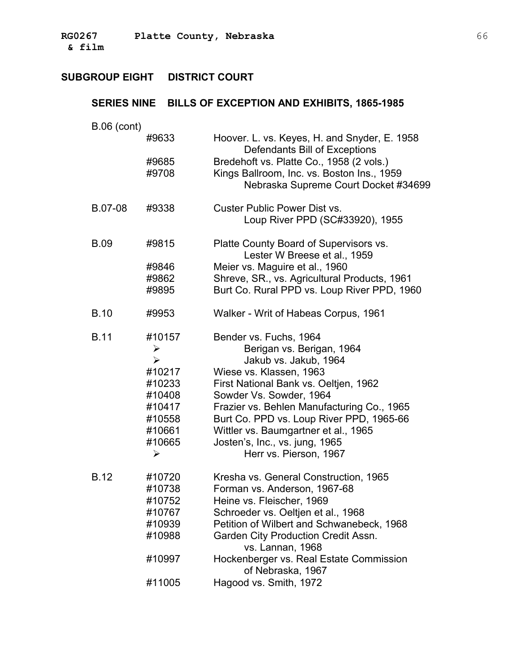**RG0267 Platte County, Nebraska** 66 **& film** �

## **SUBGROUP EIGHT DISTRICT COURT**

| <b>B.06 (cont)</b> |                       |                                                                               |
|--------------------|-----------------------|-------------------------------------------------------------------------------|
|                    | #9633                 | Hoover. L. vs. Keyes, H. and Snyder, E. 1958<br>Defendants Bill of Exceptions |
|                    | #9685                 | Bredehoft vs. Platte Co., 1958 (2 vols.)                                      |
|                    | #9708                 | Kings Ballroom, Inc. vs. Boston Ins., 1959                                    |
|                    |                       | Nebraska Supreme Court Docket #34699                                          |
| B.07-08            | #9338                 | <b>Custer Public Power Dist vs.</b>                                           |
|                    |                       | Loup River PPD (SC#33920), 1955                                               |
| <b>B.09</b>        | #9815                 | Platte County Board of Supervisors vs.<br>Lester W Breese et al., 1959        |
|                    | #9846                 | Meier vs. Maguire et al., 1960                                                |
|                    | #9862                 | Shreve, SR., vs. Agricultural Products, 1961                                  |
|                    | #9895                 | Burt Co. Rural PPD vs. Loup River PPD, 1960                                   |
| <b>B.10</b>        | #9953                 | Walker - Writ of Habeas Corpus, 1961                                          |
| <b>B.11</b>        | #10157                | Bender vs. Fuchs, 1964                                                        |
|                    | ➤                     | Berigan vs. Berigan, 1964                                                     |
|                    | $\blacktriangleright$ | Jakub vs. Jakub, 1964                                                         |
|                    | #10217                | Wiese vs. Klassen, 1963                                                       |
|                    | #10233                | First National Bank vs. Oeltjen, 1962                                         |
|                    | #10408                | Sowder Vs. Sowder, 1964                                                       |
|                    | #10417                | Frazier vs. Behlen Manufacturing Co., 1965                                    |
|                    | #10558                | Burt Co. PPD vs. Loup River PPD, 1965-66                                      |
|                    | #10661                | Wittler vs. Baumgartner et al., 1965                                          |
|                    | #10665                | Josten's, Inc., vs. jung, 1965                                                |
|                    | ➤                     | Herr vs. Pierson, 1967                                                        |
| <b>B.12</b>        | #10720                | Kresha vs. General Construction, 1965                                         |
|                    | #10738                | Forman vs. Anderson, 1967-68                                                  |
|                    | #10752                | Heine vs. Fleischer, 1969                                                     |
|                    | #10767                | Schroeder vs. Oeltjen et al., 1968                                            |
|                    | #10939                | Petition of Wilbert and Schwanebeck, 1968                                     |
|                    | #10988                | Garden City Production Credit Assn.<br>vs. Lannan, 1968                       |
|                    | #10997                | Hockenberger vs. Real Estate Commission<br>of Nebraska, 1967                  |
|                    | #11005                | Hagood vs. Smith, 1972                                                        |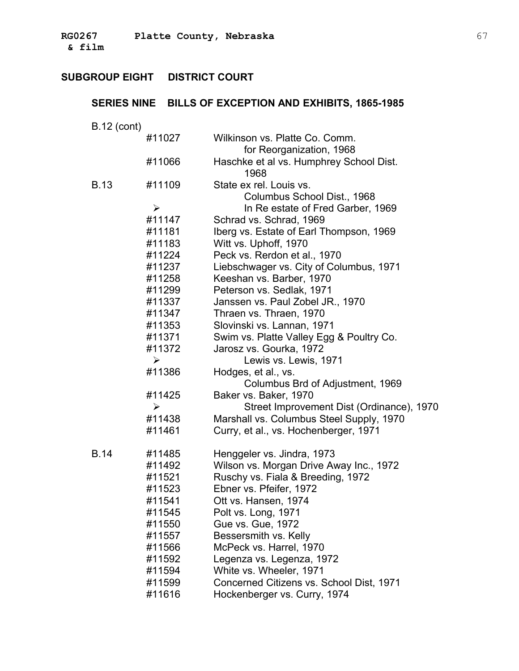**& film** �

## **SUBGROUP EIGHT DISTRICT COURT**

## **SERIES NINE BILLS OF EXCEPTION AND EXHIBITS, 1865-1985**

B.12 (cont)

|      | #11027                | Wilkinson vs. Platte Co. Comm.                  |
|------|-----------------------|-------------------------------------------------|
|      |                       | for Reorganization, 1968                        |
|      | #11066                | Haschke et al vs. Humphrey School Dist.<br>1968 |
| B.13 | #11109                | State ex rel. Louis vs.                         |
|      |                       | Columbus School Dist., 1968                     |
|      | $\blacktriangleright$ | In Re estate of Fred Garber, 1969               |
|      | #11147                | Schrad vs. Schrad, 1969                         |
|      | #11181                | Iberg vs. Estate of Earl Thompson, 1969         |
|      | #11183                | Witt vs. Uphoff, 1970                           |
|      | #11224                | Peck vs. Rerdon et al., 1970                    |
|      | #11237                | Liebschwager vs. City of Columbus, 1971         |
|      | #11258                | Keeshan vs. Barber, 1970                        |
|      | #11299                | Peterson vs. Sedlak, 1971                       |
|      | #11337                | Janssen vs. Paul Zobel JR., 1970                |
|      | #11347                | Thraen vs. Thraen, 1970                         |
|      | #11353                | Slovinski vs. Lannan, 1971                      |
|      | #11371                | Swim vs. Platte Valley Egg & Poultry Co.        |
|      | #11372                | Jarosz vs. Gourka, 1972                         |
|      | $\blacktriangleright$ | Lewis vs. Lewis, 1971                           |
|      | #11386                | Hodges, et al., vs.                             |
|      |                       | Columbus Brd of Adjustment, 1969                |
|      | #11425                | Baker vs. Baker, 1970                           |
|      | ➤                     | Street Improvement Dist (Ordinance), 1970       |
|      | #11438                | Marshall vs. Columbus Steel Supply, 1970        |
|      | #11461                | Curry, et al., vs. Hochenberger, 1971           |
| B.14 | #11485                | Henggeler vs. Jindra, 1973                      |
|      | #11492                | Wilson vs. Morgan Drive Away Inc., 1972         |
|      | #11521                | Ruschy vs. Fiala & Breeding, 1972               |
|      | #11523                | Ebner vs. Pfeifer, 1972                         |
|      | #11541                | Ott vs. Hansen, 1974                            |
|      | #11545                | Polt vs. Long, 1971                             |
|      | #11550                | Gue vs. Gue, 1972                               |
|      | #11557                | Bessersmith vs. Kelly                           |
|      | #11566                | McPeck vs. Harrel, 1970                         |
|      | #11592                | Legenza vs. Legenza, 1972                       |
|      | #11594                | White vs. Wheeler, 1971                         |
|      | #11599                | Concerned Citizens vs. School Dist, 1971        |
|      | #11616                | Hockenberger vs. Curry, 1974                    |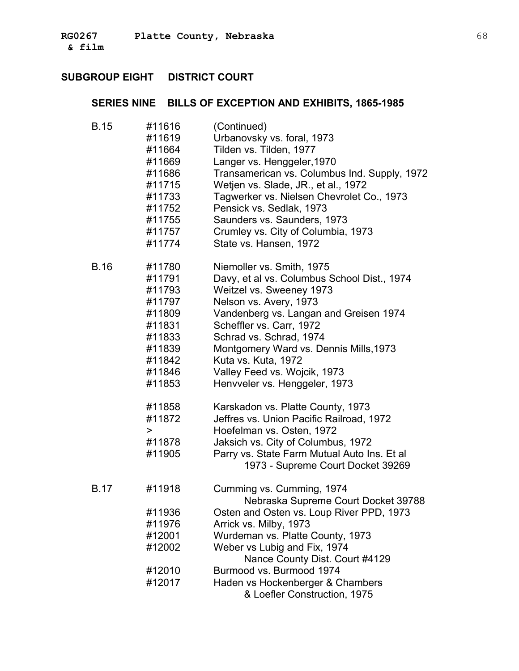| <b>B.15</b> | #11616 | (Continued)                                  |
|-------------|--------|----------------------------------------------|
|             | #11619 | Urbanovsky vs. foral, 1973                   |
|             | #11664 | Tilden vs. Tilden, 1977                      |
|             | #11669 | Langer vs. Henggeler, 1970                   |
|             | #11686 | Transamerican vs. Columbus Ind. Supply, 1972 |
|             | #11715 | Wetjen vs. Slade, JR., et al., 1972          |
|             | #11733 | Tagwerker vs. Nielsen Chevrolet Co., 1973    |
|             | #11752 | Pensick vs. Sedlak, 1973                     |
|             | #11755 | Saunders vs. Saunders, 1973                  |
|             | #11757 | Crumley vs. City of Columbia, 1973           |
|             | #11774 | State vs. Hansen, 1972                       |
| <b>B.16</b> | #11780 | Niemoller vs. Smith, 1975                    |
|             | #11791 | Davy, et al vs. Columbus School Dist., 1974  |
|             | #11793 | Weitzel vs. Sweeney 1973                     |
|             | #11797 | Nelson vs. Avery, 1973                       |
|             | #11809 | Vandenberg vs. Langan and Greisen 1974       |
|             | #11831 | Scheffler vs. Carr, 1972                     |
|             | #11833 | Schrad vs. Schrad, 1974                      |
|             | #11839 | Montgomery Ward vs. Dennis Mills, 1973       |
|             | #11842 | Kuta vs. Kuta, 1972                          |
|             | #11846 | Valley Feed vs. Wojcik, 1973                 |
|             | #11853 | Henvveler vs. Henggeler, 1973                |
|             | #11858 | Karskadon vs. Platte County, 1973            |
|             | #11872 | Jeffres vs. Union Pacific Railroad, 1972     |
|             | >      | Hoefelman vs. Osten, 1972                    |
|             | #11878 | Jaksich vs. City of Columbus, 1972           |
|             | #11905 | Parry vs. State Farm Mutual Auto Ins. Et al  |
|             |        | 1973 - Supreme Court Docket 39269            |
| <b>B.17</b> | #11918 | Cumming vs. Cumming, 1974                    |
|             |        | Nebraska Supreme Court Docket 39788          |
|             | #11936 | Osten and Osten vs. Loup River PPD, 1973     |
|             | #11976 | Arrick vs. Milby, 1973                       |
|             | #12001 | Wurdeman vs. Platte County, 1973             |
|             | #12002 | Weber vs Lubig and Fix, 1974                 |
|             |        | Nance County Dist. Court #4129               |
|             | #12010 | Burmood vs. Burmood 1974                     |
|             | #12017 | Haden vs Hockenberger & Chambers             |
|             |        | & Loefler Construction, 1975                 |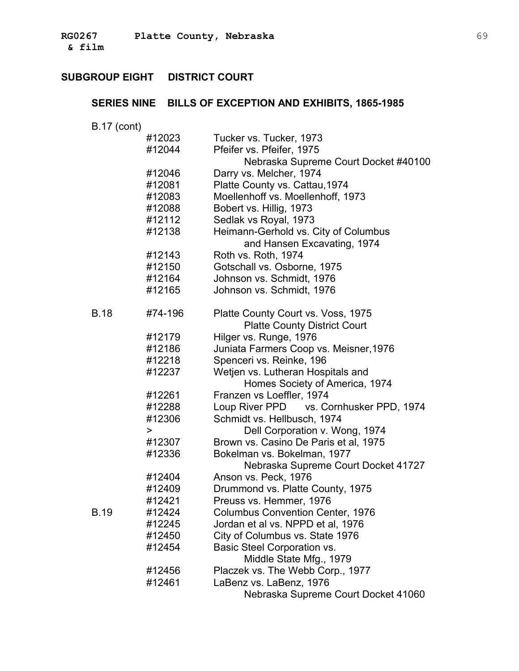| <b>B.17 (cont)</b> |         |                                         |
|--------------------|---------|-----------------------------------------|
|                    | #12023  | Tucker vs. Tucker, 1973                 |
|                    | #12044  | Pfeifer vs. Pfeifer, 1975               |
|                    |         | Nebraska Supreme Court Docket #40100    |
|                    | #12046  | Darry vs. Melcher, 1974                 |
|                    | #12081  | Platte County vs. Cattau, 1974          |
|                    | #12083  | Moellenhoff vs. Moellenhoff, 1973       |
|                    | #12088  | Bobert vs. Hillig, 1973                 |
|                    | #12112  | Sedlak vs Royal, 1973                   |
|                    | #12138  | Heimann-Gerhold vs. City of Columbus    |
|                    |         | and Hansen Excavating, 1974             |
|                    | #12143  | Roth vs. Roth, 1974                     |
|                    | #12150  | Gotschall vs. Osborne, 1975             |
|                    | #12164  | Johnson vs. Schmidt, 1976               |
|                    | #12165  | Johnson vs. Schmidt, 1976               |
|                    |         |                                         |
| <b>B.18</b>        | #74-196 | Platte County Court vs. Voss, 1975      |
|                    |         | <b>Platte County District Court</b>     |
|                    | #12179  | Hilger vs. Runge, 1976                  |
|                    | #12186  | Juniata Farmers Coop vs. Meisner, 1976  |
|                    | #12218  | Spenceri vs. Reinke, 196                |
|                    | #12237  | Wetjen vs. Lutheran Hospitals and       |
|                    |         | Homes Society of America, 1974          |
|                    | #12261  | Franzen vs Loeffler, 1974               |
|                    | #12288  | Loup River PPD vs. Cornhusker PPD, 1974 |
|                    | #12306  | Schmidt vs. Hellbusch, 1974             |
|                    | >       | Dell Corporation v. Wong, 1974          |
|                    | #12307  | Brown vs. Casino De Paris et al, 1975   |
|                    | #12336  | Bokelman vs. Bokelman, 1977             |
|                    |         | Nebraska Supreme Court Docket 41727     |
|                    | #12404  | Anson vs. Peck, 1976                    |
|                    | #12409  | Drummond vs. Platte County, 1975        |
|                    | #12421  | Preuss vs. Hemmer, 1976                 |
| <b>B.19</b>        | #12424  | <b>Columbus Convention Center, 1976</b> |
|                    | #12245  | Jordan et al vs. NPPD et al, 1976       |
|                    | #12450  | City of Columbus vs. State 1976         |
|                    | #12454  | <b>Basic Steel Corporation vs.</b>      |
|                    |         | Middle State Mfg., 1979                 |
|                    | #12456  | Placzek vs. The Webb Corp., 1977        |
|                    | #12461  | LaBenz vs. LaBenz, 1976                 |
|                    |         | Nebraska Supreme Court Docket 41060     |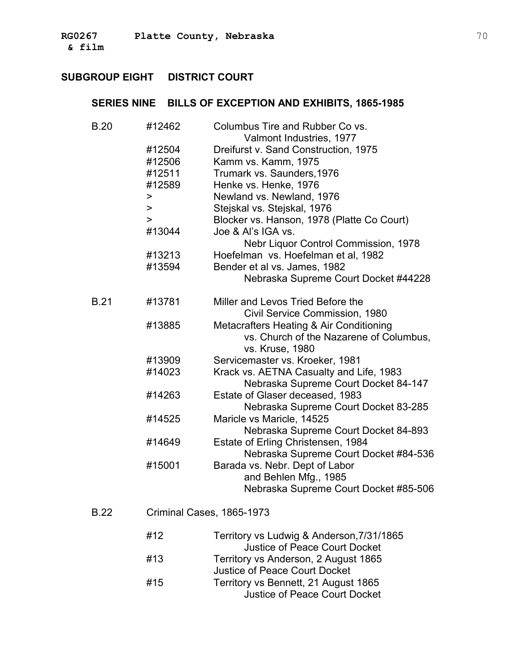| <b>B.20</b> | #12462    | Columbus Tire and Rubber Co vs.<br>Valmont Industries, 1977 |
|-------------|-----------|-------------------------------------------------------------|
|             | #12504    | Dreifurst v. Sand Construction, 1975                        |
|             | #12506    | Kamm vs. Kamm, 1975                                         |
|             | #12511    | Trumark vs. Saunders, 1976                                  |
|             | #12589    | Henke vs. Henke, 1976                                       |
|             | >         | Newland vs. Newland, 1976                                   |
|             | $\, > \,$ | Stejskal vs. Stejskal, 1976                                 |
|             | $\geq$    | Blocker vs. Hanson, 1978 (Platte Co Court)                  |
|             | #13044    | Joe & Al's IGA vs.                                          |
|             |           | Nebr Liquor Control Commission, 1978                        |
|             | #13213    | Hoefelman vs. Hoefelman et al, 1982                         |
|             | #13594    | Bender et al vs. James, 1982                                |
|             |           | Nebraska Supreme Court Docket #44228                        |
|             |           |                                                             |
| <b>B.21</b> | #13781    | Miller and Levos Tried Before the                           |
|             |           | Civil Service Commission, 1980                              |
|             | #13885    | Metacrafters Heating & Air Conditioning                     |
|             |           | vs. Church of the Nazarene of Columbus,                     |
|             |           | vs. Kruse, 1980                                             |
|             | #13909    | Servicemaster vs. Kroeker, 1981                             |
|             | #14023    | Krack vs. AETNA Casualty and Life, 1983                     |
|             |           | Nebraska Supreme Court Docket 84-147                        |
|             | #14263    | Estate of Glaser deceased, 1983                             |
|             |           | Nebraska Supreme Court Docket 83-285                        |
|             | #14525    | Maricle vs Maricle, 14525                                   |
|             |           | Nebraska Supreme Court Docket 84-893                        |
|             | #14649    | Estate of Erling Christensen, 1984                          |
|             |           | Nebraska Supreme Court Docket #84-536                       |
|             | #15001    | Barada vs. Nebr. Dept of Labor                              |
|             |           | and Behlen Mfg., 1985                                       |
|             |           | Nebraska Supreme Court Docket #85-506                       |
| <b>B.22</b> |           | Criminal Cases, 1865-1973                                   |
|             |           |                                                             |
|             | #12       | Territory vs Ludwig & Anderson, 7/31/1865                   |
|             |           | <b>Justice of Peace Court Docket</b>                        |
|             | #13       | Territory vs Anderson, 2 August 1865                        |
|             |           | <b>Justice of Peace Court Docket</b>                        |
|             | #15       | Territory vs Bennett, 21 August 1865                        |
|             |           | <b>Justice of Peace Court Docket</b>                        |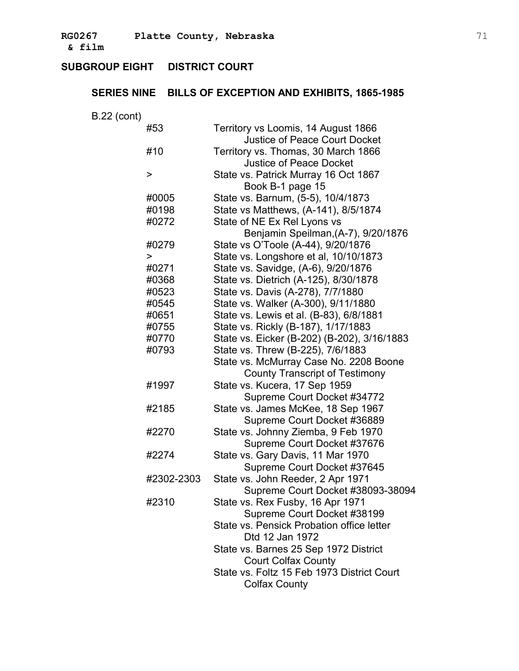**& film** �

## **SUBGROUP EIGHT DISTRICT COURT**

| <b>B.22 (cont)</b><br>Territory vs Loomis, 14 August 1866<br>#53<br><b>Justice of Peace Court Docket</b><br>#10<br>Territory vs. Thomas, 30 March 1866<br><b>Justice of Peace Docket</b><br>$\geq$<br>State vs. Patrick Murray 16 Oct 1867<br>Book B-1 page 15<br>State vs. Barnum, (5-5), 10/4/1873<br>#0005<br>State vs Matthews, (A-141), 8/5/1874<br>#0198<br>State of NE Ex Rel Lyons vs<br>#0272<br>Benjamin Speilman, (A-7), 9/20/1876<br>State vs O'Toole (A-44), 9/20/1876<br>#0279<br>State vs. Longshore et al, 10/10/1873<br>><br>State vs. Savidge, (A-6), 9/20/1876<br>#0271<br>State vs. Dietrich (A-125), 8/30/1878<br>#0368<br>State vs. Davis (A-278), 7/7/1880<br>#0523<br>State vs. Walker (A-300), 9/11/1880<br>#0545<br>State vs. Lewis et al. (B-83), 6/8/1881<br>#0651<br>State vs. Rickly (B-187), 1/17/1883<br>#0755 |
|------------------------------------------------------------------------------------------------------------------------------------------------------------------------------------------------------------------------------------------------------------------------------------------------------------------------------------------------------------------------------------------------------------------------------------------------------------------------------------------------------------------------------------------------------------------------------------------------------------------------------------------------------------------------------------------------------------------------------------------------------------------------------------------------------------------------------------------------|
|                                                                                                                                                                                                                                                                                                                                                                                                                                                                                                                                                                                                                                                                                                                                                                                                                                                |
|                                                                                                                                                                                                                                                                                                                                                                                                                                                                                                                                                                                                                                                                                                                                                                                                                                                |
|                                                                                                                                                                                                                                                                                                                                                                                                                                                                                                                                                                                                                                                                                                                                                                                                                                                |
|                                                                                                                                                                                                                                                                                                                                                                                                                                                                                                                                                                                                                                                                                                                                                                                                                                                |
|                                                                                                                                                                                                                                                                                                                                                                                                                                                                                                                                                                                                                                                                                                                                                                                                                                                |
|                                                                                                                                                                                                                                                                                                                                                                                                                                                                                                                                                                                                                                                                                                                                                                                                                                                |
|                                                                                                                                                                                                                                                                                                                                                                                                                                                                                                                                                                                                                                                                                                                                                                                                                                                |
|                                                                                                                                                                                                                                                                                                                                                                                                                                                                                                                                                                                                                                                                                                                                                                                                                                                |
|                                                                                                                                                                                                                                                                                                                                                                                                                                                                                                                                                                                                                                                                                                                                                                                                                                                |
|                                                                                                                                                                                                                                                                                                                                                                                                                                                                                                                                                                                                                                                                                                                                                                                                                                                |
|                                                                                                                                                                                                                                                                                                                                                                                                                                                                                                                                                                                                                                                                                                                                                                                                                                                |
|                                                                                                                                                                                                                                                                                                                                                                                                                                                                                                                                                                                                                                                                                                                                                                                                                                                |
|                                                                                                                                                                                                                                                                                                                                                                                                                                                                                                                                                                                                                                                                                                                                                                                                                                                |
|                                                                                                                                                                                                                                                                                                                                                                                                                                                                                                                                                                                                                                                                                                                                                                                                                                                |
|                                                                                                                                                                                                                                                                                                                                                                                                                                                                                                                                                                                                                                                                                                                                                                                                                                                |
|                                                                                                                                                                                                                                                                                                                                                                                                                                                                                                                                                                                                                                                                                                                                                                                                                                                |
|                                                                                                                                                                                                                                                                                                                                                                                                                                                                                                                                                                                                                                                                                                                                                                                                                                                |
|                                                                                                                                                                                                                                                                                                                                                                                                                                                                                                                                                                                                                                                                                                                                                                                                                                                |
| State vs. Eicker (B-202) (B-202), 3/16/1883<br>#0770                                                                                                                                                                                                                                                                                                                                                                                                                                                                                                                                                                                                                                                                                                                                                                                           |
| State vs. Threw (B-225), 7/6/1883<br>#0793                                                                                                                                                                                                                                                                                                                                                                                                                                                                                                                                                                                                                                                                                                                                                                                                     |
| State vs. McMurray Case No. 2208 Boone                                                                                                                                                                                                                                                                                                                                                                                                                                                                                                                                                                                                                                                                                                                                                                                                         |
| <b>County Transcript of Testimony</b>                                                                                                                                                                                                                                                                                                                                                                                                                                                                                                                                                                                                                                                                                                                                                                                                          |
| State vs. Kucera, 17 Sep 1959<br>#1997                                                                                                                                                                                                                                                                                                                                                                                                                                                                                                                                                                                                                                                                                                                                                                                                         |
| Supreme Court Docket #34772                                                                                                                                                                                                                                                                                                                                                                                                                                                                                                                                                                                                                                                                                                                                                                                                                    |
| State vs. James McKee, 18 Sep 1967<br>#2185                                                                                                                                                                                                                                                                                                                                                                                                                                                                                                                                                                                                                                                                                                                                                                                                    |
| Supreme Court Docket #36889                                                                                                                                                                                                                                                                                                                                                                                                                                                                                                                                                                                                                                                                                                                                                                                                                    |
| State vs. Johnny Ziemba, 9 Feb 1970<br>#2270                                                                                                                                                                                                                                                                                                                                                                                                                                                                                                                                                                                                                                                                                                                                                                                                   |
| Supreme Court Docket #37676                                                                                                                                                                                                                                                                                                                                                                                                                                                                                                                                                                                                                                                                                                                                                                                                                    |
| State vs. Gary Davis, 11 Mar 1970<br>#2274                                                                                                                                                                                                                                                                                                                                                                                                                                                                                                                                                                                                                                                                                                                                                                                                     |
| Supreme Court Docket #37645                                                                                                                                                                                                                                                                                                                                                                                                                                                                                                                                                                                                                                                                                                                                                                                                                    |
| State vs. John Reeder, 2 Apr 1971<br>#2302-2303                                                                                                                                                                                                                                                                                                                                                                                                                                                                                                                                                                                                                                                                                                                                                                                                |
| Supreme Court Docket #38093-38094                                                                                                                                                                                                                                                                                                                                                                                                                                                                                                                                                                                                                                                                                                                                                                                                              |
| State vs. Rex Fusby, 16 Apr 1971<br>#2310                                                                                                                                                                                                                                                                                                                                                                                                                                                                                                                                                                                                                                                                                                                                                                                                      |
| Supreme Court Docket #38199                                                                                                                                                                                                                                                                                                                                                                                                                                                                                                                                                                                                                                                                                                                                                                                                                    |
| State vs. Pensick Probation office letter                                                                                                                                                                                                                                                                                                                                                                                                                                                                                                                                                                                                                                                                                                                                                                                                      |
| Dtd 12 Jan 1972                                                                                                                                                                                                                                                                                                                                                                                                                                                                                                                                                                                                                                                                                                                                                                                                                                |
| State vs. Barnes 25 Sep 1972 District                                                                                                                                                                                                                                                                                                                                                                                                                                                                                                                                                                                                                                                                                                                                                                                                          |
| <b>Court Colfax County</b>                                                                                                                                                                                                                                                                                                                                                                                                                                                                                                                                                                                                                                                                                                                                                                                                                     |
| State vs. Foltz 15 Feb 1973 District Court                                                                                                                                                                                                                                                                                                                                                                                                                                                                                                                                                                                                                                                                                                                                                                                                     |
| <b>Colfax County</b>                                                                                                                                                                                                                                                                                                                                                                                                                                                                                                                                                                                                                                                                                                                                                                                                                           |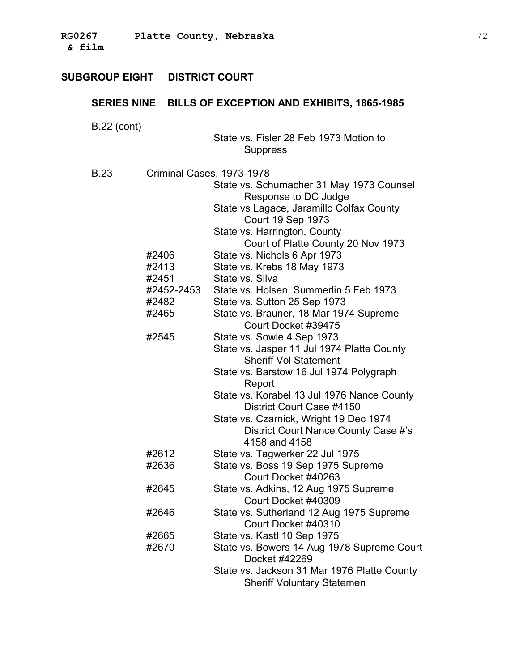| $B.22$ (cont) |                              | State vs. Fisler 28 Feb 1973 Motion to<br>Suppress                                                                                                                             |
|---------------|------------------------------|--------------------------------------------------------------------------------------------------------------------------------------------------------------------------------|
| <b>B.23</b>   | Criminal Cases, 1973-1978    | State vs. Schumacher 31 May 1973 Counsel<br>Response to DC Judge<br>State vs Lagace, Jaramillo Colfax County<br><b>Court 19 Sep 1973</b>                                       |
|               | #2406<br>#2413<br>#2451      | State vs. Harrington, County<br>Court of Platte County 20 Nov 1973<br>State vs. Nichols 6 Apr 1973<br>State vs. Krebs 18 May 1973<br>State vs. Silva                           |
|               | #2452-2453<br>#2482<br>#2465 | State vs. Holsen, Summerlin 5 Feb 1973<br>State vs. Sutton 25 Sep 1973<br>State vs. Brauner, 18 Mar 1974 Supreme<br>Court Docket #39475                                        |
|               | #2545                        | State vs. Sowle 4 Sep 1973<br>State vs. Jasper 11 Jul 1974 Platte County<br><b>Sheriff Vol Statement</b><br>State vs. Barstow 16 Jul 1974 Polygraph                            |
|               |                              | Report<br>State vs. Korabel 13 Jul 1976 Nance County<br>District Court Case #4150<br>State vs. Czarnick, Wright 19 Dec 1974<br>District Court Nance County Case #'s            |
|               | #2612<br>#2636               | 4158 and 4158<br>State vs. Tagwerker 22 Jul 1975<br>State vs. Boss 19 Sep 1975 Supreme<br>Court Docket #40263                                                                  |
|               | #2645                        | State vs. Adkins, 12 Aug 1975 Supreme<br>Court Docket #40309                                                                                                                   |
|               | #2646                        | State vs. Sutherland 12 Aug 1975 Supreme<br>Court Docket #40310                                                                                                                |
|               | #2665<br>#2670               | State vs. Kastl 10 Sep 1975<br>State vs. Bowers 14 Aug 1978 Supreme Court<br>Docket #42269<br>State vs. Jackson 31 Mar 1976 Platte County<br><b>Sheriff Voluntary Statemen</b> |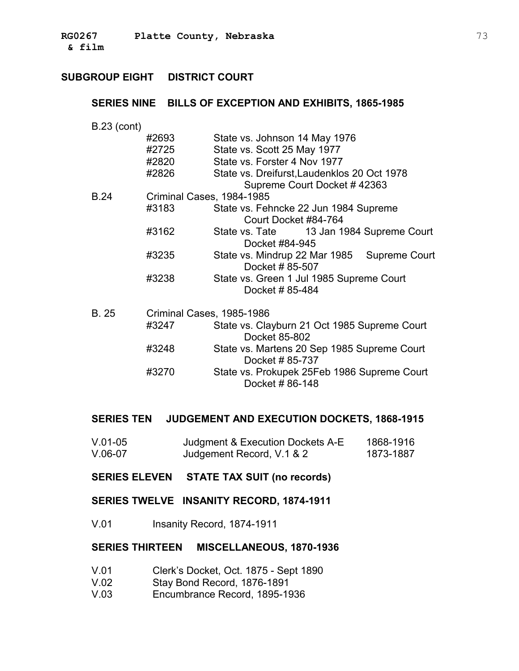### **SERIES NINE BILLS OF EXCEPTION AND EXHIBITS, 1865-1985**

- B.23 (cont) #2693 State vs. Johnson 14 May 1976 #2725 State vs. Scott 25 May 1977 #2820 State vs. Forster 4 Nov 1977 #2826 State vs. Dreifurst,Laudenklos 20 Oct 1978 Supreme Court Docket # 42363 � B.24 � Criminal Cases, 1984-1985 Court Docket #84-764 Docket #84-945 #3183 State vs. Fehncke 22 Jun 1984 Supreme #3162 State vs. Tate 13 Jan 1984 Supreme Court #3235 State vs. Mindrup 22 Mar 1985 Supreme Court Docket # 85-507 #3238 State vs. Green 1 Jul 1985 Supreme Court � Docket # 85-484 B. 25 � Criminal Cases, 1985-1986 #3247 State vs. Clayburn 21 Oct 1985 Supreme Court � Docket 85-802 #3248 State vs. Martens 20 Sep 1985 Supreme Court � Docket # 85-737
	- #3270 State vs. Prokupek 25Feb 1986 Supreme Court Docket # 86-148

#### **SERIES TEN JUDGEMENT AND EXECUTION DOCKETS, 1868-1915**

- V.01-05 Judgment & Execution Dockets A-E 1868-1916 V.06-07 Judgement Record, V.1 & 2 1873-1887
- **SERIES ELEVEN STATE TAX SUIT (no records)**
- **SERIES TWELVE INSANITY RECORD, 1874-1911**
- V.01 Insanity Record, 1874-1911

#### **SERIES THIRTEEN MISCELLANEOUS, 1870-1936**

- V.01 Clerk's Docket, Oct. 1875 Sept 1890
- V.02 Stay Bond Record, 1876-1891
- V.03 Encumbrance Record, 1895-1936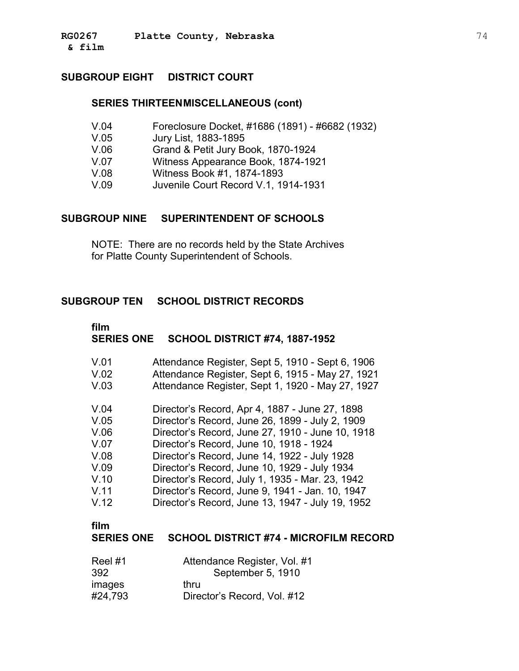#### **SERIES THIRTEENMISCELLANEOUS (cont)**

- V.04 Foreclosure Docket, #1686 (1891) #6682 (1932)
- V.05 Jury List, 1883-1895
- V.06 Grand & Petit Jury Book, 1870-1924
- V.07 Witness Appearance Book, 1874-1921
- V.08 Witness Book #1, 1874-1893
- V.09 Juvenile Court Record V.1, 1914-1931

### **SUBGROUP NINE SUPERINTENDENT OF SCHOOLS**

NOTE: There are no records held by the State Archives for Platte County Superintendent of Schools.

### **SUBGROUP TEN SCHOOL DISTRICT RECORDS**

# **film SERIES ONE SCHOOL DISTRICT #74, 1887-1952**

| V.01       | Attendance Register, Sept 5, 1910 - Sept 6, 1906                  |
|------------|-------------------------------------------------------------------|
| V.02       | Attendance Register, Sept 6, 1915 - May 27, 1921                  |
| $\sqrt{2}$ | $\mathbf{A}$ is the state of the state of a state of $\mathbf{A}$ |

- V.03 Attendance Register, Sept 1, 1920 May 27, 1927
- V.04 Director's Record, Apr 4, 1887 June 27, 1898
- V.05 Director's Record, June 26, 1899 July 2, 1909
- V.06 Director's Record, June 27, 1910 June 10, 1918
- V.07 Director's Record, June 10, 1918 1924
- V.08 Director's Record, June 14, 1922 July 1928
- V.09 Director's Record, June 10, 1929 July 1934
- V.10 Director's Record, July 1, 1935 Mar. 23, 1942
- V.11 Director's Record, June 9, 1941 Jan. 10, 1947
- V.12 Director's Record, June 13, 1947 July 19, 1952

#### **film**

### **SERIES ONE SCHOOL DISTRICT #74 - MICROFILM RECORD**

| Reel#1  | Attendance Register, Vol. #1 |
|---------|------------------------------|
| 392     | September 5, 1910            |
| images  | thru                         |
| #24,793 | Director's Record, Vol. #12  |